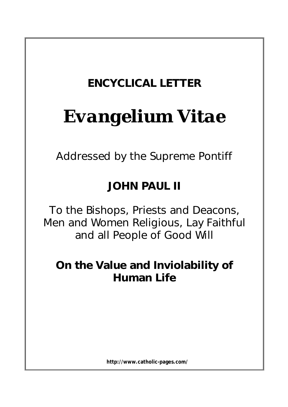## **ENCYCLICAL LETTER**

# *Evangelium Vitae*

Addressed by the Supreme Pontiff

## **JOHN PAUL II**

To the Bishops, Priests and Deacons, Men and Women Religious, Lay Faithful and all People of Good Will

**On the Value and Inviolability of Human Life**

**http://www.catholic-pages.com/**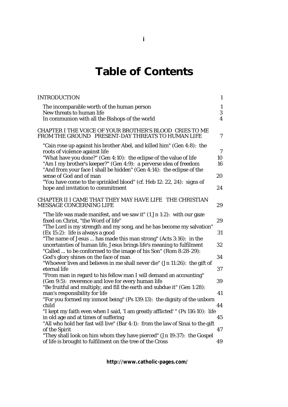## **Table of Contents**

| <b>INTRODUCTION</b>                                                                                                                                                                                                                                                                                                                                                                                                                                                   | $\mathbf{1}$                        |
|-----------------------------------------------------------------------------------------------------------------------------------------------------------------------------------------------------------------------------------------------------------------------------------------------------------------------------------------------------------------------------------------------------------------------------------------------------------------------|-------------------------------------|
| The incomparable worth of the human person<br>New threats to human life<br>In communion with all the Bishops of the world                                                                                                                                                                                                                                                                                                                                             | $\mathbf{1}$<br>3<br>$\overline{4}$ |
| CHAPTER I THE VOICE OF YOUR BROTHER'S BLOOD CRIES TO ME<br>FROM THE GROUND PRESENT-DAY THREATS TO HUMAN LIFE                                                                                                                                                                                                                                                                                                                                                          | 7                                   |
| "Cain rose up against his brother Abel, and killed him" (Gen 4:8): the<br>roots of violence against life<br>"What have you done?" (Gen 4:10): the eclipse of the value of life<br>"Am I my brother's keeper?" (Gen 4:9): a perverse idea of freedom<br>"And from your face I shall be hidden" (Gen 4:14): the eclipse of the<br>sense of God and of man<br>"You have come to the sprinkled blood" (cf. Heb 12: 22, 24): signs of<br>hope and invitation to commitment | $\tau$<br>10<br>16<br>20<br>24      |
| CHAPTER II I CAME THAT THEY MAY HAVE LIFE THE CHRISTIAN<br><b>MESSAGE CONCERNING LIFE</b>                                                                                                                                                                                                                                                                                                                                                                             | 29                                  |
| "The life was made manifest, and we saw it" (1 Jn 1:2): with our gaze<br>fixed on Christ, "the Word of life"<br>"The Lord is my strength and my song, and he has become my salvation"<br>(Ex 15:2): life is always a good                                                                                                                                                                                                                                             | 29<br>31                            |
| "The name of Jesus  has made this man strong" (Acts 3:16): in the<br>uncertainties of human life, Jesus brings life's meaning to fulfilment<br>"Called  to be conformed to the image of his Son" (Rom 8:28-29):                                                                                                                                                                                                                                                       | 32                                  |
| God's glory shines on the face of man<br>"Whoever lives and believes in me shall never die" (Jn 11:26): the gift of<br>eternal life                                                                                                                                                                                                                                                                                                                                   | 34<br>37                            |
| "From man in regard to his fellow man I will demand an accounting"<br>(Gen 9:5): reverence and love for every human life<br>"Be fruitful and multiply, and fill the earth and subdue it" (Gen 1:28):                                                                                                                                                                                                                                                                  | 39                                  |
| man's responsibility for life<br>"For you formed my inmost being" (Ps 139:13): the dignity of the unborn                                                                                                                                                                                                                                                                                                                                                              | 41                                  |
| child<br>"I kept my faith even when I said, 'I am greatly afflicted' " (Ps 116:10): life<br>in old age and at times of suffering                                                                                                                                                                                                                                                                                                                                      | 44<br>45                            |
| "All who hold her fast will live" (Bar 4:1): from the law of Sinai to the gift<br>of the Spirit<br>"They shall look on him whom they have pierced" (Jn 19:37): the Gospel                                                                                                                                                                                                                                                                                             | 47                                  |
| of life is brought to fulfilment on the tree of the Cross                                                                                                                                                                                                                                                                                                                                                                                                             | 49                                  |

**http://www.catholic-pages.com/**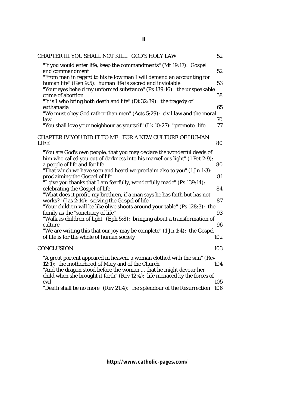| CHAPTER III YOU SHALL NOT KILL GOD'S HOLY LAW                                                                                                                                                                                                                                | 52       |
|------------------------------------------------------------------------------------------------------------------------------------------------------------------------------------------------------------------------------------------------------------------------------|----------|
| "If you would enter life, keep the commandments" (Mt 19:17): Gospel<br>and commandment                                                                                                                                                                                       | 52       |
| "From man in regard to his fellow man I will demand an accounting for<br>human life" (Gen 9:5): human life is sacred and inviolable                                                                                                                                          | 53       |
| "Your eyes beheld my unformed substance" (Ps 139:16): the unspeakable<br>crime of abortion<br>"It is I who bring both death and life" (Dt 32:39): the tragedy of                                                                                                             | 58       |
| euthanasia<br>"We must obey God rather than men" (Acts 5:29): civil law and the moral                                                                                                                                                                                        | 65       |
| law<br>"You shall love your neighbour as yourself" (Lk 10:27): "promote" life                                                                                                                                                                                                | 70<br>77 |
| CHAPTER IV YOU DID IT TO ME FOR A NEW CULTURE OF HUMAN<br><i>LIFE</i>                                                                                                                                                                                                        | 80       |
| "You are God's own people, that you may declare the wonderful deeds of<br>him who called you out of darkness into his marvellous light" (1 Pet 2:9):<br>a people of life and for life                                                                                        | 80       |
| "That which we have seen and heard we proclaim also to you" (1 Jn 1:3):<br>proclaiming the Gospel of life                                                                                                                                                                    | 81       |
| "I give you thanks that I am fearfully, wonderfully made" (Ps 139:14):<br>celebrating the Gospel of life                                                                                                                                                                     | 84       |
| "What does it profit, my brethren, if a man says he has faith but has not<br>works?" (Jas 2:14): serving the Gospel of life                                                                                                                                                  | 87       |
| "Your children will be like olive shoots around your table" (Ps 128:3): the<br>family as the "sanctuary of life"<br>"Walk as children of light" (Eph 5:8): bringing about a transformation of                                                                                | 93       |
| culture<br>"We are writing this that our joy may be complete" (1 Jn 1:4): the Gospel                                                                                                                                                                                         | 96       |
| of life is for the whole of human society                                                                                                                                                                                                                                    | 102      |
| CONCLUSION                                                                                                                                                                                                                                                                   | 103      |
| "A great portent appeared in heaven, a woman clothed with the sun" (Rev<br>12:1): the motherhood of Mary and of the Church<br>"And the dragon stood before the woman  that he might devour her<br>child when she brought it forth" (Rev 12:4): life menaced by the forces of | 104      |
| evil<br>"Death shall be no more" (Rev 21:4): the splendour of the Resurrection 106                                                                                                                                                                                           | 105      |

**http://www.catholic-pages.com/**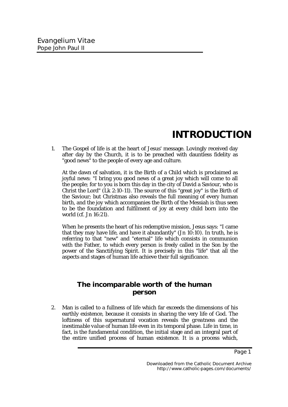## **INTRODUCTION**

1. The Gospel of life is at the heart of Jesus' message. Lovingly received day after day by the Church, it is to be preached with dauntless fidelity as "good news" to the people of every age and culture.

At the dawn of salvation, it is the Birth of a Child which is proclaimed as joyful news: "I bring you good news of a great joy which will come to all the people; for to you is born this day in the city of David a Saviour, who is Christ the Lord" (*Lk* 2:10-11). The source of this "great joy" is the Birth of the Saviour; but Christmas also reveals the full meaning of every human birth, and the joy which accompanies the Birth of the Messiah is thus seen to be the foundation and fulfilment of joy at every child born into the world (cf. *Jn* 16:21).

When he presents the heart of his redemptive mission, Jesus says: "I came that they may have life, and have it abundantly" (*Jn* 10:10). In truth, he is referring to that "new" and "eternal" life which consists in communion with the Father, to which every person is freely called in the Son by the power of the Sanctifying Spirit. It is precisely in this "life" that all the aspects and stages of human life achieve their full significance.

### *The incomparable worth of the human person*

2. Man is called to a fullness of life which far exceeds the dimensions of his earthly existence, because it consists in sharing the very life of God. The loftiness of this supernatural vocation reveals the *greatness* and the *inestimable value* of human life even in its temporal phase. Life in time, in fact, is the fundamental condition, the initial stage and an integral part of the entire unified process of human existence. It is a process which,

Downloaded from the Catholic Document Archive http://www.catholic-pages.com/documents/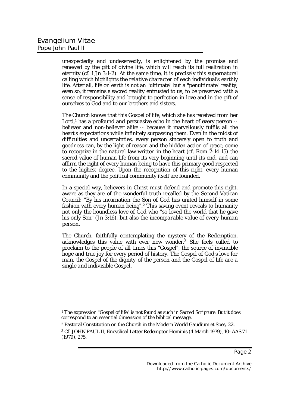$\overline{a}$ 

unexpectedly and undeservedly, is enlightened by the promise and renewed by the gift of divine life, which will reach its full realization in eternity (cf. *1 Jn* 3:1-2). At the same time, it is precisely this supernatural calling which highlights the *relative character* of each individual's earthly life. After all, life on earth is not an "ultimate" but a "penultimate" reality; even so, it remains a *sacred reality* entrusted to us, to be preserved with a sense of responsibility and brought to perfection in love and in the gift of ourselves to God and to our brothers and sisters.

The Church knows that this *Gospel of life,* which she has received from her Lord,<sup>1</sup> has a profound and persuasive echo in the heart of every person -believer and non-believer alike -- because it marvellously fulfils all the heart's expectations while infinitely surpassing them. Even in the midst of difficulties and uncertainties, every person sincerely open to truth and goodness can, by the light of reason and the hidden action of grace, come to recognize in the natural law written in the heart (cf. *Rom* 2:14-15) the sacred value of human life from its very beginning until its end, and can affirm the right of every human being to have this primary good respected to the highest degree. Upon the recognition of this right, every human community and the political community itself are founded.

In a special way, believers in Christ must defend and promote this right, aware as they are of the wonderful truth recalled by the Second Vatican Council: "By his incarnation the Son of God has united himself in some fashion with every human being".2 This saving event reveals to humanity not only the boundless love of God who "so loved the world that he gave his only Son" (*Jn* 3:16), but also the *incomparable value of every human person.*

The Church, faithfully contemplating the mystery of the Redemption, acknowledges this value with ever new wonder.3 She feels called to proclaim to the people of all times this "Gospel", the source of invincible hope and true joy for every period of history. *The Gospel of God's love for man, the Gospel of the dignity of the person and the Gospel of life are a single and indivisible Gospel.*

#### *Page 2*

 $1$  The expression "Gospel of life" is not found as such in Sacred Scripture. But it does correspond to an essential dimension of the biblical message.

<sup>2</sup> Pastoral Constitution on the Church in the Modern World *Gaudium et Spes*, 22. <sup>3</sup> Cf. JOHN PAUL II, Encyclical Letter *Redemptor Hominis* (4 March 1979), 10: *AAS* 71 (1979), 275.

Downloaded from the Catholic Document Archive http://www.catholic-pages.com/documents/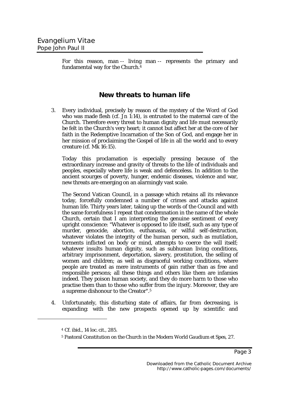For this reason, man -- living man -- represents the primary and fundamental way for the Church.<sup>4</sup>

### *New threats to human life*

3. Every individual, precisely by reason of the mystery of the Word of God who was made flesh (cf. *Jn* 1:14), is entrusted to the maternal care of the Church. Therefore every threat to human dignity and life must necessarily be felt in the Church's very heart; it cannot but affect her at the core of her faith in the Redemptive Incarnation of the Son of God, and engage her in her mission of proclaiming the *Gospel of life* in all the world and to every creature (cf. *Mk* 16:15).

Today this proclamation is especially pressing because of the extraordinary increase and gravity of threats to the life of individuals and peoples, especially where life is weak and defenceless. In addition to the ancient scourges of poverty, hunger, endemic diseases, violence and war, new threats are emerging on an alarmingly vast scale.

The Second Vatican Council, in a passage which retains all its relevance today, forcefully condemned a number of crimes and attacks against human life. Thirty years later, taking up the words of the Council and with the same forcefulness I repeat that condemnation in the name of the whole Church, certain that I am interpreting the genuine sentiment of every upright conscience: "Whatever is opposed to life itself, such as any type of murder, genocide, abortion, euthanasia, or wilful self-destruction, whatever violates the integrity of the human person, such as mutilation, torments inflicted on body or mind, attempts to coerce the will itself; whatever insults human dignity, such as subhuman living conditions, arbitrary imprisonment, deportation, slavery, prostitution, the selling of women and children; as well as disgraceful working conditions, where people are treated as mere instruments of gain rather than as free and responsible persons; all these things and others like them are infamies indeed. They poison human society, and they do more harm to those who practise them than to those who suffer from the injury. Moreover, they are a supreme dishonour to the Creator".<sup>5</sup>

4. Unfortunately, this disturbing state of affairs, far from decreasing, is expanding: with the new prospects opened up by scientific and

1

*Page 3*

<sup>4</sup> Cf. *ibid*., 14 *loc. cit*., 285.

<sup>5</sup> Pastoral Constitution on the Church in the Modern World *Gaudium et Spes*, 27.

Downloaded from the Catholic Document Archive http://www.catholic-pages.com/documents/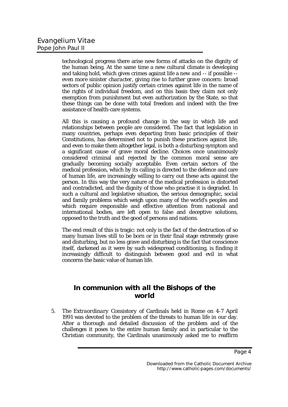technological progress there arise new forms of attacks on the dignity of the human being. At the same time a new cultural climate is developing and taking hold, which gives crimes against life a *new and -- if possible - even more sinister character,* giving rise to further grave concern: broad sectors of public opinion justify certain crimes against life in the name of the rights of individual freedom, and on this basis they claim not only exemption from punishment but even authorization by the State, so that these things can be done with total freedom and indeed with the free assistance of health-care systems.

All this is causing a profound change in the way in which life and relationships between people are considered. The fact that legislation in many countries, perhaps even departing from basic principles of their Constitutions, has determined not to punish these practices against life, and even to make them altogether legal, is both a disturbing symptom and a significant cause of grave moral decline. Choices once unanimously considered criminal and rejected by the common moral sense are gradually becoming socially acceptable. Even certain sectors of the medical profession, which by its calling is directed to the defence and care of human life, are increasingly willing to carry out these acts against the person. In this way the very nature of the medical profession is distorted and contradicted, and the dignity of those who practise it is degraded. In such a cultural and legislative situation, the serious demographic, social and family problems which weigh upon many of the world's peoples and which require responsible and effective attention from national and international bodies, are left open to false and deceptive solutions, opposed to the truth and the good of persons and nations.

The end result of this is tragic: not only is the fact of the destruction of so many human lives still to be born or in their final stage extremely grave and disturbing, but no less grave and disturbing is the fact that conscience itself, darkened as it were by such widespread conditioning, is finding it increasingly difficult to distinguish between good and evil in what concerns the basic value of human life.

### *In communion with all the Bishops of the world*

5. The *Extraordinary Consistory* of Cardinals held in Rome on 4-7 April 1991 was devoted to the problem of the threats to human life in our day. After a thorough and detailed discussion of the problem and of the challenges it poses to the entire human family and in particular to the Christian community, the Cardinals unanimously asked me to reaffirm

Downloaded from the Catholic Document Archive http://www.catholic-pages.com/documents/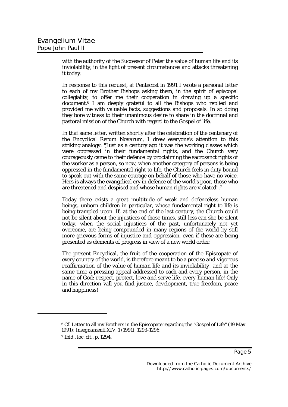with the authority of the Successor of Peter the value of human life and its inviolability, in the light of present circumstances and attacks threatening it today.

In response to this request, at Pentecost in 1991 I wrote a *personal letter* to each of my Brother Bishops asking them, in the spirit of episcopal collegiality, to offer me their cooperation in drawing up a specific document.6 I am deeply grateful to all the Bishops who replied and provided me with valuable facts, suggestions and proposals. In so doing they bore witness to their unanimous desire to share in the doctrinal and pastoral mission of the Church with regard to the *Gospel of life.*

In that same letter, written shortly after the celebration of the centenary of the Encyclical *Rerum Novarum,* I drew everyone's attention to this striking analogy: "Just as a century ago it was the working classes which were oppressed in their fundamental rights, and the Church very courageously came to their defence by proclaiming the sacrosanct rights of the worker as a person, so now, when another category of persons is being oppressed in the fundamental right to life, the Church feels in duty bound to speak out with the same courage on behalf of those who have no voice. Hers is always the evangelical cry in defence of the world's poor, those who are threatened and despised and whose human rights are violated".<sup>7</sup>

Today there exists a great multitude of weak and defenceless human beings, unborn children in particular, whose fundamental right to life is being trampled upon. If, at the end of the last century, the Church could not be silent about the injustices of those times, still less can she be silent today, when the social injustices of the past, unfortunately not yet overcome, are being compounded in many regions of the world by still more grievous forms of injustice and oppression, even if these are being presented as elements of progress in view of a new world order.

The present Encyclical, the fruit of the cooperation of the Episcopate of every country of the world, is therefore meant to be a *precise and vigorous reaffirmation of the value of human life and its inviolability,* and at the same time a pressing appeal addressed to each and every person, in the name of God: *respect, protect, love and serve life, every human life!* Only in this direction will you find justice, development, true freedom, peace and happiness!

 $\overline{a}$ 

#### *Page 5*

<sup>6</sup> Cf. Letter to all my Brothers in the Episcopate regarding the "Gospel of Life" (19 May 1991): *Insegnamenti* XIV, 1 (1991), 1293-1296.

<sup>7</sup> *Ibid., loc. cit*., p. 1294.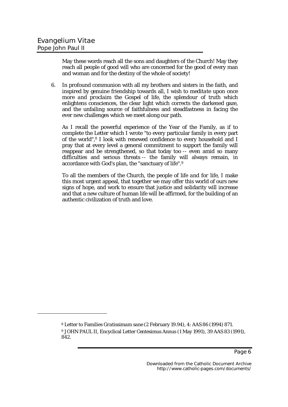$\overline{a}$ 

May these words reach all the sons and daughters of the Church! May they reach all people of good will who are concerned for the good of every man and woman and for the destiny of the whole of society!

6. In profound communion with all my brothers and sisters in the faith, and inspired by genuine friendship towards all, I wish to *meditate upon once more and proclaim the Gospel of life,* the splendour of truth which enlightens consciences, the clear light which corrects the darkened gaze, and the unfailing source of faithfulness and steadfastness in facing the ever new challenges which we meet along our path.

As I recall the powerful experience of the Year of the Family, as if to complete the *Letter* which I wrote "to every particular family in every part of the world",8 I look with renewed confidence to every household and I pray that at every level a general commitment to support the family will reappear and be strengthened, so that today too -- even amid so many difficulties and serious threats -- the family will always remain, in accordance with God's plan, the "sanctuary of life".<sup>9</sup>

To all the members of the Church, *the people of life and for life,* I make this most urgent appeal, that together we may offer this world of ours new signs of hope, and work to ensure that justice and solidarity will increase and that a new culture of human life will be affirmed, for the building of an authentic civilization of truth and love.

<sup>8</sup> Letter to Families *Gratissimam sane* (2 February 19.94), 4: *AAS* 86 (1994) 871. <sup>9</sup> JOHN PAUL II, Encyclical Letter *Centesimus Annus* (1 May 1991), 39 *AAS* 83 (1991), 842.

Downloaded from the Catholic Document Archive http://www.catholic-pages.com/documents/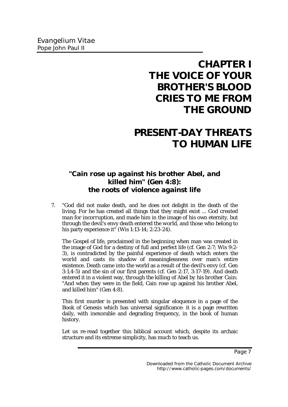## **CHAPTER I THE VOICE OF YOUR BROTHER'S BLOOD CRIES TO ME FROM THE GROUND**

## *PRESENT-DAY THREATS TO HUMAN LIFE*

## *"Cain rose up against his brother Abel, and killed him" (Gen 4:8): the roots of violence against life*

7. "God did not make death, and he does not delight in the death of the living. For he has created all things that they might exist ... *God created man for incorruption,* and made him in the image of his own eternity, but through the devil's envy *death entered the world,* and those who belong to his party experience it" (*Wis* 1:13-14; 2:23-24).

The Gospel of life, proclaimed in the beginning when man was created in the image of God for a destiny of full and perfect life (cf. *Gen* 2:7; *Wis* 9:2- 3), is contradicted by the painful experience of *death which enters the world* and casts its shadow of meaninglessness over man's entire existence. Death came into the world as a result of the devil's envy (cf. *Gen* 3:1,4-5) and the sin of our first parents (cf. *Gen* 2:17, 3:17-19). And death entered it in a violent way, *through the killing of Abel by his brother Cain:* "And when they were in the field, Cain rose up against his brother Abel, and killed him" (*Gen* 4:8).

This first murder is presented with singular eloquence in a page of the Book of Genesis which has universal significance: it is a page rewritten daily, with inexorable and degrading frequency, in the book of human history.

Let us re-read together this biblical account which, despite its archaic structure and its extreme simplicity, has much to teach us.

*Page 7*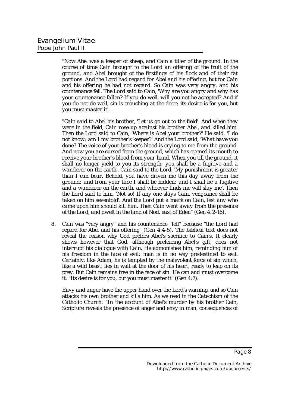*"Now Abel was a keeper of sheep, and Cain a tiller of the ground. In the course of time Cain brought to the Lord an offering of the fruit of the ground, and Abel brought of the firstlings of his flock and of their fat portions. And the Lord had regard for Abel and his offering, but for Cain and his offering he had not regard. So Cain was very angry, and his countenance fell. The Lord said to Cain, 'Why are you angry and why has your countenance fallen? If you do well, will you not be accepted? And if you do not do well, sin is crouching at the door; its desire is for you, but you must master it'.*

*"Cain said to Abel his brother, 'Let us go out to the field'. And when they were in the field, Cain rose up against his brother Abel, and killed him. Then the Lord said to Cain, 'Where is Abel your brother?' He said, 'I do not know; am I my brother's keeper?' And the Lord said, 'What have you done? The voice of your brother's blood is crying to me from the ground. And now you are cursed from the ground, which has opened its mouth to receive your brother's blood from your hand. When you till the ground, it shall no longer yield to you its strength; you shall be a fugitive and a wanderer on the earth'. Cain said to the Lord, 'My punishment is greater than I can bear. Behold, you have driven me this day away from the ground; and from your face I shall be hidden; and I shall be a fugitive and a wanderer on the earth, and whoever finds me will slay me'. Then the Lord said to him, 'Not so! If any one slays Cain, vengeance shall be taken on him sevenfold'. And the Lord put a mark on Cain, lest any who came upon him should kill him. Then Cain went away from the presence of the Lord, and dwelt in the land of Nod, east of Eden" (*Gen *4:2-16).*

8. Cain was "very angry" and his countenance "fell" because "the Lord had regard for Abel and his offering" (*Gen* 4:4-5). The biblical text does not reveal the reason why God prefers Abel's sacrifice to Cain's. It clearly shows however that God, although preferring Abel's gift, *does not interrupt his dialogue with Cain.* He admonishes him, *reminding him of his freedom in the face of evil:* man is in no way predestined to evil. Certainly, like Adam, he is tempted by the malevolent force of sin which, like a wild beast, lies in wait at the door of his heart, ready to leap on its prey. But Cain remains free in the face of sin. He can and must overcome it: "Its desire is for you, but you must master it" (*Gen* 4:7).

*Envy and anger* have the upper hand over the Lord's warning, and so Cain attacks his own brother and kills him. As we read in the *Catechism of the Catholic Church:* "In the account of Abel's murder by his brother Cain, Scripture reveals the presence of anger and envy in man, consequences of

Downloaded from the Catholic Document Archive http://www.catholic-pages.com/documents/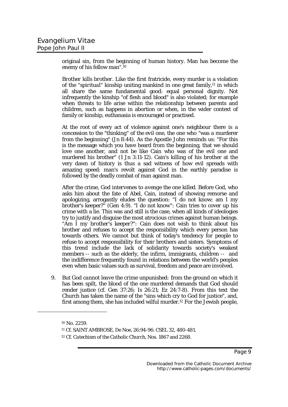original sin, from the beginning of human history. Man has become the enemy of his fellow man".<sup>10</sup>

*Brother kills brother.* Like the first fratricide, every murder is a violation of the *"spiritual" kinship* uniting mankind in one great family,11 in which all share the same fundamental good: equal personal dignity. Not infrequently the *kinship "of flesh and blood"* is also violated; for example when threats to life arise within the relationship between parents and children, such as happens in abortion or when, in the wider context of family or kinship, euthanasia is encouraged or practised.

At the root of every act of violence against one's neighbour there is *a concession to the "thinking" of the evil one,* the one who "was a murderer from the beginning" (*Jn* 8:44). As the Apostle John reminds us: "For this is the message which you have heard from the beginning, that we should love one another, and not be like Cain who was of the evil one and murdered his brother" (*1 Jn* 3:11-12). Cain's killing of his brother at the very dawn of history is thus a sad witness of how evil spreads with amazing speed: man's revolt against God in the earthly paradise is followed by the deadly combat of man against man.

After the crime, *God intervenes to avenge the one killed.* Before God, who asks him about the fate of Abel, Cain, instead of showing remorse and apologizing, arrogantly eludes the question: "I do not know; am I my brother's keeper?" (*Gen* 4:9). *"I do not know":* Cain tries to cover up his crime with a lie. This was and still is the case, when all kinds of ideologies try to justify and disguise the most atrocious crimes against human beings. *"Am I my brother's keeper?":* Cain does not wish to think about his brother and refuses to accept the responsibility which every person has towards others. We cannot but think of today's tendency for people to refuse to accept responsibility for their brothers and sisters. Symptoms of this trend include the lack of solidarity towards society's weakest members -- such as the elderly, the infirm, immigrants, children -- and the indifference frequently found in relations between the world's peoples even when basic values such as survival, freedom and peace are involved.

9. But *God cannot leave the crime unpunished:* from the ground on which it has been spilt, the blood of the one murdered demands that God should render justice (cf. *Gen* 37:26; *Is* 26:21; *Ez* 24:7-8). From this text the Church has taken the name of the "sins which cry to God for justice", and, first among them, she has included wilful murder.12 For the Jewish people,

1

#### *Page 9*

<sup>10</sup> No. 2259.

<sup>11</sup> Cf. SAINT AMBROSE, *De Noe*, 26:94-96: *CSEL* 32, 480-481.

<sup>12</sup> Cf. *Catechism of the Catholic Church*, Nos. 1867 and 2268.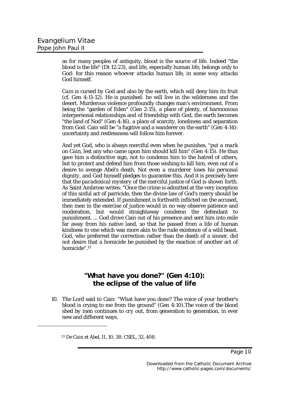as for many peoples of antiquity, blood is the source of life. Indeed "the blood is the life" (*Dt* 12:23), and life, especially human life, belongs only to God: for this reason *whoever attacks human life, in some way attacks God himself.*

*Cain* is cursed by God and also by the earth, which will deny him its fruit (cf. *Gen* 4:11-12). *He is punished:* he will live in the wilderness and the desert. Murderous violence profoundly changes man's environment. From being the "garden of Eden" (*Gen* 2:15), a place of plenty, of harmonious interpersonal relationships and of friendship with God, the earth becomes "the land of Nod" (*Gen* 4:16), a place of scarcity, loneliness and separation from God. Cain will be "a fugitive and a wanderer on the earth" (*Gen* 4:14): uncertainty and restlessness will follow him forever.

And yet God, who is always merciful even when he punishes, *"put a mark on Cain,* lest any who came upon him should kill him" (*Gen* 4:15). He thus gave him a distinctive sign, not to condemn him to the hatred of others, but to protect and defend him from those wishing to kill him, even out of a desire to avenge Abel's death. *Not even a murderer loses his personal dignity,* and God himself pledges to guarantee this. And it is precisely here that the *paradoxical mystery of the merciful justice of God* is shown forth. As Saint Ambrose writes: "Once the crime is admitted at the very inception of this sinful act of parricide, then the divine law of God's mercy should be immediately extended. If punishment is forthwith inflicted on the accused, then men in the exercise of justice would in no way observe patience and moderation, but would straightaway condemn the defendant to punishment. ... God drove Cain out of his presence and sent him into exile far away from his native land, so that he passed from a life of human kindness to one which was more akin to the rude existence of a wild beast. God, who preferred the correction rather than the death of a sinner, did not desire that a homicide be punished by the exaction of another act of homicide".<sup>13</sup>

### *"What have you done?" (Gen 4:10): the eclipse of the value of life*

10. The Lord said to Cain: "What have you done? The voice of your brother's blood is crying to me from the ground" (*Gen* 4:10).*The voice of the blood shed by men continues to cry out,* from generation to generation, in ever new and different ways.

 $\overline{a}$ 

*Page 10*

<sup>13</sup> *De Cain et Abel*, II, 10, 38: *CSEL*, 32, 408.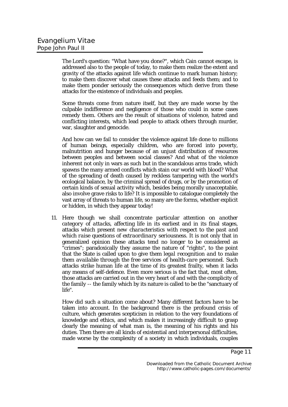The Lord's question: "What have you done?", which Cain cannot escape, is addressed also to the people of today, to make them realize the extent and gravity of the attacks against life which continue to mark human history; to make them discover what causes these attacks and feeds them; and to make them ponder seriously the consequences which derive from these attacks for the existence of individuals and peoples.

Some threats come from nature itself, but they are made worse by the culpable indifference and negligence of those who could in some cases remedy them. Others are the result of situations of violence, hatred and conflicting interests, which lead people to attack others through murder, war, slaughter and genocide.

And how can we fail to consider the violence against life done to millions of human beings, especially children, who are forced into poverty, malnutrition and hunger because of an unjust distribution of resources between peoples and between social classes? And what of the violence inherent not only in wars as such but in the scandalous arms trade, which spawns the many armed conflicts which stain our world with blood? What of the spreading of death caused by reckless tampering with the world's ecological balance, by the criminal spread of drugs, or by the promotion of certain kinds of sexual activity which, besides being morally unacceptable, also involve grave risks to life? It is impossible to catalogue completely the vast array of threats to human life, so many are the forms, whether explicit or hidden, in which they appear today!

11. Here though we shall concentrate particular attention on *another category of attacks,* affecting life in its earliest and in its final stages, attacks which present *new characteristics with respect to the past and which raise questions of extraordinary seriousness.* It is not only that in generalized opinion these attacks tend no longer to be considered as "crimes"; paradoxically they assume the nature of "rights", to the point that the State is called upon to give them *legal recognition and to make them available through the free services of health-care personnel.* Such attacks strike human life at the time of its greatest frailty, when it lacks any means of self-defence. Even more serious is the fact that, most often, those attacks are carried out in the very heart of and with the complicity of the family -- the family which by its nature is called to be the "sanctuary of life".

How did such a situation come about? Many different factors have to be taken into account. In the background there is the profound crisis of culture, which generates scepticism in relation to the very foundations of knowledge and ethics, and which makes it increasingly difficult to grasp clearly the meaning of what man is, the meaning of his rights and his duties. Then there are all kinds of existential and interpersonal difficulties, made worse by the complexity of a society in which individuals, couples

Downloaded from the Catholic Document Archive http://www.catholic-pages.com/documents/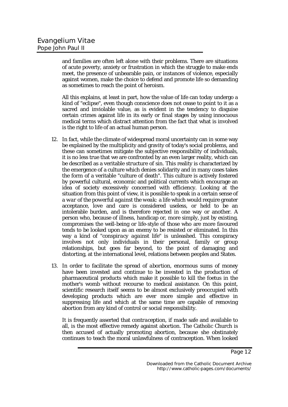and families are often left alone with their problems. There are situations of acute poverty, anxiety or frustration in which the struggle to make ends meet, the presence of unbearable pain, or instances of violence, especially against women, make the choice to defend and promote life so demanding as sometimes to reach the point of heroism.

All this explains, at least in part, how the value of life can today undergo a kind of "eclipse", even though conscience does not cease to point to it as a sacred and inviolable value, as is evident in the tendency to disguise certain crimes against life in its early or final stages by using innocuous medical terms which distract attention from the fact that what is involved is the right to life of an actual human person.

- 12. In fact, while the climate of widespread moral uncertainty can in some way be explained by the multiplicity and gravity of today's social problems, and these can sometimes mitigate the subjective responsibility of individuals, it is no less true that we are confronted by an even larger reality, which can be described as a veritable *structure of sin.* This reality is characterized by the emergence of a culture which denies solidarity and in many cases takes the form of a veritable "culture of death". This culture is actively fostered by powerful cultural, economic and political currents which encourage an idea of society excessively concerned with efficiency. Looking at the situation from this point of view, it is possible to speak in a certain sense of a *war of the powerful against the weak:* a life which would require greater acceptance, love and care is considered useless, or held to be an intolerable burden, and is therefore rejected in one way or another. A person who, because of illness, handicap or, more simply, just by existing, compromises the well-being or life-style of those who are more favoured tends to be looked upon as an enemy to be resisted or eliminated. In this way a kind of *"conspiracy against life"* is unleashed. This conspiracy involves not only individuals in their personal, family or group relationships, but goes far beyond, to the point of damaging and distorting, at the international level, relations between peoples and States.
- 13. In order to facilitate the spread of *abortion,* enormous sums of money have been invested and continue to be invested in the production of pharmaceutical products which make it possible to kill the foetus in the mother's womb without recourse to medical assistance. On this point, scientific research itself seems to be almost exclusively preoccupied with developing products which are ever more simple and effective in suppressing life and which at the same time are capable of removing abortion from any kind of control or social responsibility.

It is frequently asserted that *contraception,* if made safe and available to all, is the most effective remedy against abortion. The Catholic Church is then accused of actually promoting abortion, because she obstinately continues to teach the moral unlawfulness of contraception. When looked

Downloaded from the Catholic Document Archive http://www.catholic-pages.com/documents/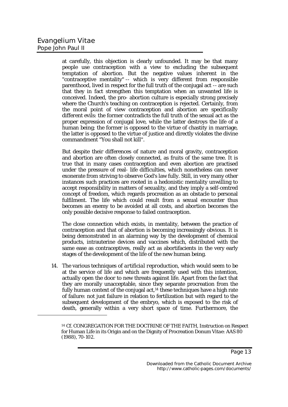$\overline{a}$ 

at carefully, this objection is clearly unfounded. It may be that many people use contraception with a view to excluding the subsequent temptation of abortion. But the negative values inherent in the "contraceptive mentality" -- which is very different from responsible parenthood, lived in respect for the full truth of the conjugal act -- are such that they in fact strengthen this temptation when an unwanted life is conceived. Indeed, the pro- abortion culture is especially strong precisely where the Church's teaching on contraception is rejected. Certainly, from the moral point of view contraception and abortion are *specifically different* evils: the former contradicts the full truth of the sexual act as the proper expression of conjugal love, while the latter destroys the life of a human being; the former is opposed to the virtue of chastity in marriage, the latter is opposed to the virtue of justice and directly violates the divine commandment "You shall not kill".

But despite their differences of nature and moral gravity, contraception and abortion are often closely connected, as fruits of the same tree. It is true that in many cases contraception and even abortion are practised under the pressure of real- life difficulties, which nonetheless can never exonerate from striving to observe God's law fully. Still, in very many other instances such practices are rooted in a hedonistic mentality unwilling to accept responsibility in matters of sexuality, and they imply a self-centred concept of freedom, which regards procreation as an obstacle to personal fulfilment. The life which could result from a sexual encounter thus becomes an enemy to be avoided at all costs, and abortion becomes the only possible decisive response to failed contraception.

The close connection which exists, in mentality, between the practice of contraception and that of abortion is becoming increasingly obvious. It is being demonstrated in an alarming way by the development of chemical products, intrauterine devices and vaccines which, distributed with the same ease as contraceptives, really act as abortifacients in the very early stages of the development of the life of the new human being.

14. The various *techniques of artificial reproduction,* which would seem to be at the service of life and which are frequently used with this intention, actually open the door to new threats against life. Apart from the fact that they are morally unacceptable, since they separate procreation from the fully human context of the conjugal act.<sup>14</sup> these techniques have a high rate of failure: not just failure in relation to fertilization but with regard to the subsequent development of the embryo, which is exposed to the risk of death, generally within a very short space of time. Furthermore, the

<sup>14</sup> Cf. CONGREGATION FOR THE DOCTRINE OF THE FAITH, Instruction on Respect for Human Life in its Origin and on the Dignity of Procreation *Donum Vitae*: *AAS* 80 (1988), 70-102.

Downloaded from the Catholic Document Archive http://www.catholic-pages.com/documents/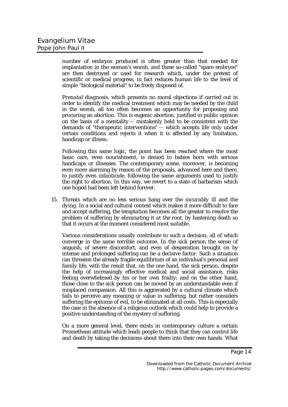number of embryos produced is often greater than that needed for implantation in the woman's womb, and these so-called "spare embryos" are then destroyed or used for research which, under the pretext of scientific or medical progress, in fact reduces human life to the level of simple "biological material" to be freely disposed of.

*Prenatal diagnosis,* which presents no moral objections if carried out in order to identify the medical treatment which may be needed by the child in the womb, all too often becomes an opportunity for proposing and procuring an abortion. This is eugenic abortion, justified in public opinion on the basis of a mentality -- mistakenly held to be consistent with the demands of "therapeutic interventions" -- which accepts life only under certain conditions and rejects it when it is affected by any limitation, handicap or illness.

Following this same logic, the point has been reached where the most basic care, even nourishment, is denied to babies born with serious handicaps or illnesses. The contemporary scene, moreover, is becoming even more alarming by reason of the proposals, advanced here and there, to justify even *infanticide,* following the same arguments used to justify the right to abortion. In this way, we revert to a state of barbarism which one hoped had been left behind forever.

15. Threats which are no less serious hang over the *incurably ill* and the *dying.* In a social and cultural context which makes it more difficult to face and accept suffering, the *temptation* becomes all the greater *to resolve the problem of suffering by eliminating it at the root,* by hastening death so that it occurs at the moment considered most suitable.

Various considerations usually contribute to such a decision, all of which converge in the same terrible outcome. In the sick person the sense of anguish, of severe discomfort, and even of desperation brought on by intense and prolonged suffering can be a decisive factor. Such a situation can threaten the already fragile equilibrium of an individual's personal and family life, with the result that, on the one hand, the sick person, despite the help of increasingly effective medical and social assistance, risks feeling overwhelmed by his or her own frailty; and on the other hand, those close to the sick person can be moved by an understandable even if misplaced compassion. All this is aggravated by a cultural climate which fails to perceive any meaning or value in suffering, but rather considers suffering the epitome of evil, to be eliminated at all costs. This is especially the case in the absence of a religious outlook which could help to provide a positive understanding of the mystery of suffering.

On a more general level, there exists in contemporary culture a certain Promethean attitude which leads people to think that they can control life and death by taking the decisions about them into their own hands. What

Downloaded from the Catholic Document Archive http://www.catholic-pages.com/documents/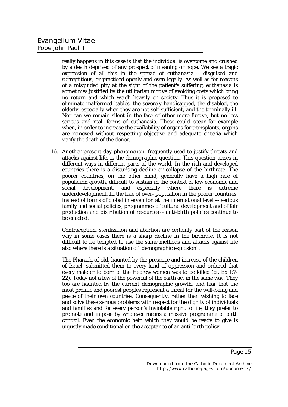really happens in this case is that the individual is overcome and crushed by a death deprived of any prospect of meaning or hope. We see a tragic expression of all this in the spread of *euthanasia* -- disguised and surreptitious, or practised openly and even legally. As well as for reasons of a misguided pity at the sight of the patient's suffering, euthanasia is sometimes justified by the utilitarian motive of avoiding costs which bring no return and which weigh heavily on society. Thus it is proposed to eliminate malformed babies, the severely handicapped, the disabled, the elderly, especially when they are not self-sufficient, and the terminally ill. Nor can we remain silent in the face of other more furtive, but no less serious and real, forms of euthanasia. These could occur for example when, in order to increase the availability of organs for transplants, organs are removed without respecting objective and adequate criteria which verify the death of the donor.

16. Another present-day *phenomenon,* frequently used to justify threats and attacks against life, is the *demographic* question. This question arises in different ways in different parts of the world. In the rich and developed countries there is a disturbing decline or collapse of the birthrate. The poorer countries, on the other hand, generally have a high rate of population growth, difficult to sustain in the context of low economic and social development, and especially where there is extreme underdevelopment. In the face of over- population in the poorer countries, instead of forms of global intervention at the international level -- serious family and social policies, programmes of cultural development and of fair production and distribution of resources -- anti-birth policies continue to be enacted.

Contraception, sterilization and abortion are certainly part of the reason why in some cases there is a sharp decline in the birthrate. It is not difficult to be tempted to use the same methods and attacks against life also where there is a situation of "demographic explosion".

The Pharaoh of old, haunted by the presence and increase of the children of Israel, submitted them to every kind of oppression and ordered that every male child born of the Hebrew women was to be killed (cf. *Ex* 1:7- 22). Today not a few of the powerful of the earth act in the same way. They too are haunted by the current demographic growth, and fear that the most prolific and poorest peoples represent a threat for the well-being and peace of their own countries. Consequently, rather than wishing to face and solve these serious problems with respect for the dignity of individuals and families and for every person's inviolable right to life, they prefer to promote and impose by whatever means a massive programme of birth control. Even the economic help which they would be ready to give is unjustly made conditional on the acceptance of an anti-birth policy.

Downloaded from the Catholic Document Archive http://www.catholic-pages.com/documents/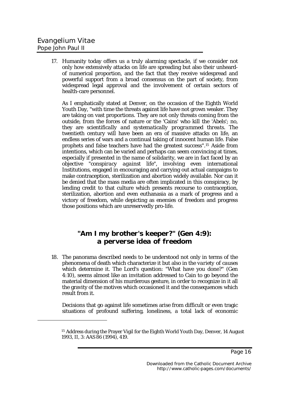1

17. Humanity today offers us a truly alarming spectacle, if we consider not only how extensively attacks on life are spreading but also their unheardof numerical proportion, and the fact that they receive widespread and powerful support from a broad consensus on the part of society, from widespread legal approval and the involvement of certain sectors of health-care personnel.

As I emphatically stated at Denver, on the occasion of the Eighth World Youth Day, "with time the threats against life have not grown weaker. They are taking on vast proportions. They are not only threats coming from the outside, from the forces of nature or the 'Cains' who kill the 'Abels'; no, they are *scientifically and systematically programmed threats.* The twentieth century will have been an era of massive attacks on life, an endless series of wars and a continual taking of innocent human life. False prophets and false teachers have had the greatest success".15 Aside from intentions, which can be varied and perhaps can seem convincing at times, especially if presented in the name of solidarity, we are in fact faced by an objective *"conspiracy against life",* involving even international Institutions, engaged in encouraging and carrying out actual campaigns to make contraception, sterilization and abortion widely available. Nor can it be denied that the mass media are often implicated in this conspiracy, by lending credit to that culture which presents recourse to contraception, sterilization, abortion and even euthanasia as a mark of progress and a victory of freedom, while depicting as enemies of freedom and progress those positions which are unreservedly pro-life.

## *"Am I my brother's keeper?" (Gen 4:9): a perverse idea of freedom*

18. The panorama described needs to be understood not only in terms of the phenomena of death which characterize it but also in the *variety of causes* which determine it. The Lord's question: "What have you done?" (*Gen* 4:10), seems almost like an invitation addressed to Cain to go beyond the material dimension of his murderous gesture, in order to recognize in it all the gravity of the *motives* which occasioned it and the *consequences* which result from it.

Decisions that go against life sometimes arise from difficult or even tragic situations of profound suffering, loneliness, a total lack of economic

<sup>15</sup> Address during the Prayer Vigil for the Eighth World Youth Day, Denver, 14 August 1993, II, 3: *AAS* 86 (1994), 419.

Downloaded from the Catholic Document Archive http://www.catholic-pages.com/documents/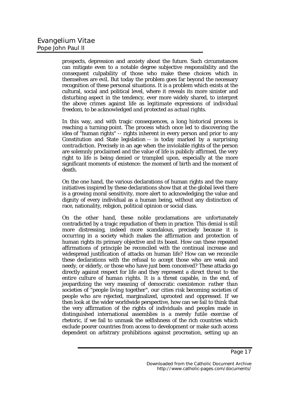prospects, depression and anxiety about the future. Such circumstances can mitigate even to a notable degree subjective responsibility and the consequent culpability of those who make these choices which in themselves are evil. But today the problem goes far beyond the necessary recognition of these personal situations. It is a problem which exists at the cultural, social and political level, where it reveals its more sinister and disturbing aspect in the tendency, ever more widely shared, to interpret the above crimes against life as *legitimate expressions of individual freedom, to be acknowledged and protected as actual rights.*

In this way, and with tragic consequences, a long historical process is reaching a turning-point. The process which once led to discovering the idea of "human rights" -- rights inherent in every person and prior to any Constitution and State legislation -- is today marked by a *surprising contradiction.* Precisely in an age when the inviolable rights of the person are solemnly proclaimed and the value of life is publicly affirmed, the very right to life is being denied or trampled upon, especially at the more significant moments of existence: the moment of birth and the moment of death.

On the one hand, the various declarations of human rights and the many initiatives inspired by these declarations show that at the global level there is a growing moral sensitivity, more alert to acknowledging the value and dignity of every individual as a human being, without any distinction of race, nationality, religion, political opinion or social class.

On the other hand, these noble proclamations are unfortunately contradicted by a tragic repudiation of them in practice. This denial is still more distressing, indeed more scandalous, precisely because it is occurring in a society which makes the affirmation and protection of human rights its primary objective and its boast. How can these repeated affirmations of principle be reconciled with the continual increase and widespread justification of attacks on human life? How can we reconcile these declarations with the refusal to accept those who are weak and needy, or elderly, or those who have just been conceived? These attacks go directly against respect for life and they represent a *direct threat to the entire culture of human rights.* It is a threat capable, in the end, of jeopardizing the very meaning of democratic coexistence: *rather than societies of "people living together", our cities risk becoming societies of people who are rejected,* marginalized, uprooted and oppressed. If we then look at the wider worldwide perspective, how can we fail to think that the very affirmation of the rights of individuals and peoples made in distinguished international assemblies is a merely futile exercise of rhetoric, if we fail to unmask the selfishness of the rich countries which exclude poorer countries from access to development or make such access dependent on arbitrary prohibitions against procreation, setting up an

Downloaded from the Catholic Document Archive http://www.catholic-pages.com/documents/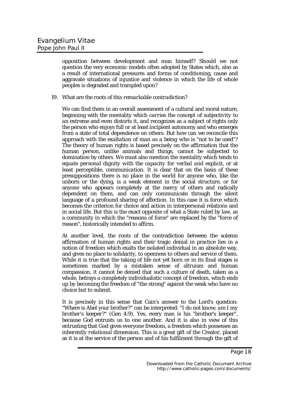opposition between development and man himself? Should we not question the very economic models often adopted by States which, also as a result of international pressures and forms of conditioning, cause and aggravate situations of injustice and violence in which the life of whole peoples is degraded and trampled upon?

#### 19. What are *the roots of this remarkable contradiction?*

We can find them in an overall assessment of a cultural and moral nature, beginning with the mentality which *carries the concept of subjectivity to an extreme* and even distorts it, and recognizes as a subject of rights only the person who enjoys full or at least incipient autonomy and who emerges from a state of total dependence on others. But how can we reconcile this approach with *the exaltation of man as a being who is "not to be used"?* The theory of human rights is based precisely on the affirmation that the human person, unlike animals and things, cannot be subjected to domination by others. We must also mention the mentality which tends to *equate personal dignity with the capacity for verbal and explicit,* or at least perceptible, *communication.* It is clear that on the basis of these presuppositions there is no place in the world for anyone who, like the unborn or the dying, is a weak element in the social structure, or for anyone who appears completely at the mercy of others and radically dependent on them, and can only communicate through the silent language of a profound sharing of affection. In this case it is force which becomes the criterion for choice and action in interpersonal relations and in social life. But this is the exact opposite of what a State ruled by law, as a community in which the "reasons of force" are replaced by the "force of reason", historically intended to affirm.

At another level, the roots of the contradiction between the solemn affirmation of human rights and their tragic denial in practice lies in a *notion of freedom* which exalts the isolated individual in an absolute way, and gives no place to solidarity, to openness to others and service of them. While it is true that the taking of life not yet born or in its final stages is sometimes marked by a mistaken sense of altruism and human compassion, it cannot be denied that such a culture of death, taken as a whole, betrays a completely individualistic concept of freedom, which ends up by becoming the freedom of "the strong" against the weak who have no choice but to submit.

It is precisely in this sense that Cain's answer to the Lord's question: "Where is Abel your brother?" can be interpreted: "I do not know; *am I my brother's keeper?"* (*Gen* 4:9). Yes, every man is his "brother's keeper", because God entrusts us to one another. And it is also in view of this entrusting that God gives everyone freedom, a freedom which possesses an *inherently relational dimension.* This is a great gift of the Creator, placed as it is at the service of the person and of his fulfilment through the gift of

Downloaded from the Catholic Document Archive http://www.catholic-pages.com/documents/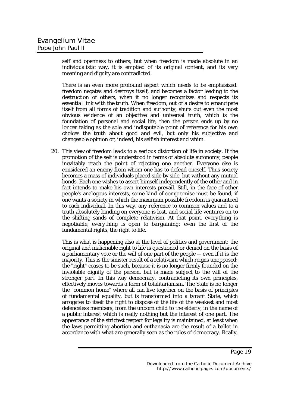self and openness to others; but when freedom is made absolute in an individualistic way, it is emptied of its original content, and its very meaning and dignity are contradicted.

There is an even more profound aspect which needs to be emphasized: freedom negates and destroys itself, and becomes a factor leading to the destruction of others, when it no longer recognizes and respects *its essential link with the truth.* When freedom, out of a desire to emancipate itself from all forms of tradition and authority, shuts out even the most obvious evidence of an objective and universal truth, which is the foundation of personal and social life, then the person ends up by no longer taking as the sole and indisputable point of reference for his own choices the truth about good and evil, but only his subjective and changeable opinion or, indeed, his selfish interest and whim.

20. This view of freedom *leads to a serious distortion of life in society.* If the promotion of the self is understood in terms of absolute autonomy, people inevitably reach the point of rejecting one another. Everyone else is considered an enemy from whom one has to defend oneself. Thus society becomes a mass of individuals placed side by side, but without any mutual bonds. Each one wishes to assert himself independently of the other and in fact intends to make his own interests prevail. Still, in the face of other people's analogous interests, some kind of compromise must be found, if one wants a society in which the maximum possible freedom is guaranteed to each individual. In this way, any reference to common values and to a truth absolutely binding on everyone is lost, and social life ventures on to the shifting sands of complete relativism. At that point, *everything is negotiable, everything is open to bargaining:* even the first of the fundamental rights, the right to life.

This is what is happening also at the level of politics and government: the original and inalienable right to life is questioned or denied on the basis of a parliamentary vote or the will of one part of the people -- even if it is the majority. This is the sinister result of a relativism which reigns unopposed: the "right" ceases to be such, because it is no longer firmly founded on the inviolable dignity of the person, but is made subject to the will of the stronger part. In this way democracy, contradicting its own principles, effectively moves towards a form of totalitarianism. The State is no longer the "common home" where all can live together on the basis of principles of fundamental equality, but is transformed into a *tyrant State,* which arrogates to itself the right to dispose of the life of the weakest and most defenceless members, from the unborn child to the elderly, in the name of a public interest which is really nothing but the interest of one part. The appearance of the strictest respect for legality is maintained, at least when the laws permitting abortion and euthanasia are the result of a ballot in accordance with what are generally seen as the rules of democracy. Really,

*Page 19*

Downloaded from the Catholic Document Archive http://www.catholic-pages.com/documents/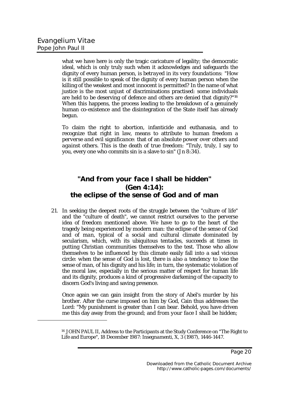1

what we have here is only the tragic caricature of legality; the democratic ideal, which is only truly such when it acknowledges and safeguards the dignity of every human person, *is betrayed in its very foundations:* "How is it still possible to speak of the dignity of every human person when the killing of the weakest and most innocent is permitted? In the name of what justice is the most unjust of discriminations practised: some individuals are held to be deserving of defence and others are denied that dignity?"<sup>16</sup> When this happens, the process leading to the breakdown of a genuinely human co-existence and the disintegration of the State itself has already begun.

To claim the right to abortion, infanticide and euthanasia, and to recognize that right in law, means to attribute to human freedom a *perverse and evil significance:* that of an *absolute power over others and against others.* This is the death of true freedom: "Truly, truly, I say to you, every one who commits sin is a slave to sin" (*Jn* 8:34).

## *"And from your face I shall be hidden" (Gen 4:14): the eclipse of the sense of God and of man*

21. In seeking the deepest roots of the struggle between the "culture of life" and the "culture of death", we cannot restrict ourselves to the perverse idea of freedom mentioned above. We have to go to the heart of the tragedy being experienced by modern man: *the eclipse of the sense of God and of man,* typical of a social and cultural climate dominated by secularism, which, with its ubiquitous tentacles, succeeds at times in putting Christian communities themselves to the test. Those who allow themselves to be influenced by this climate easily fall into a sad vicious circle: *when the sense of God is lost, there is also a tendency to lose the sense of man,* of his dignity and his life; in turn, the systematic violation of the moral law, especially in the serious matter of respect for human life and its dignity, produces a kind of progressive darkening of the capacity to discern God's living and saving presence.

Once again we can gain insight from the story of Abel's murder by his brother. After the curse imposed on him by God, Cain thus addresses the Lord: "My punishment is greater than I can bear. Behold, you have driven me this day away from the ground; and *from your face I shall be hidden;*

<sup>16</sup> JOHN PAUL II, Address to the Participants at the Study Conference on "The Right to Life and Europe", 18 December 1987: *Insegnamenti*, X, 3 (1987), 1446-1447.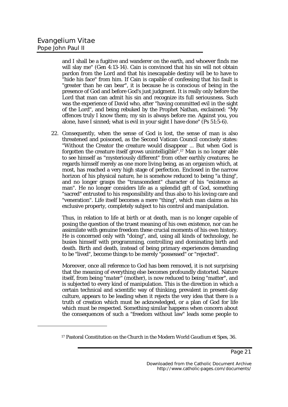$\overline{a}$ 

and I shall be a fugitive and wanderer on the earth, and whoever finds me will slay me" (*Gen* 4:13-14). Cain is convinced that his sin will not obtain pardon from the Lord and that his inescapable destiny will be to have to "hide his face" from him. If Cain is capable of confessing that his fault is "greater than he can bear", it is because he is conscious of being in the presence of God and before God's just judgment. It is really only before the Lord that man can admit his sin and recognize its full seriousness. Such was the experience of David who, after "having committed evil in the sight of the Lord", and being rebuked by the Prophet Nathan, exclaimed: "My offences truly I know them; my sin is always before me. Against you, you alone, have I sinned; what is evil in your sight I have done" (*Ps* 51:5-6).

22. Consequently, when the sense of God is lost, the sense of man is also threatened and poisoned, as the Second Vatican Council concisely states: "Without the Creator the creature would disappear ... But when God is forgotten the creature itself grows unintelligible".17 Man is no longer able to see himself as "mysteriously different" from other earthly creatures; he regards himself merely as one more living being, as an organism which, at most, has reached a very high stage of perfection. Enclosed in the narrow horizon of his physical nature, he is somehow reduced to being "a thing", and no longer grasps the "transcendent" character of his "existence as man". He no longer considers life as a splendid gift of God, something "sacred" entrusted to his responsibility and thus also to his loving care and "veneration". Life itself becomes a mere "thing", which man claims as his exclusive property, completely subject to his control and manipulation.

Thus, in relation to life at birth or at death, man is no longer capable of posing the question of the truest meaning of his own existence, nor can he assimilate with genuine freedom these crucial moments of his own history. He is concerned only with "doing", and, using all kinds of technology, he busies himself with programming, controlling and dominating birth and death. Birth and death, instead of being primary experiences demanding to be "lived", become things to be merely "possessed" or "rejected".

Moreover, once all reference to God has been removed, it is not surprising that the meaning of everything else becomes profoundly distorted. Nature itself, from being *"mater*" (mother), is now reduced to being "matter", and is subjected to every kind of manipulation. This is the direction in which a certain technical and scientific way of thinking, prevalent in present-day culture, appears to be leading when it rejects the very idea that there is a truth of creation which must be acknowledged, or a plan of God for life which must be respected. Something similar happens when concern about the consequences of such a "freedom without law" leads some people to

<sup>17</sup> Pastoral Constitution on the Church in the Modern World *Gaudium et Spes*, 36.

Downloaded from the Catholic Document Archive http://www.catholic-pages.com/documents/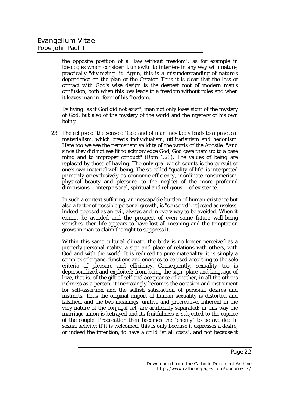the opposite position of a "law without freedom", as for example in ideologies which consider it unlawful to interfere in any way with nature, practically "divinizing" it. Again, this is a misunderstanding of nature's dependence on the plan of the Creator. Thus it is clear that the loss of contact with God's wise design is the deepest root of modern man's confusion, both when this loss leads to a freedom without rules and when it leaves man in "fear" of his freedom.

By living "as if God did not exist", man not only loses sight of the mystery of God, but also of the mystery of the world and the mystery of his own being.

23. The eclipse of the sense of God and of man inevitably leads to a *practical materialism,* which breeds individualism, utilitarianism and hedonism. Here too we see the permanent validity of the words of the Apostle: "And since they did not see fit to acknowledge God, God gave them up to a base mind and to improper conduct" (*Rom* 1:28). The values of *being* are replaced by those of *having.* The only goal which counts is the pursuit of one's own material well-being. The so-called "quality of life" is interpreted primarily or exclusively as economic efficiency, inordinate consumerism, physical beauty and pleasure, to the neglect of the more profound dimensions -- interpersonal, spiritual and religious -- of existence.

In such a context *suffering,* an inescapable burden of human existence but also a factor of possible personal growth, is "censored", rejected as useless, indeed opposed as an evil, always and in every way to be avoided. When it cannot be avoided and the prospect of even some future well-being vanishes, then life appears to have lost all meaning and the temptation grows in man to claim the right to suppress it.

Within this same cultural climate, the *body* is no longer perceived as a properly personal reality, a sign and place of relations with others, with God and with the world. It is reduced to pure materiality: it is simply a complex of organs, functions and energies to be used according to the sole criteria of pleasure and efficiency. Consequently, *sexuality* too is depersonalized and exploited: from being the sign, place and language of love, that is, of the gift of self and acceptance of another, in all the other's richness as a person, it increasingly becomes the occasion and instrument for self-assertion and the selfish satisfaction of personal desires and instincts. Thus the original import of human sexuality is distorted and falsified, and the two meanings, unitive and procreative, inherent in the very nature of the conjugal act, are artificially separated: in this way the marriage union is betrayed and its fruitfulness is subjected to the caprice of the couple. *Procreation* then becomes the "enemy" to be avoided in sexual activity: if it is welcomed, this is only because it expresses a desire, or indeed the intention, to have a child "at all costs", and not because it

*Page 22*

Downloaded from the Catholic Document Archive http://www.catholic-pages.com/documents/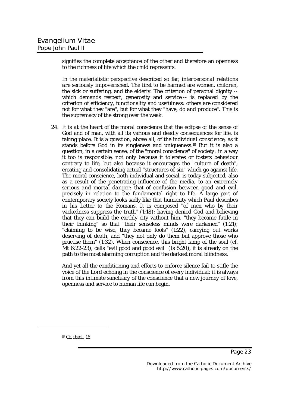signifies the complete acceptance of the other and therefore an openness to the richness of life which the child represents.

In the materialistic perspective described so far, *interpersonal relations are seriously impoverished.* The first to be harmed are women, children, the sick or suffering, and the elderly. The criterion of personal dignity - which demands respect, generosity and service -- is replaced by the criterion of efficiency, functionality and usefulness: others are considered not for what they "are", but for what they "have, do and produce". This is the supremacy of the strong over the weak.

24. *It is at the heart of the moral conscience* that the eclipse of the sense of God and of man, with all its various and deadly consequences for life, is taking place. It is a question, above all, of the *individual* conscience, as it stands before God in its singleness and uniqueness.18 But it is also a question, in a certain sense, of the "moral conscience" *of society:* in a way it too is responsible, not only because it tolerates or fosters behaviour contrary to life, but also because it encourages the "culture of death", creating and consolidating actual "structures of sin" which go against life. The moral conscience, both individual and social, is today subjected, also as a result of the penetrating influence of the media, to an *extremely serious and mortal danger:* that of *confusion between good and evil,* precisely in relation to the fundamental right to life. A large part of contemporary society looks sadly like that humanity which Paul describes in his Letter to the Romans. It is composed "of men who by their wickedness suppress the truth" (1:18): having denied God and believing that they can build the earthly city without him, "they became futile in their thinking" so that "their senseless minds were darkened" (1:21); "claiming to be wise, they became fools" (1:22), carrying out works deserving of death, and "they not only do them but approve those who practise them" (1:32). When conscience, this bright lamp of the soul (cf. *Mt* 6:22-23), calls "evil good and good evil" (*Is* 5:20), it is already on the path to the most alarming corruption and the darkest moral blindness.

And yet all the conditioning and efforts to enforce silence fail to stifle the voice of the Lord echoing in the conscience of every individual: it is always from this intimate sanctuary of the conscience that a new journey of love, openness and service to human life can begin.

<sup>18</sup> Cf. *ibid*., 16.

 $\overline{a}$ 

*Page 23*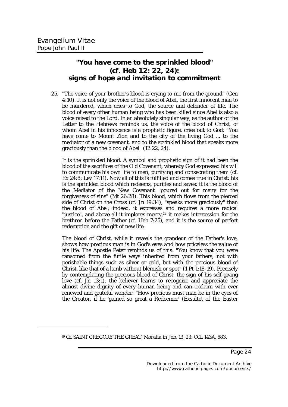$\overline{a}$ 

### *"You have come to the sprinkled blood" (cf. Heb 12: 22, 24): signs of hope and invitation to commitment*

25. "The voice of your brother's blood is crying to me from the ground" (*Gen* 4:10). It is not only the voice of the blood of Abel, the first innocent man to be murdered, which cries to God, the source and defender of life. The blood of every other human being who has been killed since Abel is also a voice raised to the Lord. In an absolutely singular way, as the author of the Letter to the Hebrews reminds us, *the voice of the blood of Christ,* of whom Abel in his innocence is a prophetic figure, cries out to God: "You have come to Mount Zion and to the city of the living God ... to the mediator of a new covenant, and to the sprinkled blood that speaks more graciously than the blood of Abel" (12:22, 24).

It is *the sprinkled blood.* A symbol and prophetic sign of it had been the blood of the sacrifices of the Old Covenant, whereby God expressed his will to communicate his own life to men, purifying and consecrating them (cf. *Ex* 24:8; *Lev* 17:11). Now all of this is fulfilled and comes true in Christ: his is the sprinkled blood which redeems, purifies and saves; it is the blood of the Mediator of the New Covenant "poured out for many for the forgiveness of sins" (*Mt* 26:28). This blood, which flows from the pierced side of Christ on the Cross (cf. *Jn* 19:34), "speaks more graciously" than the blood of Abel; indeed, it expresses and requires a more radical "justice", and above all it implores mercy,<sup>19</sup> it makes intercession for the brethren before the Father (cf. *Heb* 7:25), and it is the source of perfect redemption and the gift of new life.

The blood of Christ, while it reveals the grandeur of the Father's love, *shows how precious man is in God's eyes and how priceless the value of his life.* The Apostle Peter reminds us of this: "You know that you were ransomed from the futile ways inherited from your fathers, not with perishable things such as silver or gold, but with the precious blood of Christ, like that of a lamb without blemish or spot" (*1 Pt* 1:18-19). Precisely by contemplating the precious blood of Christ, the sign of his self-giving love (cf. *Jn* 13:1), the believer learns to recognize and appreciate the almost divine dignity of every human being and can exclaim with ever renewed and grateful wonder: "How precious must man be in the eyes of the Creator, if he 'gained so great a Redeemer' (*Exsultet* of the Easter

<sup>19</sup> Cf. SAINT GREGORY THE GREAT, *Moralia in Job*, 13, 23: *CCL* 143A, 683.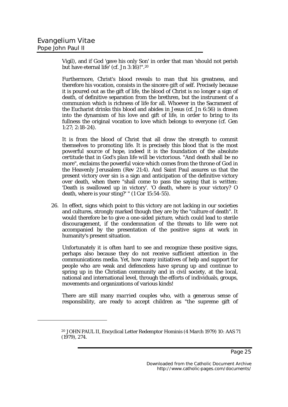1

Vigil), and if God 'gave his only Son' in order that man 'should not perish but have eternal life' (cf. *Jn* 3:16)!".<sup>20</sup>

Furthermore, Christ's blood reveals to man that his greatness, and therefore his vocation, consists in *the sincere gift of self.* Precisely because it is poured out as the gift of life, the blood of Christ is no longer a sign of death, of definitive separation from the brethren, but the instrument of a communion which is richness of life for all. Whoever in the Sacrament of the Eucharist drinks this blood and abides in Jesus (cf. *Jn* 6:56) is drawn into the dynamism of his love and gift of life, in order to bring to its fullness the original vocation to love which belongs to everyone (cf. *Gen* 1:27; 2:18-24).

It is from the blood of Christ that all draw *the strength to commit themselves to promoting life.* It is precisely this blood that is *the most powerful source of hope, indeed it is the foundation of the absolute certitude that in God's plan life will be victorious.* "And death shall be no more", exclaims the powerful voice which comes from the throne of God in the Heavenly Jerusalem (*Rev* 21:4). And Saint Paul assures us that the present victory over sin is a sign and anticipation of the definitive victory over death, when there "shall come to pass the saying that is written: 'Death is swallowed up in victory'. 'O death, where is your victory? O death, where is your sting?' " (*1 Cor* 15:54-55).

26. In effect, signs which point to this victory are not lacking in our societies and cultures, strongly marked though they are by the "culture of death". It would therefore be to give a one-sided picture, which could lead to sterile discouragement, if the condemnation of the threats to life were not accompanied by the presentation of the *positive signs* at work in humanity's present situation.

Unfortunately it is often hard to see and recognize these positive signs, perhaps also because they do not receive sufficient attention in the communications media. Yet, how many initiatives of help and support for people who are weak and defenceless have sprung up and continue to spring up in the Christian community and in civil society, at the local, national and international level, through the efforts of individuals, groups, movements and organizations of various kinds!

There are still many *married couples* who, with a generous sense of responsibility, are ready to accept children as "the supreme gift of

*Page 25*

<sup>20</sup> JOHN PAUL II, Encyclical Letter *Redemptor Hominis* (4 March 1979) 10: *AAS* 71 (1979), 274.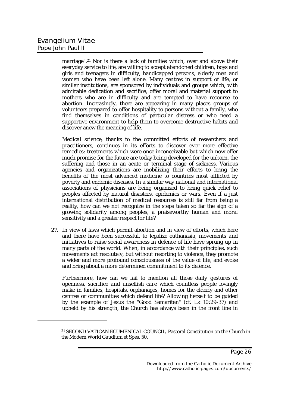1

marriage".21 Nor is there a lack of *families* which, over and above their everyday service to life, are willing to accept abandoned children, boys and girls and teenagers in difficulty, handicapped persons, elderly men and women who have been left alone. Many *centres in support of life,* or similar institutions, are sponsored by individuals and groups which, with admirable dedication and sacrifice, offer moral and material support to mothers who are in difficulty and are tempted to have recourse to abortion. Increasingly, there are appearing in many places *groups of volunteers* prepared to offer hospitality to persons without a family, who find themselves in conditions of particular distress or who need a supportive environment to help them to overcome destructive habits and discover anew the meaning of life.

*Medical science,* thanks to the committed efforts of researchers and practitioners, continues in its efforts to discover ever more effective remedies: treatments which were once inconceivable but which now offer much promise for the future are today being developed for the unborn, the suffering and those in an acute or terminal stage of sickness. Various agencies and organizations are mobilizing their efforts to bring the benefits of the most advanced medicine to countries most afflicted by poverty and endemic diseases. In a similar way national and international associations of physicians are being organized to bring quick relief to peoples affected by natural disasters, epidemics or wars. Even if a just international distribution of medical resources is still far from being a reality, how can we not recognize in the steps taken so far the sign of a growing solidarity among peoples, a praiseworthy human and moral sensitivity and a greater respect for life?

27. In view of laws which permit abortion and in view of efforts, which here and there have been successful, to legalize euthanasia, *movements and initiatives to raise social awareness in defence of life have sprung up in* many parts of the world. When, in accordance with their principles, such movements act resolutely, but without resorting to violence, they promote a wider and more profound consciousness of the value of life, and evoke and bring about a more determined commitment to its defence.

Furthermore, how can we fail to mention *all those daily gestures of openness, sacrifice and unselfish care* which countless people lovingly make in families, hospitals, orphanages, homes for the elderly and other centres or communities which defend life? Allowing herself to be guided by the example of Jesus the "Good Samaritan" (cf. *Lk* 10:29-37) and upheld by his strength, the Church has always been in the front line in

<sup>21</sup> SECOND VATICAN ECUMENICAL COUNCIL, Pastoral Constitution on the Church in the Modern World *Gaudium et Spes*, 50.

Downloaded from the Catholic Document Archive http://www.catholic-pages.com/documents/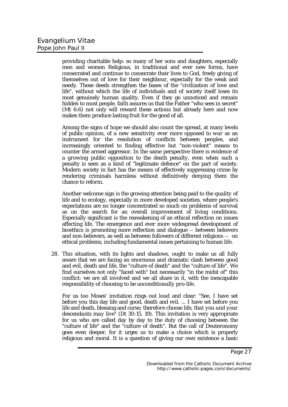providing charitable help: so many of her sons and daughters, especially men and women Religious, in traditional and ever new forms, have consecrated and continue to consecrate their lives to God, freely giving of themselves out of love for their neighbour, especially for the weak and needy. These deeds strengthen the bases of the "civilization of love and life", without which the life of individuals and of society itself loses its most genuinely human quality. Even if they go unnoticed and remain hidden to most people, faith assures us that the Father "who sees in secret" (*Mt* 6:6) not only will reward these actions but already here and now makes them produce lasting fruit for the good of all.

Among the signs of hope we should also count the spread, at many levels of public opinion, of *a new sensitivity ever more opposed to war* as an instrument for the resolution of conflicts between peoples, and increasingly oriented to finding effective but "non-violent" means to counter the armed aggressor. In the same perspective there is evidence of a *growing public opposition to the death penalty,* even when such a penalty is seen as a kind of "legitimate defence" on the part of society. Modern society in fact has the means of effectively suppressing crime by rendering criminals harmless without definitively denying them the chance to reform.

Another welcome sign is the growing attention being paid to the *quality of life* and to *ecology,* especially in more developed societies, where people's expectations are no longer concentrated so much on problems of survival as on the search for an overall improvement of living conditions. Especially significant is the reawakening of an ethical reflection on issues affecting life. The emergence and ever more widespread development of *bioethics* is promoting more reflection and dialogue -- between believers and non-believers, as well as between followers of different religions -- on ethical problems, including fundamental issues pertaining to human life.

28. This situation, with its lights and shadows, ought to make us all fully aware that we are facing an enormous and dramatic clash between good and evil, death and life, the "culture of death" and the "culture of life". We find ourselves not only "faced with" but necessarily "in the midst of" this conflict: we are all involved and we all share in it, with the inescapable responsibility of *choosing to be unconditionally pro-life.*

For us too Moses' invitation rings out loud and clear: "See, I have set before you this day life and good, death and evil. ... I have set before you life and death, blessing and curse; *therefore choose life, that you and your descendants may live*" (*Dt* 30:15, 19). This invitation is very appropriate for us who are called day by day to the duty of choosing between the "culture of life" and the "culture of death". But the call of Deuteronomy goes even deeper, for it urges us to make a choice which is properly religious and moral. It is a question of giving our own existence a basic

Downloaded from the Catholic Document Archive http://www.catholic-pages.com/documents/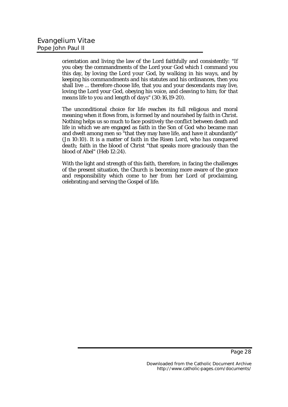orientation and living the law of the Lord faithfully and consistently: "If you obey the commandments of the Lord your God which I command you this day, by *loving the Lord your God,* by *walking in his ways,* and by *keeping his commandments* and his statutes and his ordinances, then you shall live ... therefore choose life, that you and your descendants may live, loving the Lord your God, obeying his voice, and cleaving to him; *for that means life to you and length of days*" (30:16,19-20).

The unconditional choice for life reaches its full religious and moral meaning when it flows from, is formed by and nourished by *faith in Christ.* Nothing helps us so much to face positively the conflict between death and life in which we are engaged as faith in the Son of God who became man and dwelt among men so "that they may have life, and have it abundantly" (*Jn* 10:10). It is a matter of *faith in the Risen Lord, who has conquered death;* faith in the blood of Christ "that speaks more graciously than the blood of Abel" (*Heb* 12:24).

With the light and strength of this faith, therefore, in facing the challenges of the present situation, the Church is becoming more aware of the grace and responsibility which come to her from her Lord of proclaiming, celebrating and serving the *Gospel of life.*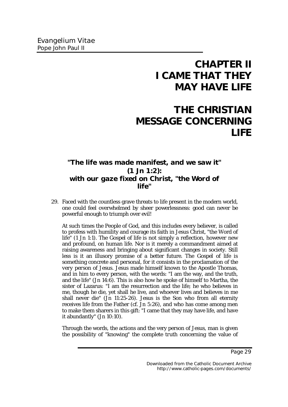## **CHAPTER II I CAME THAT THEY MAY HAVE LIFE**

## *THE CHRISTIAN MESSAGE CONCERNING LIFE*

## *"The life was made manifest, and we saw it" (1 Jn 1:2): with our gaze fixed on Christ, "the Word of life"*

29. Faced with the countless grave threats to life present in the modern world, one could feel overwhelmed by sheer powerlessness: good can never be powerful enough to triumph over evil!

At such times the People of God, and this includes every believer, is called to profess with humility and courage its faith in Jesus Christ, "the Word of life" (*1 Jn* 1:1). The *Gospel of life* is not simply a reflection, however new and profound, on human life. Nor is it merely a commandment aimed at raising awareness and bringing about significant changes in society. Still less is it an illusory promise of a better future. The *Gospel of life* is something concrete and personal, for it consists in the proclamation of *the very person of Jesus.* Jesus made himself known to the Apostle Thomas, and in him to every person, with the words: "I am the way, and the truth, and the life" (*Jn* 14:6). This is also how he spoke of himself to Martha, the sister of Lazarus: "I am the resurrection and the life; he who believes in me, though he die, yet shall he live, and whoever lives and believes in me shall never die" (*Jn* 11:25-26). Jesus is the Son who from all eternity receives life from the Father (cf. *Jn* 5:26), and who has come among men to make them sharers in this gift: "I came that they may have life, and have it abundantly" (*Jn* 10:10).

Through the words, the actions and the very person of Jesus, man is given the possibility of "knowing" *the complete truth* concerning the value of

*Page 29*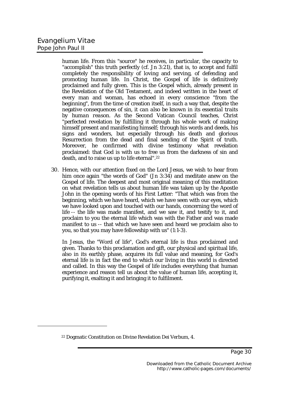$\overline{a}$ 

human life. From this "source" he receives, in particular, the capacity to "accomplish" this truth perfectly (cf. *Jn* 3:21), that is, to accept and fulfil completely the responsibility of loving and serving, of defending and promoting human life. In Christ, the *Gospel of life* is definitively proclaimed and fully given. This is the Gospel which, already present in the Revelation of the Old Testament, and indeed written in the heart of every man and woman, has echoed in every conscience "from the beginning", from the time of creation itself, in such a way that, despite the negative consequences of sin, *it can also be known in its essential traits by human reason.* As the Second Vatican Council teaches, Christ "perfected revelation by fulfilling it through his whole work of making himself present and manifesting himself; through his words and deeds, his signs and wonders, but especially through his death and glorious Resurrection from the dead and final sending of the Spirit of truth. Moreover, he confirmed with divine testimony what revelation proclaimed: that God is with us to free us from the darkness of sin and death, and to raise us up to life eternal".<sup>22</sup>

30. Hence, with our attention fixed on the Lord Jesus, we wish to hear from him once again "the words of God" (*Jn* 3:34) and meditate anew on the *Gospel of life.* The deepest and most original meaning of this meditation on what revelation tells us about human life was taken up by the Apostle John in the opening words of his First Letter: "That which was from the beginning, which we have heard, which we have seen with our eyes, which we have looked upon and touched with our hands, concerning the word of life -- the life was made manifest, and we saw it, and testify to it, and proclaim to you the eternal life which was with the Father and was made manifest to us -- that which we have seen and heard we proclaim also to you, so that you may have fellowship with us" (1:1-3).

In Jesus, the "Word of life", God's eternal life is thus proclaimed and given. Thanks to this proclamation and gift, our physical and spiritual life, also in its earthly phase, acquires its full value and meaning, for God's eternal life is in fact the end to which our living in this world is directed and called. In this way the *Gospel of life* includes everything that human experience and reason tell us about the value of human life, accepting it, purifying it, exalting it and bringing it to fulfilment.

*Page 30*

<sup>22</sup> Dogmatic Constitution on Divine Revelation *Dei Verbum*, 4.

Downloaded from the Catholic Document Archive http://www.catholic-pages.com/documents/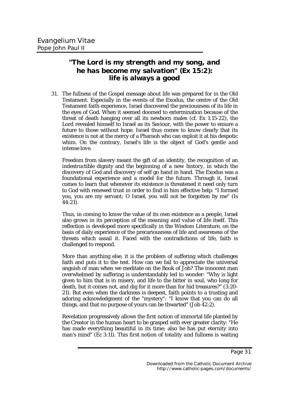### *"The Lord is my strength and my song, and he has become my salvation" (Ex 15:2): life is always a good*

31. The fullness of the Gospel message about life was prepared for in the Old Testament. Especially in the events of the Exodus, the centre of the Old Testament faith experience, Israel discovered the preciousness of its life in the eyes of God. When it seemed doomed to extermination because of the threat of death hanging over all its newborn males (cf. *Ex* 1:15-22), the Lord revealed himself to Israel as its Saviour, with the power to ensure a future to those without hope. Israel thus comes to know clearly that *its existence* is not at the mercy of a Pharaoh who can exploit it at his despotic whim. On the contrary, Israel's life is *the object of God's gentle and intense love.*

Freedom from slavery meant the gift of an identity, the recognition of an indestructible dignity and *the beginning of a new history,* in which the discovery of God and discovery of self go hand in hand. The Exodus was a foundational experience and a model for the future. Through it, Israel comes to learn that whenever its existence is threatened it need only turn to God with renewed trust in order to find in him effective help: "I formed you, you are my servant; O Israel, you will not be forgotten by me" (*Is* 44:21).

Thus, in coming to know the value of its own existence as a people, Israel also grows in its *perception of the meaning and value of life itself*. This reflection is developed more specifically in the Wisdom Literature, on the basis of daily experience of the precariousness of life and awareness of the threats which assail it. Faced with the contradictions of life, faith is challenged to respond.

More than anything else, it is the problem of suffering which challenges faith and puts it to the test. How can we fail to appreciate the universal anguish of man when we meditate on the Book of Job? The innocent man overwhelmed by suffering is understandably led to wonder: "Why is light given to him that is in misery, and life to the bitter in soul, who long for death, but it comes not, and dig for it more than for hid treasures?" (3:20- 21). But even when the darkness is deepest, faith points to a trusting and adoring acknowledgment of the "mystery": "I know that you can do all things, and that no purpose of yours can be thwarted" (*Job* 42:2).

Revelation progressively allows the first notion of immortal life planted by the Creator in the human heart to be grasped with ever greater clarity: "He has made everything beautiful in its time; also he has put eternity into man's mind" (*Ec* 3:11). This *first notion of totality and fullness* is waiting

Downloaded from the Catholic Document Archive http://www.catholic-pages.com/documents/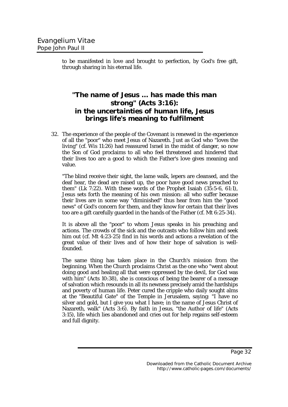to be manifested in love and brought to perfection, by God's free gift, through sharing in his eternal life.

### *"The name of Jesus ... has made this man strong" (Acts 3:16): in the uncertainties of human life, Jesus brings life's meaning to fulfilment*

32. The experience of the people of the Covenant is renewed in the experience of all the "poor" who meet Jesus of Nazareth. Just as God who "loves the living" (cf. *Wis* 11:26) had reassured Israel in the midst of danger, so now the Son of God proclaims to all who feel threatened and hindered that their lives too are a good to which the Father's love gives meaning and value.

"The blind receive their sight, the lame walk, lepers are cleansed, and the deaf hear, the dead are raised up, the poor have good news preached to them" (*Lk* 7:22). With these words of the Prophet Isaiah (35:5-6, 61:1), Jesus sets forth the meaning of his own mission: all who suffer because their lives are in some way "diminished" thus hear from him the "good news" of God's concern for them, and they know for certain that their lives too are a gift carefully guarded in the hands of the Father (cf. *Mt* 6:25-34).

It is above all the "poor" to whom Jesus speaks in his preaching and actions. The crowds of the sick and the outcasts who follow him and seek him out (cf. *Mt* 4:23-25) find in his words and actions a revelation of the great value of their lives and of how their hope of salvation is wellfounded.

The same thing has taken place in the Church's mission from the beginning. When the Church proclaims Christ as the one who "went about doing good and healing all that were oppressed by the devil, for God was with him" (*Acts* 10:38), she is conscious of being the bearer of a message of salvation which resounds in all its newness precisely amid the hardships and poverty of human life. Peter cured the cripple who daily sought alms at the "Beautiful Gate" of the Temple in Jerusalem, saying: "I have no silver and gold, but I give you what I have; in the name of Jesus Christ of Nazareth, walk" (*Acts* 3:6). By faith in Jesus, "the Author of life" (*Acts* 3:15), life which lies abandoned and cries out for help regains self-esteem and full dignity.

*Page 32*

Downloaded from the Catholic Document Archive http://www.catholic-pages.com/documents/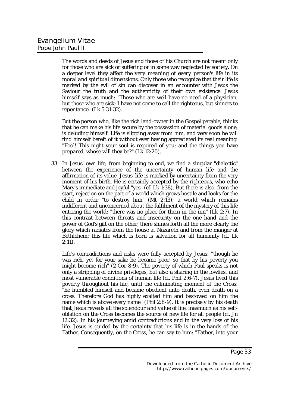The words and deeds of Jesus and those of his Church are not meant only for those who are sick or suffering or in some way neglected by society. On a deeper level they affect *the very meaning of every person's life in its moral and spiritual dimensions.* Only those who recognize that their life is marked by the evil of sin can discover in an encounter with Jesus the Saviour the truth and the authenticity of their own existence. Jesus himself says as much: "Those who are well have no need of a physician, but those who are sick; I have not come to call the righteous, but sinners to repentance" (*Lk* 5:31-32).

But the person who, like the rich land-owner in the Gospel parable, thinks that he can make his life secure by the possession of material goods alone, is deluding himself. Life is slipping away from him, and very soon he will find himself bereft of it without ever having appreciated its real meaning: "Fool! This night your soul is required of you; and the things you have prepared, whose will they be?" (*Lk* 12:20).

33. In Jesus' own life, from beginning to end, we find a singular "dialectic" between the experience of the uncertainty of human life and the affirmation of its value. Jesus' life is marked by uncertainty from the very moment of his birth. He is certainly *accepted* by the righteous, who echo Mary's immediate and joyful "yes" (cf. *Lk* 1:38). But there is also, from the start, *rejection* on the part of a world which grows hostile and looks for the child in order "to destroy him" (*Mt* 2:13); a world which remains indifferent and unconcerned about the fulfilment of the mystery of this life entering the world: "there was no place for them in the inn" (*Lk* 2:7). In this contrast between threats and insecurity on the one hand and the power of God's gift on the other, there shines forth all the more clearly the glory which radiates from the house at Nazareth and from the manger at Bethlehem: this life which is born is salvation for all humanity (cf. *Lk* 2:11).

Life's contradictions and risks were fully accepted by Jesus: "though he was rich, yet for your sake he became poor, so that by his poverty you might become rich" (*2 Cor* 8:9). The poverty of which Paul speaks is not only a stripping of divine privileges, but also a sharing in the lowliest and most vulnerable conditions of human life (cf. *Phil* 2:6-7). Jesus lived this poverty throughout his life, until the culminating moment of the Cross: "he humbled himself and became obedient unto death, even death on a cross. Therefore God has highly exalted him and bestowed on him the name which is above every name" (*Phil* 2:8-9). It is precisely *by his death* that *Jesus reveals all the splendour and value of life,* inasmuch as his selfoblation on the Cross becomes the source of new life for all people (cf. *Jn* 12:32). In his journeying amid contradictions and in the very loss of his life, Jesus is guided by the certainty that his life is in the hands of the Father. Consequently, on the Cross, he can say to him: "Father, into your

*Page 33*

Downloaded from the Catholic Document Archive http://www.catholic-pages.com/documents/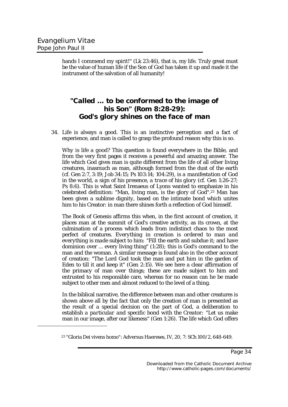$\ddot{\phantom{a}}$ 

hands I commend my spirit!" (*Lk* 23:46), that is, my life. Truly great must be the value of human life if the Son of God has taken it up and made it the instrument of the salvation of all humanity!

## *"Called ... to be conformed to the image of his Son" (Rom 8:28-29): God's glory shines on the face of man*

34. Life is always a good. This is an instinctive perception and a fact of experience, and man is called to grasp the profound reason why this is so.

*Why is life a good?* This question is found everywhere in the Bible, and from the very first pages it receives a powerful and amazing answer. The life which God gives man is quite different from the life of all other living creatures, inasmuch as man, although formed from the dust of the earth (cf. *Gen* 2:7, 3:19; *Job* 34:15; *Ps* 103:14; 104:29), *is a manifestation of God in the world, a sign of his presence, a trace of his glory* (cf. *Gen* 1:26-27; *Ps* 8:6). This is what Saint Irenaeus of Lyons wanted to emphasize in his celebrated definition: "Man, living man, is the glory of God".23 Man has been given *a sublime dignity,* based on the intimate bond which unites him to his Creator: in man there shines forth a reflection of God himself.

The Book of Genesis affirms this when, in the first account of creation, it places man at the summit of God's creative activity, as its crown, at the culmination of a process which leads from indistinct chaos to the most perfect of creatures. *Everything in creation is ordered to man and everything is made subject to him:* "Fill the earth and subdue it; and have dominion over ... every living thing" (1:28); this is God's command to the man and the woman. A similar message is found also in the other account of creation: "The Lord God took the man and put him in the garden of Eden to till it and keep it" (*Gen* 2:15). We see here a clear affirmation of the primacy of man over things; these are made subject to him and entrusted to his responsible care, whereas for no reason can he be made subject to other men and almost reduced to the level of a thing.

In the biblical narrative, the difference between man and other creatures is shown above all by the fact that only the creation of man is presented as the result of a special decision on the part of God, a deliberation to establish *a particular and specific bond with the Creator:* "Let us make man in our image, after our likeness" (*Gen* 1:26). *The life* which God offers

<sup>23</sup> "Gloria Dei vivens homo": *Adversus Haereses*, IV, 20, 7: *SCh* 100/2, 648-649.

Downloaded from the Catholic Document Archive http://www.catholic-pages.com/documents/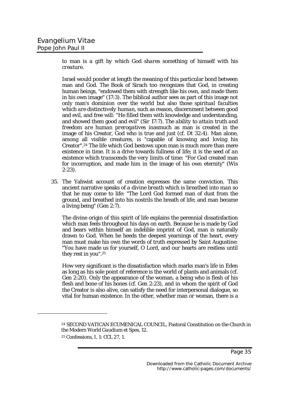to man *is a gift by which God shares something of himself with his creature.*

Israel would ponder at length the meaning of this particular bond between man and God. The Book of Sirach too recognizes that God, in creating human beings, "endowed them with strength like his own, and made them in his own image" (17:3). The biblical author sees as part of this image not only man's dominion over the world but also *those spiritual faculties which are distinctively human,* such as reason, discernment between good and evil, and free will: "He filled them with knowledge and understanding, and showed them good and evil" (*Sir* 17:7). *The ability to attain truth and freedom are human prerogatives* inasmuch as man is created in the image of his Creator, God who is true and just (cf. *Dt* 32:4). Man alone, among all visible creatures, is "capable of knowing and loving his Creator".24 The life which God bestows upon man is much more than mere existence in time. It is a drive towards fullness of life; *it is the seed of an existence which transcends the very limits of time:* "For God created man for incorruption, and made him in the image of his own eternity" (*Wis* 2:23).

35. The Yahwist account of creation expresses the same conviction. This ancient narrative speaks of *a divine breath* which *is breathed into man* so that he may come to life: "The Lord God formed man of dust from the ground, and breathed into his nostrils the breath of life; and man became a living being" (*Gen* 2:7).

The divine origin of this spirit of life explains the perennial dissatisfaction which man feels throughout his days on earth. Because he is made by God and bears within himself an indelible imprint of God, man is naturally drawn to God. When he heeds the deepest yearnings of the heart, every man must make his own the words of truth expressed by Saint Augustine: "You have made us for yourself, O Lord, and our hearts are restless until they rest in you".<sup>25</sup>

How very significant is the dissatisfaction which marks man's life in Eden as long as his sole point of reference is the world of plants and animals (cf. *Gen* 2:20). Only the appearance of the woman, a being who is flesh of his flesh and bone of his bones (cf. *Gen* 2:23), and in whom the spirit of God the Creator is also alive, can satisfy the need for interpersonal dialogue, so vital for human existence. In the other, whether man or woman, there is a

 $\overline{a}$ 

*Page 35*

<sup>24</sup> SECOND VATICAN ECUMENICAL COUNCIL, Pastoral Constitution on the Church in the Modern World *Gaudium et Spes*, 12.

<sup>25</sup> *Confessions*, I, 1: *CCL* 27, 1.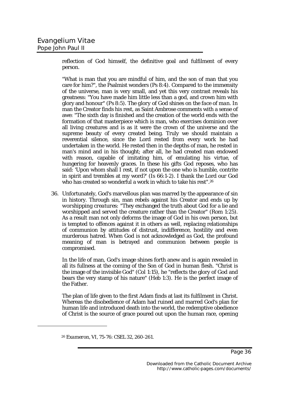reflection of God himself, the definitive goal and fulfilment of every person.

"What is man that you are mindful of him, and the son of man that you care for him?", the Psalmist wonders (*Ps* 8:4). Compared to the immensity of the universe, man is very small, and yet this very contrast reveals his greatness: "You have made him little less than a god, and crown him with glory and honour" (*Ps* 8:5). *The glory of God shines on the face of man.* In man the Creator finds his rest, as Saint Ambrose comments with a sense of awe: "The sixth day is finished and the creation of the world ends with the formation of that masterpiece which is man, who exercises dominion over all living creatures and is as it were the crown of the universe and the supreme beauty of every created being. Truly we should maintain a reverential silence, since the Lord rested from every work he had undertaken in the world. He rested then in the depths of man, he rested in man's mind and in his thought; after all, he had created man endowed with reason, capable of imitating him, of emulating his virtue, of hungering for heavenly graces. In these his gifts God reposes, who has said: 'Upon whom shall I rest, if not upon the one who is humble, contrite in spirit and trembles at my word?' (*Is* 66:1-2). I thank the Lord our God who has created so wonderful a work in which to take his rest".<sup>26</sup>

36. Unfortunately, God's marvellous plan was marred by the appearance of sin in history. Through sin, man rebels against his Creator and ends up by *worshipping creatures:* "They exchanged the truth about God for a lie and worshipped and served the creature rather than the Creator" (*Rom* 1:25). As a result man not only deforms the image of God in his own person, but is tempted to offences against it in others as well, replacing relationships of communion by attitudes of distrust, indifference, hostility and even murderous hatred. When *God* is not acknowledged *as God,* the profound meaning of man is betrayed and communion between people is compromised.

In the life of man, God's image shines forth anew and is again revealed in all its fullness at the coming of the Son of God in human flesh. "Christ is the image of the invisible God" (*Col* 1:15), he "reflects the glory of God and bears the very stamp of his nature" (*Heb* 1:3). He is the perfect image of the Father.

The plan of life given to the first Adam finds at last its fulfilment in Christ. Whereas the disobedience of Adam had ruined and marred God's plan for human life and introduced death into the world, the redemptive obedience of Christ is the source of grace poured out upon the human race, opening

 $\ddot{\phantom{a}}$ 

<sup>26</sup> *Exameron*, VI, 75-76: *CSEL* 32, 260-261.

Downloaded from the Catholic Document Archive http://www.catholic-pages.com/documents/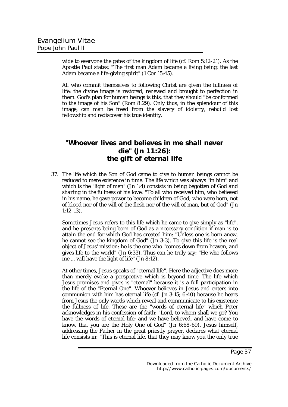wide to everyone the gates of the kingdom of life (cf. *Rom* 5:12-21). As the Apostle Paul states: "The first man Adam became a living being; the last Adam became a life-giving spirit" (*1 Cor* 15:45).

All who commit themselves to following Christ are given the fullness of life: the divine image is restored, renewed and brought to perfection in them. God's plan for human beings is this, that they should "be conformed to the image of his Son" (*Rom* 8:29). Only thus, in the splendour of this image, can man be freed from the slavery of idolatry, rebuild lost fellowship and rediscover his true identity.

## *"Whoever lives and believes in me shall never die" (Jn 11:26): the gift of eternal life*

37. The life which the Son of God came to give to human beings cannot be reduced to mere existence in time. The life which was always "in him" and which is the "light of men" (*Jn* 1:4) *consists in being begotten of God and sharing in the fullness of his love:* "To all who received him, who believed in his name, he gave power to become children of God; who were born, not of blood nor of the will of the flesh nor of the will of man, but of God" (*Jn* 1:12-13).

Sometimes Jesus refers to this life which he came to give simply as "life", and he presents being born of God as a necessary condition if man is to attain the end for which God has created him: "Unless one is born anew, he cannot see the kingdom of God" (*Jn* 3:3). To give this life is the real object of Jesus' mission: he is the one who "comes down from heaven, and gives life to the world" (*Jn* 6:33). Thus can he truly say: "He who follows me ... will have the light of life" (*Jn* 8:12).

At other times, Jesus speaks of "eternal life". Here the adjective does more than merely evoke a perspective which is beyond time. The life which Jesus promises and gives is "eternal" because it is a full participation in the life of the "Eternal One". Whoever believes in Jesus and enters into communion with him has eternal life (cf. *Jn* 3:15; 6:40) because he hears from Jesus the only words which reveal and communicate to his existence the fullness of life. These are the "words of eternal life" which Peter acknowledges in his confession of faith: "Lord, to whom shall we go? You have the words of eternal life; and we have believed, and have come to know, that you are the Holy One of God" (*Jn* 6:68-69). Jesus himself, addressing the Father in the great priestly prayer, declares what eternal life consists in: "This is eternal life, that they may know you the only true

Downloaded from the Catholic Document Archive http://www.catholic-pages.com/documents/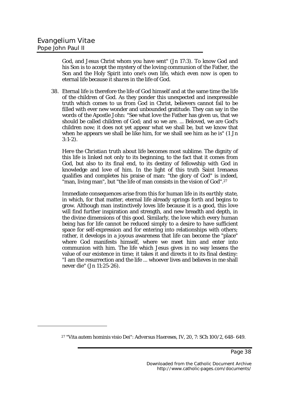$\ddot{\phantom{a}}$ 

God, and Jesus Christ whom you have sent" (*Jn* 17:3). To know God and his Son is to accept the mystery of the loving communion of the Father, the Son and the Holy Spirit into one's own life, which *even now* is open to eternal life because it *shares in the life of God.*

38. Eternal life is therefore the life of God himself and at the same time the *life of the children of God.* As they ponder this unexpected and inexpressible truth which comes to us from God in Christ, believers cannot fail to be filled with ever new wonder and unbounded gratitude. They can say in the words of the Apostle John: "See what love the Father has given us, that we should be called children of God; and so we are. ... Beloved, we are God's children now; it does not yet appear what we shall be, but we know that when he appears we shall be like him, for we shall see him as he is" (*1 Jn* 3:1-2).

*Here the Christian truth about life becomes most sublime.* The dignity of this life is linked not only to its beginning, to the fact that it comes from God, but also to its final end, to its destiny of fellowship with God in knowledge and love of him. In the light of this truth Saint Irenaeus qualifies and completes his praise of man: "the glory of God" is indeed, "man, living man", but "the life of man consists in the vision of God".<sup>27</sup>

Immediate consequences arise from this for human life in its *earthly state,* in which, for that matter, eternal life already springs forth and begins to grow. Although man instinctively loves life because it is a good, this love will find further inspiration and strength, and new breadth and depth, in the divine dimensions of this good. Similarly, the love which every human being has for life cannot be reduced simply to a desire to have sufficient space for self-expression and for entering into relationships with others; rather, it develops in a joyous awareness that life can become the "place" where God manifests himself, where we meet him and enter into communion with him. The life which Jesus gives in no way lessens the value of our existence in time; it takes it and directs it to its final destiny: "I am the resurrection and the life ... whoever lives and believes in me shall never die" (*Jn* 11:25-26).

*Page 38*

<sup>27</sup> "Vita autem hominis visio Dei": *Adversus Haereses*, IV, 20, 7: *SCh* 100/2, 648- 649.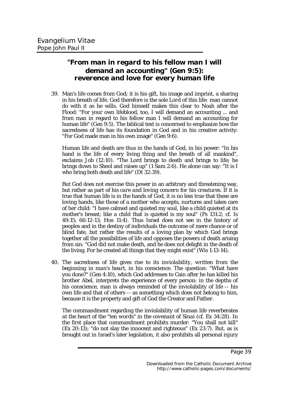## *"From man in regard to his fellow man I will demand an accounting" (Gen 9:5): reverence and love for every human life*

39. Man's life comes from God; it is his gift, his image and imprint, a sharing in his breath of life. *God* therefore *is the sole Lord of this life:* man cannot do with it as he wills. God himself makes this clear to Noah after the Flood: "For your own lifeblood, too, I will demand an accounting ... and from man in regard to his fellow man I will demand an accounting for human life" (*Gen* 9:5). The biblical text is concerned to emphasize how the sacredness of life has its foundation in God and in his creative activity: "For God made man in his own image" (*Gen* 9:6).

Human life and death are thus in the hands of God, in his power: "In his hand is the life of every living thing and the breath of all mankind", exclaims Job (12:10). "The Lord brings to death and brings to life; he brings down to Sheol and raises up" (*1 Sam* 2:6). He alone can say: "It is I who bring both death and life" (*Dt* 32:39).

But God does not exercise this power in an arbitrary and threatening way, but rather as part of his *care and loving concern for his creatures.* If it is true that human life is in the hands of God, it is no less true that these are loving hands, like those of a mother who accepts, nurtures and takes care of her child: "I have calmed and quieted my soul, like a child quieted at its mother's breast; like a child that is quieted is my soul" (*Ps* 131:2; cf. *Is* 49:15; 66:12-13; *Hos* 11:4). Thus Israel does not see in the history of peoples and in the destiny of individuals the outcome of mere chance or of blind fate, but rather the results of a loving plan by which God brings together all the possibilities of life and opposes the powers of death arising from sin: "God did not make death, and he does not delight in the death of the living. For he created all things that they might exist" (*Wis* 1:13-14).

40. The sacredness of life gives rise to its *inviolability, written from the beginning in man's heart,* in his conscience. The question: "What have you done?" (*Gen* 4:10), which God addresses to Cain after he has killed his brother Abel, interprets the experience of every person: in the depths of his conscience, man is always reminded of the inviolability of life -- his own life and that of others -- as something which does not belong to him, because it is the property and gift of God the Creator and Father.

The commandment regarding the inviolability of human life reverberates *at the heart of the "ten words" in the covenant of Sinai* (cf. *Ex* 34:28). In the first place that commandment prohibits murder: "You shall not kill" (*Ex* 20:13); "do not slay the innocent and righteous" (*Ex* 23:7). But, as is brought out in Israel's later legislation, it also prohibits all personal injury

Downloaded from the Catholic Document Archive http://www.catholic-pages.com/documents/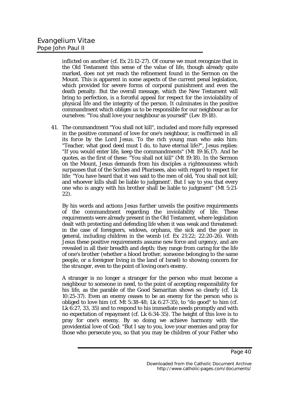inflicted on another (cf. *Ex* 21:12-27). Of course we must recognize that in the Old Testament this sense of the value of life, though already quite marked, does not yet reach the refinement found in the Sermon on the Mount. This is apparent in some aspects of the current penal legislation, which provided for severe forms of corporal punishment and even the death penalty. But the overall message, which the New Testament will bring to perfection, is a forceful appeal for respect for the inviolability of physical life and the integrity of the person. It culminates in the positive commandment which obliges us to be responsible for our neighbour as for ourselves: "You shall love your neighbour as yourself" (*Lev* 19:18).

41. The commandment "You shall not kill", included and more fully expressed in the positive command of love for one's neighbour, is *reaffirmed in all its force by the Lord Jesus.* To the rich young man who asks him: "Teacher, what good deed must I do, to have eternal life?", Jesus replies: "If you would enter life, keep the commandments" (*Mt* 19:16,17). And he quotes, as the first of these: "You shall not kill" (*Mt* 19:18). In the Sermon on the Mount, Jesus demands from his disciples a *righteousness which surpasses* that of the Scribes and Pharisees, also with regard to respect for life: "You have heard that it was said to the men of old, 'You shall not kill; and whoever kills shall be liable to judgment'. But I say to you that every one who is angry with his brother shall be liable to judgment" (*Mt* 5:21- 22).

By his words and actions Jesus further unveils the positive requirements of the commandment regarding the inviolability of life. These requirements were already present in the Old Testament, where legislation dealt with protecting and defending life when it was weak and threatened: in the case of foreigners, widows, orphans, the sick and the poor in general, including children in the womb (cf. *Ex* 21:22; 22:20-26). With Jesus these positive requirements assume new force and urgency, and are revealed in all their breadth and depth: they range from caring for the life of one's *brother* (whether a blood brother, someone belonging to the same people, or a foreigner living in the land of Israel) to showing concern for the *stranger,* even to the point of loving one's *enemy.*

A stranger is no longer a stranger for the person who must *become a neighbour* to someone in need, to the point of accepting responsibility for his life, as the parable of the Good Samaritan shows so clearly (cf. *Lk* 10:25-37). Even an enemy ceases to be an enemy for the person who is obliged to love him (cf. *Mt* 5:38-48; *Lk* 6:27-35), to "do good" to him (cf. *Lk* 6:27, 33, 35) and to respond to his immediate needs promptly and with no expectation of repayment (cf. *Lk* 6:34-35). The height of this love is to pray for one's enemy. By so doing we achieve harmony with the providential love of God: "But I say to you, love your enemies and pray for those who persecute you, so that you may be children of your Father who

*Page 40*

Downloaded from the Catholic Document Archive http://www.catholic-pages.com/documents/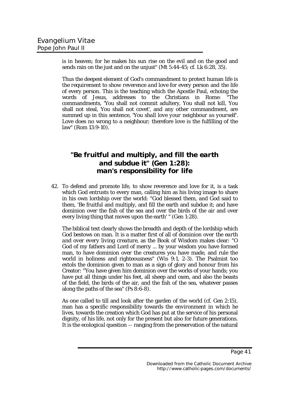is in heaven; for he makes his sun rise on the evil and on the good and sends rain on the just and on the unjust" (*Mt* 5:44-45; cf. *Lk* 6:28, 35).

Thus the deepest element of God's commandment to protect human life is the *requirement to show reverence and love* for every person and the life of every person. This is the teaching which the Apostle Paul, echoing the words of Jesus, addresses to the Christians in Rome: "The commandments, 'You shall not commit adultery, You shall not kill, You shall not steal, You shall not covet', and any other commandment, are summed up in this sentence, *'You shall love your neighbour as yourself'*. Love does no wrong to a neighbour; therefore love is the fulfilling of the law" (*Rom* 13:9-10).

## *"Be fruitful and multiply, and fill the earth and subdue it" (Gen 1:28): man's responsibility for life*

42. To defend and promote life, to show reverence and love for it, is a task which God entrusts to every man, calling him as his living image to share in his own lordship over the world: "God blessed them, and God said to them, 'Be fruitful and multiply, and fill the earth and subdue it; and have dominion over the fish of the sea and over the birds of the air and over every living thing that moves upon the earth' " (*Gen* 1:28).

The biblical text clearly shows the breadth and depth of the lordship which God bestows on man. It is a matter first of all of *dominion over the earth and over every living creature,* as the Book of Wisdom makes clear: "O God of my fathers and Lord of mercy ... by your wisdom you have formed man, to have dominion over the creatures you have made, and rule the world in holiness and righteousness" (*Wis* 9:1, 2-3). The Psalmist too extols the dominion given to man as a sign of glory and honour from his Creator: "You have given him dominion over the works of your hands; you have put all things under his feet, all sheep and oxen, and also the beasts of the field, the birds of the air, and the fish of the sea, whatever passes along the paths of the sea" (*Ps* 8:6-8).

As one called to till and look after the garden of the world (cf. *Gen* 2:15), man has a specific responsibility towards *the environment in which he lives,* towards the creation which God has put at the service of his personal dignity, of his life, not only for the present but also for future generations. It is the *ecological question* -- ranging from the preservation of the natural

*Page 41*

Downloaded from the Catholic Document Archive http://www.catholic-pages.com/documents/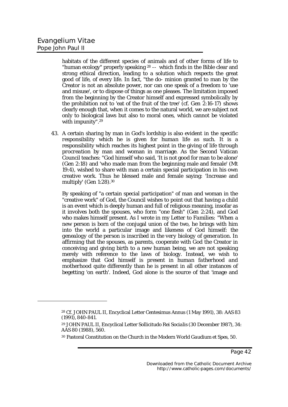$\ddot{\phantom{a}}$ 

habitats of the different species of animals and of other forms of life to "human ecology" properly speaking <sup>28</sup> -- which finds in the Bible clear and strong ethical direction, leading to a solution which respects the great good of life, of every life. In fact, "the do- minion granted to man by the Creator is not an absolute power, nor can one speak of a freedom to 'use and misuse', or to dispose of things as one pleases. The limitation imposed from the beginning by the Creator himself and expressed symbolically by the prohibition not to 'eat of the fruit of the tree' (cf. *Gen* 2:16-17) shows clearly enough that, when it comes to the natural world, we are subject not only to biological laws but also to moral ones, which cannot be violated with impunity".<sup>29</sup>

43. A certain sharing by man in God's lordship is also evident in the *specific responsibility* which he is given *for human life as such.* It is a responsibility which reaches its highest point in the giving of life *through procreation* by man and woman in marriage. As the Second Vatican Council teaches: "God himself who said, 'It is not good for man to be alone' (*Gen* 2:18) and 'who made man from the beginning male and female' (*Mt* 19:4), wished to share with man a certain special participation in his own creative work. Thus he blessed male and female saying: 'Increase and multiply' (*Gen* 1:28).<sup>30</sup>

By speaking of "a certain special participation" of man and woman in the "creative work" of God, the Council wishes to point out that having a child is an event which is deeply human and full of religious meaning, insofar as it involves both the spouses, who form "one flesh" (*Gen* 2:24), and God who makes himself present. As I wrote in my *Letter to Families:* "When a new person is born of the conjugal union of the two, he brings with him into the world a particular image and likeness of God himself: *the genealogy of the person is inscribed in the very biology of generation.* In affirming that the spouses, as parents, cooperate with God the Creator in conceiving and giving birth to a new human being, we are not speaking merely with reference to the laws of biology. Instead, we wish to emphasize that *God himself is present in human fatherhood and motherhood* quite differently than he is present in all other instances of begetting 'on earth'. Indeed, God alone is the source of that 'image and

<sup>28</sup> Cf. JOHN PAUL II, Encyclical Letter *Centesimus Annus* (1 May 1991), 38: *AAS* 83 (1991), 840-841.

<sup>29</sup> JOHN PAUL II, Encyclical Letter *Sollicitudo Rei Socialis* (30 December 1987), 34: *AAS* 80 (1988), 560.

<sup>30</sup> Pastoral Constitution on the Church in the Modern World *Gaudium et Spes*, 50.

Downloaded from the Catholic Document Archive http://www.catholic-pages.com/documents/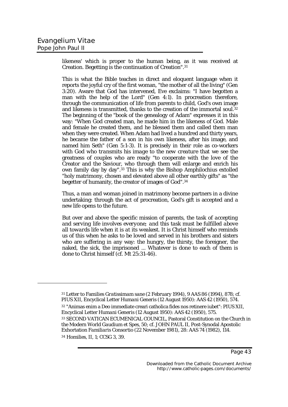likeness' which is proper to the human being, as it was received at Creation. Begetting is the continuation of Creation".<sup>31</sup>

This is what the Bible teaches in direct and eloquent language when it reports the joyful cry of the first woman, "the mother of all the living" (*Gen* 3:20). Aware that God has intervened, Eve exclaims: "I have begotten a man with the help of the Lord" (*Gen* 4:1). In procreation therefore, through the communication of life from parents to child, God's own image and likeness is transmitted, thanks to the creation of the immortal soul.<sup>32</sup> The beginning of the "book of the genealogy of Adam" expresses it in this way: "When God created man, he made him in the likeness of God. Male and female he created them, and he blessed them and called them man when they were created. When Adam had lived a hundred and thirty years, he became the father of a son in his own likeness, after his image, and named him Seth" (*Gen* 5:1-3). It is precisely in their role as co-workers with God *who transmits his image to the new creature* that we see the greatness of couples who are ready "to cooperate with the love of the Creator and the Saviour, who through them will enlarge and enrich his own family day by day".33 This is why the Bishop Amphilochius extolled "holy matrimony, chosen and elevated above all other earthly gifts" as "the begetter of humanity, the creator of images of God".<sup>34</sup>

Thus, a man and woman joined in matrimony become partners in a divine undertaking: through the act of procreation, God's gift is accepted and a new life opens to the future.

But over and above the specific mission of parents, *the task of accepting and serving life involves everyone; and this task must be fulfilled above all towards life when it is at its weakest.* It is Christ himself who reminds us of this when he asks to be loved and served in his brothers and sisters who are suffering in any way: the hungry, the thirsty, the foreigner, the naked, the sick, the imprisoned ... Whatever is done to each of them is done to Christ himself (cf. *Mt* 25:31-46).

<sup>31</sup> Letter to Families *Gratissimam sane* (2 February 1994), 9 *AAS* 86 (1994), 878; cf. PIUS XII, Encyclical Letter *Humani Generis* (12 August 1950): *AAS* 42 (1950), 574. <sup>32</sup> "Animas enim a Deo immediate creari catholica fides nos retinere iubet": PIUS XII, Encyclical Letter *Humani Generis* (12 August 1950): *AAS* 42 (1950), 575. <sup>33</sup> SECOND VATICAN ECUMENICAL COUNCIL, Pastoral Constitution on the Church in the Modern World *Gaudium et Spes*, 50; cf. JOHN PAUL II, Post-Synodal Apostolic Exhortation *Familiaris Consortio* (22 November 1981), 28: *AAS* 74 (1982), 114. <sup>34</sup> *Homilies*, II, 1; *CCSG* 3, 39.

Downloaded from the Catholic Document Archive http://www.catholic-pages.com/documents/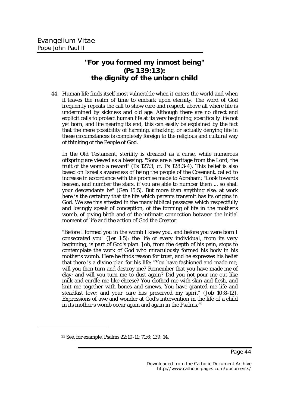## *"For you formed my inmost being" (Ps 139:13): the dignity of the unborn child*

44. Human life finds itself most vulnerable when it enters the world and when it leaves the realm of time to embark upon eternity. The word of God frequently repeats the call to show care and respect, above all where life is undermined by sickness and old age. Although there are no direct and explicit calls to protect human life at its very beginning, specifically life not yet born, and life nearing its end, this can easily be explained by the fact that the mere possibility of harming, attacking, or actually denying life in these circumstances is completely foreign to the religious and cultural way of thinking of the People of God.

In the Old Testament, sterility is dreaded as a curse, while numerous offspring are viewed as a blessing: "Sons are a heritage from the Lord, the fruit of the womb a reward" (*Ps* 127:3; cf. *Ps* 128:3-4). This belief is also based on Israel's awareness of being the people of the Covenant, called to increase in accordance with the promise made to Abraham: "Look towards heaven, and number the stars, if you are able to number them ... so shall your descendants be" (*Gen* 15:5). But more than anything else, at work here is the certainty that the life which parents transmit has its origins in God. We see this attested in the many biblical passages which respectfully and lovingly speak of conception, of the forming of life in the mother's womb, of giving birth and of the intimate connection between the initial moment of life and the action of God the Creator.

"Before I formed you in the womb I knew you, and before you were born I consecrated you" (*Jer* 1:5): *the life of every individual, from its very beginning, is part of God's plan.* Job, from the depth of his pain, stops to contemplate the work of God who miraculously formed his body in his mother's womb. Here he finds reason for trust, and he expresses his belief that there is a divine plan for his life: "You have fashioned and made me; will you then turn and destroy me? Remember that you have made me of clay; and will you turn me to dust again? Did you not pour me out like milk and curdle me like cheese? You clothed me with skin and flesh, and knit me together with bones and sinews. You have granted me life and steadfast love; and your care has preserved my spirit" (*Job* 10:8-12). Expressions of awe and wonder at God's intervention in the life of a child in its mother's womb occur again and again in the Psalms.<sup>35</sup>

 $\ddot{\phantom{a}}$ 

*Page 44*

<sup>35</sup> See, for example, Psalms 22:10-11; 71:6; 139: 14.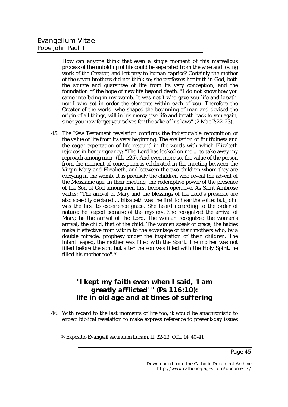$\ddot{\phantom{a}}$ 

How can anyone think that even a single moment of this marvellous process of the unfolding of life could be separated from the wise and loving work of the Creator, and left prey to human caprice? Certainly the mother of the seven brothers did not think so; she professes her faith in God, both the source and guarantee of life from its very conception, and the foundation of the hope of new life beyond death: "I do not know how you came into being in my womb. It was not I who gave you life and breath, nor I who set in order the elements within each of you. Therefore the Creator of the world, who shaped the beginning of man and devised the origin of all things, will in his mercy give life and breath back to you again, since you now forget yourselves for the sake of his laws" (*2 Mac* 7:22-23).

45. The New Testament revelation confirms the *indisputable recognition of the value of life from its very beginning.* The exaltation of fruitfulness and the eager expectation of life resound in the words with which Elizabeth rejoices in her pregnancy: "The Lord has looked on me ... to take away my reproach among men" (*Lk* 1:25). And even more so, the value of the person from the moment of conception is celebrated in the meeting between the Virgin Mary and Elizabeth, and between the two children whom they are carrying in the womb. It is precisely the children who reveal the advent of the Messianic age: in their meeting, the redemptive power of the presence of the Son of God among men first becomes operative. As Saint Ambrose writes: "The arrival of Mary and the blessings of the Lord's presence are also speedily declared ... Elizabeth was the first to hear the voice; but John was the first to experience grace. She heard according to the order of nature; he leaped because of the mystery. She recognized the arrival of Mary; he the arrival of the Lord. The woman recognized the woman's arrival; the child, that of the child. The women speak of grace; the babies make it effective from within to the advantage of their mothers who, by a double miracle, prophesy under the inspiration of their children. The infant leaped, the mother was filled with the Spirit. The mother was not filled before the son, but after the son was filled with the Holy Spirit, he filled his mother too".<sup>36</sup>

## *"I kept my faith even when I said, 'I am greatly afflicted' " (Ps 116:10): life in old age and at times of suffering*

46. With regard to the last moments of life too, it would be anachronistic to expect biblical revelation to make express reference to present-day issues

<sup>36</sup> *Expositio Evangelii secundum Lucam*, II, 22-23: *CCL*, 14, 40-41.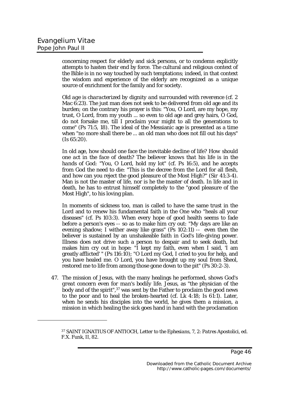concerning respect for elderly and sick persons, or to condemn explicitly attempts to hasten their end by force. The cultural and religious context of the Bible is in no way touched by such temptations; indeed, in that context the wisdom and experience of the elderly are recognized as a unique source of enrichment for the family and for society.

*Old age is characterized by dignity and surrounded with reverence* (cf. *2 Mac* 6:23). The just man does not seek to be delivered from old age and its burden; on the contrary his prayer is this: "You, O Lord, are my hope, my trust, O Lord, from my youth ... so even to old age and grey hairs, O God, do not forsake me, till I proclaim your might to all the generations to come" (*Ps* 71:5, 18). The ideal of the Messianic age is presented as a time when "no more shall there be ... an old man who does not fill out his days" (*Is* 65:20).

In old age, how should one face the inevitable decline of life? *How should one act in the face of death? The believer knows that his life is in the hands of God:* "You, O Lord, hold my lot" (cf. *Ps* 16:5), and he accepts from God the need to die: "This is the decree from the Lord for all flesh, and how can you reject the good pleasure of the Most High?" (*Sir* 41:3-4). Man is not the master of life, nor is he the master of death. In life and in death, he has to entrust himself completely to the "good pleasure of the Most High", to his loving plan.

In moments of *sickness* too, man is called to have the same trust in the Lord and to renew his fundamental faith in the One who "heals all your diseases" (cf. *Ps* 103:3). When every hope of good health seems to fade before a person's eyes -- so as to make him cry out: "My days are like an evening shadow; I wither away like grass" (*Ps* 102:11) -- even then the believer is sustained by an unshakeable faith in God's life-giving power. Illness does not drive such a person to despair and to seek death, but makes him cry out in hope: "I kept my faith, even when I said, 'I am greatly afflicted' " (*Ps* 116:10); "O Lord my God, I cried to you for help, and you have healed me. O Lord, you have brought up my soul from Sheol, restored me to life from among those gone down to the pit" (*Ps* 30:2-3).

47. The mission of Jesus, with the many healings he performed, shows *God's great concern even for man's bodily life.* Jesus, as "the physician of the body and of the spirit",  $37$  was sent by the Father to proclaim the good news to the poor and to heal the broken-hearted (cf. *Lk* 4:18; *Is* 61:1). Later, when he sends his disciples into the world, he gives them a mission, a mission in which healing the sick goes hand in hand with the proclamation

<sup>37</sup> SAINT IGNATIUS OF ANTIOCH, *Letter to the Ephesians*, 7, 2: *Patres Apostolici*, ed. F.X. Funk, II, 82.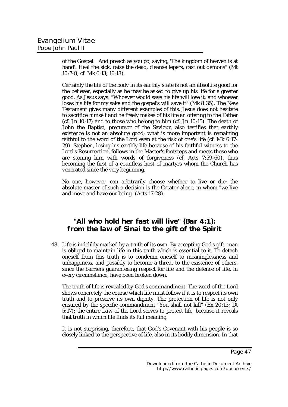of the Gospel: "And preach as you go, saying, 'The kingdom of heaven is at hand'. Heal the sick, raise the dead, cleanse lepers, cast out demons" (*Mt* 10:7-8; cf. *Mk* 6:13; 16:18).

Certainly *the life of the body in its earthly state is not an absolute good* for the believer, especially as he may be asked to give up his life for a greater good. As Jesus says: "Whoever would save his life will lose it; and whoever loses his life for my sake and the gospel's will save it" (*Mk* 8:35). The New Testament gives many different examples of this. Jesus does not hesitate to sacrifice himself and he freely makes of his life an offering to the Father (cf. *Jn* 10:17) and to those who belong to him (cf. *Jn* 10:15). The death of John the Baptist, precursor of the Saviour, also testifies that earthly existence is not an absolute good; what is more important is remaining faithful to the word of the Lord even at the risk of one's life (cf. *Mk* 6:17- 29). Stephen, losing his earthly life because of his faithful witness to the Lord's Resurrection, follows in the Master's footsteps and meets those who are stoning him with words of forgiveness (cf. *Acts* 7:59-60), thus becoming the first of a countless host of martyrs whom the Church has venerated since the very beginning.

No one, however, can arbitrarily choose whether to live or die; the absolute master of such a decision is the Creator alone, in whom "we live and move and have our being" (*Acts* 17:28).

### *"All who hold her fast will live" (Bar 4:1): from the law of Sinai to the gift of the Spirit*

48. Life is indelibly marked by *a truth of its own.* By accepting God's gift, man is obliged to *maintain life in this truth* which is essential to it. To detach oneself from this truth is to condemn oneself to meaninglessness and unhappiness, and possibly to become a threat to the existence of others, since the barriers guaranteeing respect for life and the defence of life, in every circumstance, have been broken down.

*The truth of life is revealed by God's commandment.* The word of the Lord shows concretely the course which life must follow if it is to respect its own truth and to preserve its own dignity. The protection of life is not only ensured by the specific commandment "You shall not kill" (*Ex* 20:13; *Dt* 5:17); *the entire Law of the Lord* serves to protect life, because it reveals that truth in which life finds its full meaning.

It is not surprising, therefore, that God's Covenant with his people is so closely linked to the perspective of life, also in its bodily dimension. In that

*Page 47*

Downloaded from the Catholic Document Archive http://www.catholic-pages.com/documents/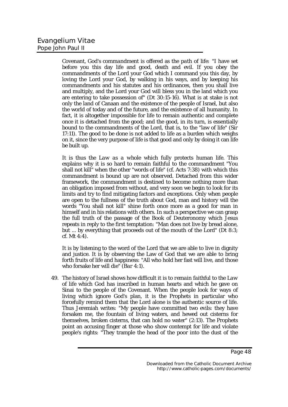Covenant, God's *commandment* is offered as *the path of life:* "I have set before you this day life and good, death and evil. If you obey the commandments of the Lord your God which I command you this day, by loving the Lord your God, by walking in his ways, and by keeping his commandments and his statutes and his ordinances, then you shall live and multiply, and the Lord your God will bless you in the land which you are entering to take possession of" (*Dt* 30:15-16). What is at stake is not only the land of Canaan and the existence of the people of Israel, but also the world of today and of the future, and the existence of all humanity. In fact, it is altogether impossible for life to remain authentic and complete once it is detached from the good; and the good, in its turn, is essentially bound to the commandments of the Lord, that is, to the "law of life" (*Sir* 17:11). The good to be done is not added to life as a burden which weighs on it, since the very purpose of life is that good and only by doing it can life be built up.

It is thus *the Law as a whole* which fully protects human life. This explains why it is so hard to remain faithful to the commandment "You shall not kill" when the other "words of life" (cf. *Acts* 7:38) with which this commandment is bound up are not observed. Detached from this wider framework, the commandment is destined to become nothing more than an obligation imposed from without, and very soon we begin to look for its limits and try to find mitigating factors and exceptions. Only when people are open to the fullness of the truth about God, man and history will the words "You shall not kill" shine forth once more as a good for man in himself and in his relations with others. In such a perspective we can grasp the full truth of the passage of the Book of Deuteronomy which Jesus repeats in reply to the first temptation: "Man does not live by bread alone, but ... by everything that proceeds out of the mouth of the Lord" (*Dt* 8:3; cf. *Mt* 4:4).

It is by listening to the word of the Lord that we are able to live in dignity and justice. It is by observing the Law of God that we are able to bring forth fruits of life and happiness: "All who hold her fast will live, and those who forsake her will die" (*Bar* 4:1).

49. The history of Israel shows how *difficult it is to remain faithful to the Law of life* which God has inscribed in human hearts and which he gave on Sinai to the people of the Covenant. When the people look for ways of living which ignore God's plan, it is the Prophets in particular who forcefully remind them that the Lord alone is the authentic source of life. Thus Jeremiah writes: "My people have committed two evils: they have forsaken me, the fountain of living waters, and hewed out cisterns for themselves, broken cisterns, that can hold no water" (2:13). The Prophets point an accusing finger at those who show contempt for life and violate people's rights: "They trample the head of the poor into the dust of the

Downloaded from the Catholic Document Archive http://www.catholic-pages.com/documents/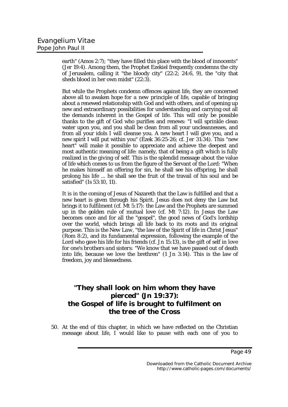earth" (*Amos* 2:7); "they have filled this place with the blood of innocents" (*Jer* 19:4). Among them, the Prophet Ezekiel frequently condemns the city of Jerusalem, calling it "the bloody city" (22:2; 24:6, 9), the "city that sheds blood in her own midst" (22:3).

But while the Prophets condemn offences against life, they are concerned above all to awaken *hope for a new principle of life,* capable of bringing about a renewed relationship with God and with others, and of opening up new and extraordinary possibilities for understanding and carrying out all the demands inherent in the *Gospel of life.* This will only be possible thanks to the gift of God who purifies and renews: "I will sprinkle clean water upon you, and you shall be clean from all your uncleannesses, and from all your idols I will cleanse you. A new heart I will give you, and a new spirit I will put within you" (*Ezek* 36:25-26; cf. *Jer* 31:34). This "new heart" will make it possible to appreciate and achieve the deepest and most authentic meaning of life: namely, that of being *a gift which is fully realized in the giving of self.* This is the splendid message about the value of life which comes to us from the figure of the Servant of the Lord: "When he makes himself an offering for sin, he shall see his offspring, he shall prolong his life ... he shall see the fruit of the travail of his soul and be satisfied" (*Is* 53:10, 11).

It is in the coming of Jesus of Nazareth that the Law is fulfilled and that a new heart is given through his Spirit. Jesus does not deny the Law but brings it to fulfilment (cf. *Mt* 5:17): the Law and the Prophets are summed up in the golden rule of mutual love (cf. *Mt* 7:12). In Jesus the Law becomes once and for all the "gospel", the good news of God's lordship over the world, which brings all life back to its roots and its original purpose. This is the *New Law,* "the law of the Spirit of life in Christ Jesus" (*Rom* 8:2), and its fundamental expression, following the example of the Lord who gave his life for his friends (cf. *Jn* 15:13), is *the gift of self in love for one's brothers and sisters:* "We know that we have passed out of death into life, because we love the brethren" (*1 Jn* 3:14). This is the law of freedom, joy and blessedness.

## *"They shall look on him whom they have pierced" (Jn 19:37): the Gospel of life is brought to fulfilment on the tree of the Cross*

50. At the end of this chapter, in which we have reflected on the Christian message about life, I would like to pause with each one of you to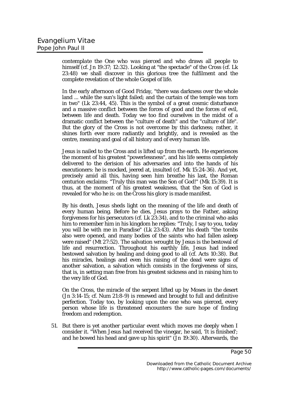*contemplate the One who was pierced* and who draws all people to himself (cf. *Jn* 19:37; 12:32). Looking at "the spectacle" of the Cross (cf. *Lk* 23:48) we shall discover in this glorious tree the fulfilment and the complete revelation of the whole *Gospel of life.*

In the early afternoon of Good Friday, "there was darkness over the whole land ... while the sun's light failed; and the curtain of the temple was torn in two" (*Lk* 23:44, 45). This is the symbol of a great cosmic disturbance and a massive conflict between the forces of good and the forces of evil, between life and death. Today we too find ourselves in the midst of a dramatic conflict between the "culture of death" and the "culture of life". But the glory of the Cross is not overcome by this darkness; rather, it shines forth ever more radiantly and brightly, and is revealed as the centre, meaning and goal of all history and of every human life.

Jesus is nailed to the Cross and is lifted up from the earth. He experiences the moment of his greatest "powerlessness", and his life seems completely delivered to the derision of his adversaries and into the hands of his executioners: he is mocked, jeered at, insulted (cf. *Mk* 15:24-36). And yet, precisely amid all this, having seen him breathe his last, the Roman centurion exclaims: "Truly this man was the Son of God!" (*Mk* 15:39). It is thus, at the moment of his greatest weakness, that the Son of God is revealed for who he is: *on the Cross his glory is made manifest.*

By his death, Jesus sheds light on the meaning of the life and death of every human being. Before he dies, Jesus prays to the Father, asking forgiveness for his persecutors (cf. *Lk* 23:34), and to the criminal who asks him to remember him in his kingdom he replies: "Truly, I say to you, today you will be with me in Paradise" (*Lk* 23:43). After his death "the tombs also were opened, and many bodies of the saints who had fallen asleep were raised" (*Mt* 27:52). The salvation wrought by Jesus is the bestowal of life and resurrection. Throughout his earthly life, Jesus had indeed bestowed salvation by healing and doing good to all (cf. *Acts* 10:38). But his miracles, healings and even his raising of the dead were signs of another salvation, a salvation which consists in the forgiveness of sins, that is, in setting man free from his greatest sickness and in raising him to the very life of God.

On the Cross, the miracle of the serpent lifted up by Moses in the desert (*Jn* 3:14-15; cf. *Num* 21:8-9) is renewed and brought to full and definitive perfection. Today too, by looking upon the one who was pierced, every person whose life is threatened encounters the sure hope of finding freedom and redemption.

51. But there is yet another particular event which moves me deeply when I consider it. "When Jesus had received the vinegar, he said, 'It is finished'; and he bowed his head and gave up his spirit" (*Jn* 19:30). Afterwards, the

Downloaded from the Catholic Document Archive http://www.catholic-pages.com/documents/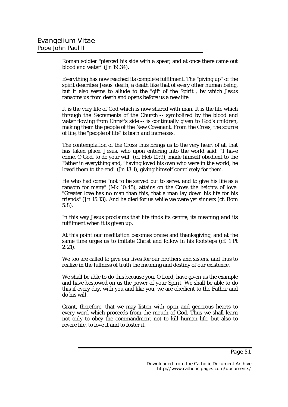Roman soldier "pierced his side with a spear, and at once there came out blood and water" (*Jn* 19:34).

Everything has now reached its complete fulfilment. The "giving up" of the spirit describes Jesus' death, a death like that of every other human being, but it also seems to allude to the "gift of the Spirit", by which Jesus ransoms us from death and opens before us a new life.

It is the very life of God which is now shared with man. It is the life which through the Sacraments of the Church -- symbolized by the blood and water flowing from Christ's side -- is continually given to God's children, making them the people of the New Covenant. *From the Cross, the source of life, the "people of life" is born and increases.*

The contemplation of the Cross thus brings us to the very heart of all that has taken place. Jesus, who upon entering into the world said: "I have come, O God, to do your will" (cf. *Heb* 10:9), made himself obedient to the Father in everything and, "having loved his own who were in the world, he loved them to the end" (*Jn* 13:1), giving himself completely for them.

He who had come "not to be served but to serve, and to give his life as a ransom for many" (*Mk* 10:45), attains on the Cross the heights of love: "Greater love has no man than this, that a man lay down his life for his friends" (*Jn* 15:13). And he died for us while we were yet sinners (cf. *Rom* 5:8).

In this way Jesus proclaims that *life finds its centre, its meaning and its fulfilment when it is given up.*

At this point our meditation becomes praise and thanksgiving, and at the same time urges us to imitate Christ and follow in his footsteps (cf. *1 Pt*  $2:21$ ).

We too are called to give our lives for our brothers and sisters, and thus to realize in the fullness of truth the meaning and destiny of our existence.

We shall be able to do this because you, O Lord, have given us the example and have bestowed on us the power of your Spirit. We shall be able to do this if every day, with you and like you, we are obedient to the Father and do his will.

Grant, therefore, that we may listen with open and generous hearts to every word which proceeds from the mouth of God. Thus we shall learn not only to obey the commandment not to kill human life, but also to revere life, to love it and to foster it.

Downloaded from the Catholic Document Archive http://www.catholic-pages.com/documents/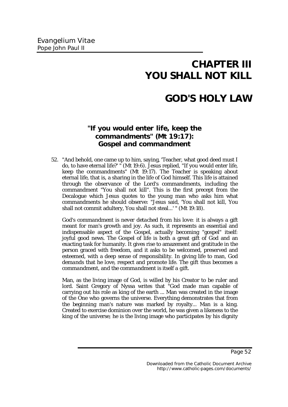# **CHAPTER III YOU SHALL NOT KILL**

# *GOD'S HOLY LAW*

## *"If you would enter life, keep the commandments" (Mt 19:17): Gospel and commandment*

52. "And behold, one came up to him, saying, 'Teacher, what good deed must I do, to have eternal life?' " (*Mt* 19:6). Jesus replied, "If you would enter life, keep the commandments" (*Mt* 19:17). The Teacher is speaking about eternal life, that is, a sharing in the life of God himself. This life is attained through the observance of the Lord's commandments, including the commandment "You shall not kill". This is the first precept from the Decalogue which Jesus quotes to the young man who asks him what commandments he should observe: "Jesus said, 'You shall not kill, You shall not commit adultery, You shall not steal...' " (*Mt* 19:18).

*God's commandment is never detached from his love:* it is always a gift meant for man's growth and joy. As such, it represents an essential and indispensable aspect of the Gospel, actually becoming "gospel" itself: joyful good news. The *Gospel of life* is both a great gift of God and an exacting task for humanity. It gives rise to amazement and gratitude in the person graced with freedom, and it asks to be welcomed, preserved and esteemed, with a deep sense of responsibility. In giving life to man, God *demands* that he love, respect and promote life. *The gift* thus *becomes a commandment,* and *the commandment is itself a gift.*

Man, as the living image of God, is willed by his Creator to be ruler and lord. Saint Gregory of Nyssa writes that "God made man capable of carrying out his role as king of the earth ... Man was created in the image of the One who governs the universe. Everything demonstrates that from the beginning man's nature was marked by royalty... Man is a king. Created to exercise dominion over the world, he was given a likeness to the king of the universe; he is the living image who participates by his dignity

*Page 52*

Downloaded from the Catholic Document Archive http://www.catholic-pages.com/documents/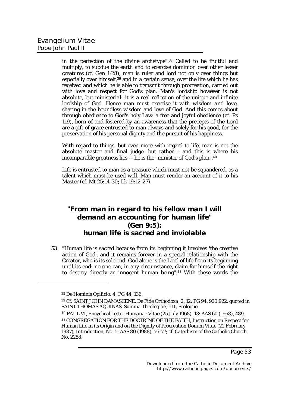in the perfection of the divine archetype".38 Called to be fruitful and multiply, to subdue the earth and to exercise dominion over other lesser creatures (cf. *Gen* 1:28), man is ruler and lord not only over things but especially over himself,<sup>39</sup> and in a certain sense, over the life which he has received and which he is able to transmit through procreation, carried out with love and respect for God's plan. Man's *lordship* however is not absolute, but *ministerial:* it is a real reflection of the unique and infinite lordship of God. Hence man must exercise it with *wisdom and love,* sharing in the boundless wisdom and love of God. And this comes about through obedience to God's holy Law: a free and joyful obedience (cf. *Ps* 119), born of and fostered by an awareness that the precepts of the Lord are a gift of grace entrusted to man always and solely for his good, for the preservation of his personal dignity and the pursuit of his happiness.

With regard to things, but even more with regard to life, man is not the absolute master and final judge, but rather -- and this is where his incomparable greatness lies -- he is the "minister of God's plan".<sup>40</sup>

Life is entrusted to man as a treasure which must not be squandered, as a talent which must be used well. Man must render an account of it to his Master (cf. *Mt* 25:14-30; *Lk* 19:12-27).

## *"From man in regard to his fellow man I will demand an accounting for human life" (Gen 9:5): human life is sacred and inviolable*

53. "Human life is sacred because from its beginning it involves 'the creative action of God', and it remains forever in a special relationship with the Creator, who is its sole end. God alone is the Lord of life from its beginning until its end: no one can, in any circumstance, claim for himself the right to destroy directly an innocent human being".41 With these words the

1

<sup>38</sup> *De Hominis Opificio*, 4: *PG* 44, 136.

<sup>39</sup> Cf. SAINT JOHN DAMASCENE, *De Fide Orthodoxa*, 2, 12: *PG* 94, 920.922, quoted in SAINT THOMAS AQUINAS, *Summa Theologiae*, I-II, Prologue.

<sup>40</sup> PAUL VI, Encyclical Letter *Humanae Vitae* (25 July 1968), 13: *AAS* 60 (1968), 489. <sup>41</sup> CONGREGATION FOR THE DOCTRINE OF THE FAITH, Instruction on Respect for Human Life in its Origin and on the Dignity of Procreation *Donum Vitae* (22 February 1987), Introduction, No. 5: *AAS* 80 (1988), 76-77; cf. *Catechism of the Catholic Church*, No. 2258.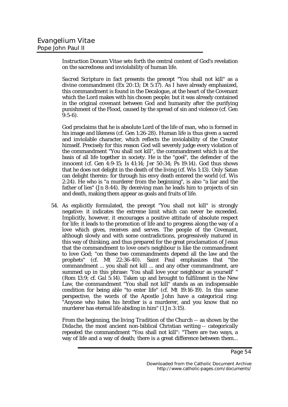Instruction *Donum Vitae* sets forth the central content of God's revelation on the sacredness and inviolability of human life.

*Sacred Scripture* in fact presents the precept "You shall not kill" as a divine commandment (*Ex* 20:13; *Dt* 5:17). As I have already emphasized, this commandment is found in the Decalogue, at the heart of the Covenant which the Lord makes with his chosen people; but it was already contained in the original covenant between God and humanity after the purifying punishment of the Flood, caused by the spread of sin and violence (cf. *Gen*  $9:5-6$ ).

God proclaims that he is absolute Lord of the life of man, who is formed in his image and likeness (cf. *Gen* 1:26-28). Human life is thus given a sacred and inviolable character, which reflects the inviolability of the Creator himself. Precisely for this reason God will severely judge every violation of the commandment "You shall not kill", the commandment which is at the basis of all life together in society. He is the *"goel",* the defender of the innocent (cf. *Gen* 4:9-15; *Is* 41:14; *Jer* 50:34; *Ps* 19:14). God thus shows that he does not delight in the death of the living (cf. *Wis* 1:13). Only Satan can delight therein: for through his envy death entered the world (cf. *Wis* 2:24). He who is "a murderer from the beginning", is also "a liar and the father of lies" (*Jn* 8:44). By deceiving man he leads him to projects of sin and death, making them appear as goals and fruits of life.

54. As explicitly formulated, the precept "You shall not kill" is strongly negative: it indicates the extreme limit which can never be exceeded. Implicitly, however, it encourages a positive attitude of absolute respect for life; it leads to the promotion of life and to progress along the way of a love which gives, receives and serves. The people of the Covenant, although slowly and with some contradictions, progressively matured in this way of thinking, and thus prepared for the great proclamation of Jesus that the commandment to love one's neighbour is like the commandment to love God; "on these two commandments depend all the law and the prophets" (cf. *Mt* 22:36-40). Saint Paul emphasizes that "the commandment ... you shall not kill ... and any other commandment, are summed up in this phrase: 'You shall love your neighbour as yourself' " (*Rom* 13:9; cf. *Gal* 5:14). Taken up and brought to fulfilment in the New Law, the commandment "You shall not kill" stands as an indispensable condition for being able "to enter life" (cf. *Mt* 19:16-19). In this same perspective, the words of the Apostle John have a categorical ring: "Anyone who hates his brother is a murderer, and you know that no murderer has eternal life abiding in him" (*1 Jn* 3:15).

From the beginning, the *living Tradition of the Church* -- as shown by the *Didache,* the most ancient non-biblical Christian writing -- categorically repeated the commandment "You shall not kill": "There are two ways, a way of life and a way of death; there is a great difference between them...

Downloaded from the Catholic Document Archive http://www.catholic-pages.com/documents/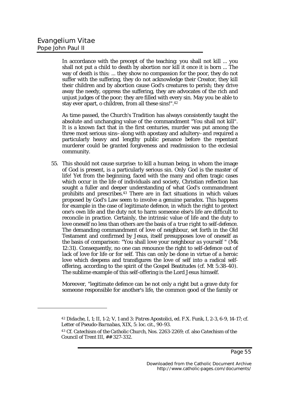In accordance with the precept of the teaching: you shall not kill ... you shall not put a child to death by abortion nor kill it once it is born ... The way of death is this: ... they show no compassion for the poor, they do not suffer with the suffering, they do not acknowledge their Creator, they kill their children and by abortion cause God's creatures to perish; they drive away the needy, oppress the suffering, they are advocates of the rich and unjust judges of the poor; they are filled with every sin. May you be able to stay ever apart, o children, from all these sins!".<sup>42</sup>

As time passed, the Church's Tradition has always consistently taught the absolute and unchanging value of the commandment "You shall not kill". It is a known fact that in the first centuries, murder was put among the three most serious sins–along with apostasy and adultery–and required a particularly heavy and lengthy public penance before the repentant murderer could be granted forgiveness and readmission to the ecclesial community.

55. This should not cause surprise: to kill a human being, in whom the image of God is present, is a particularly serious sin. *Only God is the master of life!* Yet from the beginning, faced with the many and often tragic cases which occur in the life of individuals and society, Christian reflection has sought a fuller and deeper understanding of what God's commandment prohibits and prescribes.43 There are in fact situations in which values proposed by God's Law seem to involve a genuine paradox. This happens for example in the case of *legitimate defence,* in which the right to protect one's own life and the duty not to harm someone else's life are difficult to reconcile in practice. Certainly, the intrinsic value of life and the duty to love oneself no less than others are the basis of *a true right to self-defence.* The demanding commandment of love of neighbour, set forth in the Old Testament and confirmed by Jesus, itself presupposes love of oneself as the basis of comparison: "You shall love your neighbour *as yourself* " (*Mk* 12:31). Consequently, no one can renounce the right to self-defence out of lack of love for life or for self. This can only be done in virtue of a heroic love which deepens and transfigures the love of self into a radical selfoffering, according to the spirit of the Gospel Beatitudes (cf. *Mt* 5:38-40). The sublime example of this self-offering is the Lord Jesus himself.

Moreover, "legitimate defence can be not only a right but a grave duty for someone responsible for another's life, the common good of the family or

#### *Page 55*

<sup>42</sup> *Didache*, I, 1; II, 1-2; V, 1 and 3: *Patres Apostolici*, ed. F.X. Funk, I, 2-3, 6-9, 14-17; cf. *Letter of Pseudo-Barnabas*, XIX, 5: *loc. cit*., 90-93.

<sup>43</sup> Cf. *Catechism of the Catholic Church*, Nos. 2263-2269; cf. also *Catechism of the Council of Trent* III, ## 327-332.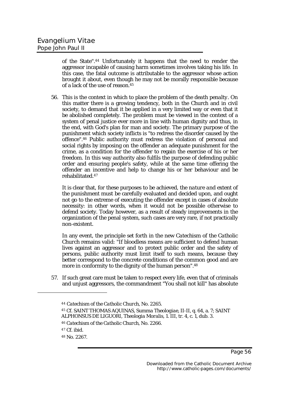of the State".44 Unfortunately it happens that the need to render the aggressor incapable of causing harm sometimes involves taking his life. In this case, the fatal outcome is attributable to the aggressor whose action brought it about, even though he may not be morally responsible because of a lack of the use of reason.<sup>45</sup>

56. This is the context in which to place the problem of the *death penalty.* On this matter there is a growing tendency, both in the Church and in civil society, to demand that it be applied in a very limited way or even that it be abolished completely. The problem must be viewed in the context of a system of penal justice ever more in line with human dignity and thus, in the end, with God's plan for man and society. The primary purpose of the punishment which society inflicts is "to redress the disorder caused by the offence".46 Public authority must redress the violation of personal and social rights by imposing on the offender an adequate punishment for the crime, as a condition for the offender to regain the exercise of his or her freedom. In this way authority also fulfils the purpose of defending public order and ensuring people's safety, while at the same time offering the offender an incentive and help to change his or her behaviour and be rehabilitated.<sup>47</sup>

It is clear that, for these purposes to be achieved, *the nature and extent of the punishment* must be carefully evaluated and decided upon, and ought not go to the extreme of executing the offender except in cases of absolute necessity: in other words, when it would not be possible otherwise to defend society. Today however, as a result of steady improvements in the organization of the penal system, such cases are very rare, if not practically non-existent.

In any event, the principle set forth in the new *Catechism of the Catholic Church* remains valid: "If bloodless means are sufficient to defend human lives against an aggressor and to protect public order and the safety of persons, public authority must limit itself to such means, because they better correspond to the concrete conditions of the common good and are more in conformity to the dignity of the human person".<sup>48</sup>

57. If such great care must be taken to respect every life, even that of criminals and unjust aggressors, the commandment "You shall not kill" has absolute

<sup>46</sup> *Catechism of the Catholic Church*, No. 2266.

<sup>47</sup> Cf. *ibid*.

 $\overline{a}$ 

<sup>48</sup> No. 2267.

#### *Page 56*

<sup>44</sup> *Catechism of the Catholic Church*, No. 2265.

<sup>45</sup> Cf. SAINT THOMAS AQUINAS, *Summa Theologiae*, II-II, q. 64, a. 7; SAINT ALPHONSUS DE LIGUORI, *Theologia Moralis*, 1. III, tr. 4, c. 1, dub. 3.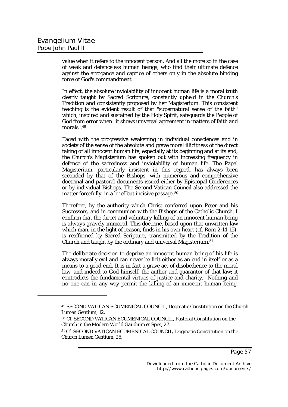value when it refers to the *innocent person.* And all the more so in the case of weak and defenceless human beings, who find their ultimate defence against the arrogance and caprice of others only in the absolute binding force of God's commandment.

In effect, the absolute inviolability of innocent human life is a moral truth clearly taught by Sacred Scripture, constantly upheld in the Church's Tradition and consistently proposed by her Magisterium. This consistent teaching is the evident result of that "supernatural sense of the faith" which, inspired and sustained by the Holy Spirit, safeguards the People of God from error when "it shows universal agreement in matters of faith and morals".<sup>49</sup>

Faced with the progressive weakening in individual consciences and in society of the sense of the absolute and grave moral illicitness of the direct taking of all innocent human life, especially at its beginning and at its end, *the Church's Magisterium* has spoken out with increasing frequency in defence of the sacredness and inviolability of human life. The Papal Magisterium, particularly insistent in this regard, has always been seconded by that of the Bishops, with numerous and comprehensive doctrinal and pastoral documents issued either by Episcopal Conferences or by individual Bishops. The Second Vatican Council also addressed the matter forcefully, in a brief but incisive passage.<sup>50</sup>

Therefore, by the authority which Christ conferred upon Peter and his Successors, and in communion with the Bishops of the Catholic Church, *I confirm that the direct and voluntary killing of an innocent human being is always gravely immoral.* This doctrine, based upon that unwritten law which man, in the light of reason, finds in his own heart (cf. *Rom* 2:14-15), is reaffirmed by Sacred Scripture, transmitted by the Tradition of the Church and taught by the ordinary and universal Magisterium.<sup>51</sup>

The deliberate decision to deprive an innocent human being of his life is always morally evil and can never be licit either as an end in itself or as a means to a good end. It is in fact a grave act of disobedience to the moral law, and indeed to God himself, the author and guarantor of that law; it contradicts the fundamental virtues of justice and charity. "Nothing and no one can in any way permit the killing of an innocent human being,

<sup>49</sup> SECOND VATICAN ECUMENICAL COUNCIL, Dogmatic Constitution on the Church *Lumen Gentium*, 12.

<sup>50</sup> Cf. SECOND VATICAN ECUMENICAL COUNCIL, Pastoral Constitution on the Church in the Modern World *Gaudium et Spes*, 27.

<sup>51</sup> Cf. SECOND VATICAN ECUMENICAL COUNCIL, Dogmatic Constitution on the Church *Lumen Gentium*, 25.

Downloaded from the Catholic Document Archive http://www.catholic-pages.com/documents/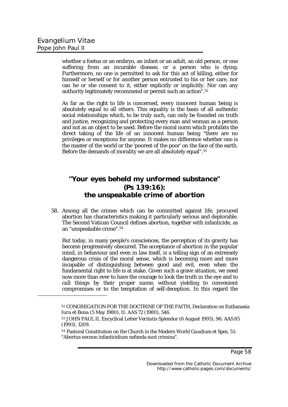whether a foetus or an embryo, an infant or an adult, an old person, or one suffering from an incurable disease, or a person who is dying. Furthermore, no one is permitted to ask for this act of killing, either for himself or herself or for another person entrusted to his or her care, nor can he or she consent to it, either explicitly or implicitly. Nor can any authority legitimately recommend or permit such an action".<sup>52</sup>

As far as the right to life is concerned, every innocent human being is absolutely equal to all others. This equality is the basis of all authentic social relationships which, to be truly such, can only be founded on truth and justice, recognizing and protecting every man and woman as a person and not as an object to be used. Before the moral norm which prohibits the direct taking of the life of an innocent human being "there are no privileges or exceptions for anyone. It makes no difference whether one is the master of the world or the 'poorest of the poor' on the face of the earth. Before the demands of morality we are all absolutely equal".<sup>53</sup>

## *"Your eyes beheld my unformed substance" (Ps 139:16): the unspeakable crime of abortion*

58. Among all the crimes which can be committed against life, procured abortion has characteristics making it particularly serious and deplorable. The Second Vatican Council defines abortion, together with infanticide, as an "unspeakable crime".<sup>54</sup>

But today, in many people's consciences, the perception of its gravity has become progressively obscured. The acceptance of abortion in the popular mind, in behaviour and even in law itself, is a telling sign of an extremely dangerous crisis of the moral sense, which is becoming more and more incapable of distinguishing between good and evil, even when the fundamental right to life is at stake. Given such a grave situation, we need now more than ever to have the courage to look the truth in the eye and to *call things by their proper name,* without yielding to convenient compromises or to the temptation of self-deception. In this regard the

*Page 58*

<sup>52</sup> CONGREGATION FOR THE DOCTRINE OF THE FAITH, Declaration on Euthanasia *Iura et Bona* (5 May 1980), II: *AAS* 72 (1980), 546.

<sup>53</sup> JOHN PAUL II, Encyclical Letter *Veritatis Splendor* (6 August 1993), 96: *AAS* 85 (1993), 1209.

<sup>54</sup> Pastoral Constitution on the Church in the Modern World *Gaudium et Spes*, 51: "Abortus necnon infanticidium nefanda sunt crimina".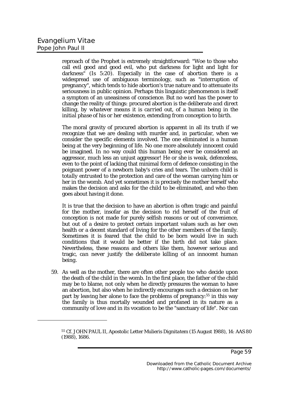reproach of the Prophet is extremely straightforward: "Woe to those who call evil good and good evil, who put darkness for light and light for darkness" (*Is* 5:20). Especially in the case of abortion there is a widespread use of ambiguous terminology, such as "interruption of pregnancy", which tends to hide abortion's true nature and to attenuate its seriousness in public opinion. Perhaps this linguistic phenomenon is itself a symptom of an uneasiness of conscience. But no word has the power to change the reality of things: procured abortion is *the deliberate and direct killing, by whatever means it is carried out, of a human being in the initial phase of his or her existence, extending from conception to birth.*

The moral gravity of procured abortion is apparent in all its truth if we recognize that we are dealing with murder and, in particular, when we consider the specific elements involved. The one eliminated is a human being at the very beginning of life. No one more absolutely *innocent* could be imagined. In no way could this human being ever be considered an aggressor, much less an unjust aggressor! He or she is *weak,* defenceless, even to the point of lacking that minimal form of defence consisting in the poignant power of a newborn baby's cries and tears. The unborn child is *totally entrusted* to the protection and care of the woman carrying him or her in the womb. And yet sometimes it is precisely the mother herself who makes the decision and asks for the child to be eliminated, and who then goes about having it done.

It is true that the decision to have an abortion is often tragic and painful for the mother, insofar as the decision to rid herself of the fruit of conception is not made for purely selfish reasons or out of convenience, but out of a desire to protect certain important values such as her own health or a decent standard of living for the other members of the family. Sometimes it is feared that the child to be born would live in such conditions that it would be better if the birth did not take place. Nevertheless, these reasons and others like them, however serious and tragic, *can never justify the deliberate killing of an innocent human being.*

59. As well as the mother, there are often other people too who decide upon the death of the child in the womb. In the first place, the father of the child may be to blame, not only when he directly pressures the woman to have an abortion, but also when he indirectly encourages such a decision on her part by leaving her alone to face the problems of pregnancy:55 in this way the family is thus mortally wounded and profaned in its nature as a community of love and in its vocation to be the "sanctuary of life". Nor can

<sup>55</sup> Cf. JOHN PAUL II, Apostolic Letter *Mulieris Dignitatem* (15 August 1988), 14: *AAS* 80 (1988), 1686.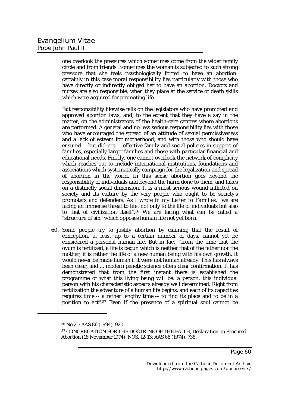one overlook the pressures which sometimes come from the wider family circle and from friends. Sometimes the woman is subjected to such strong pressure that she feels psychologically forced to have an abortion: certainly in this case moral responsibility lies particularly with those who have directly or indirectly obliged her to have an abortion. Doctors and nurses are also responsible, when they place at the service of death skills which were acquired for promoting life.

But responsibility likewise falls on the legislators who have promoted and approved abortion laws, and, to the extent that they have a say in the matter, on the administrators of the health-care centres where abortions are performed. A general and no less serious responsibility lies with those who have encouraged the spread of an attitude of sexual permissiveness and a lack of esteem for motherhood, and with those who should have ensured -- but did not -- effective family and social policies in support of families, especially larger families and those with particular financial and educational needs. Finally, one cannot overlook the network of complicity which reaches out to include international institutions, foundations and associations which systematically campaign for the legalization and spread of abortion in the world. In this sense abortion goes beyond the responsibility of individuals and beyond the harm done to them, and takes on a distinctly social dimension. It is a most serious *wound* inflicted on society and its culture by the very people who ought to be society's promoters and defenders. As I wrote in my *Letter to Families,* "we are facing an immense threat to life: not only to the life of individuals but also to that of civilization itself".56 We are facing what can be called *a "structure of sin" which opposes human life not yet born.*

60. Some people try to justify abortion by claiming that the result of conception, at least up to a certain number of days, cannot yet be considered a personal human life. But in fact, "from the time that the ovum is fertilized, a life is begun which is neither that of the father nor the mother; it is rather the life of a new human being with his own growth. It would never be made human if it were not human already. This has always been clear, and ... modern genetic science offers clear confirmation. It has demonstrated that from the first instant there is established the programme of what this living being will be: a person, this individual person with his characteristic aspects already well determined. Right from fertilization the adventure of a human life begins, and each of its capacities requires time -- a rather lengthy time -- to find its place and to be in a position to act".57 Even if the presence of a spiritual soul cannot be

 $\overline{a}$ 

<sup>56</sup> No 21: *AAS* 86 (1994), 920

<sup>57</sup> CONGREGATION FOR THE DOCTRINE OF THE FAITH, *Declaration on Procured Abortion* (18 November 1974), NOS. 12-13: *AAS* 66 (1974), 738.

Downloaded from the Catholic Document Archive http://www.catholic-pages.com/documents/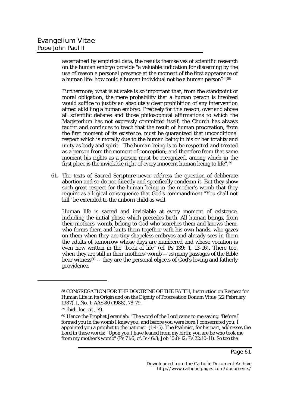ascertained by empirical data, the results themselves of scientific research on the human embryo provide "a valuable indication for discerning by the use of reason a personal presence at the moment of the first appearance of a human life: how could a human individual not be a human person?".<sup>58</sup>

Furthermore, what is at stake is so important that, from the standpoint of moral obligation, the mere probability that a human person is involved would suffice to justify an absolutely clear prohibition of any intervention aimed at killing a human embryo. Precisely for this reason, over and above all scientific debates and those philosophical affirmations to which the Magisterium has not expressly committed itself, the Church has always taught and continues to teach that the result of human procreation, from the first moment of its existence, must be guaranteed that unconditional respect which is morally due to the human being in his or her totality and unity as body and spirit: *"The human being is to be respected and treated as a person from the moment of conception;* and therefore from that same moment his rights as a person must be recognized, among which in the first place is the inviolable right of every innocent human being to life".<sup>59</sup>

61. The texts of *Sacred Scripture* never address the question of deliberate abortion and so do not directly and specifically condemn it. But they show such great respect for the human being in the mother's womb that they require as a logical consequence that God's commandment "You shall not kill" be extended to the unborn child as well.

Human life is sacred and inviolable at every moment of existence, including the initial phase which precedes birth. All human beings, from their mothers' womb, belong to God who searches them and knows them, who forms them and knits them together with his own hands, who gazes on them when they are tiny shapeless embryos and already sees in them the adults of tomorrow whose days are numbered and whose vocation is even now written in the "book of life" (cf. *Ps* 139: 1, 13-16). There too, when they are still in their mothers' womb -- as many passages of the Bible bear witness<sup>60</sup> -- they are the personal objects of God's loving and fatherly providence.

 $\ddot{\phantom{a}}$ 

<sup>58</sup> CONGREGATION FOR THE DOCTRINE OF THE FAITH, Instruction on Respect for Human Life in its Origin and on the Dignity of Procreation *Donum Vitae* (22 February 1987), I, No. 1: *AAS* 80 (1988), 78-79.

<sup>59</sup> *Ibid., loc. cit*., 79.

<sup>60</sup> Hence the Prophet Jeremiah: "The word of the Lord came to me saying: 'Before I formed you in the womb I knew you, and before you were born I consecrated you; I appointed you a prophet to the nations"' (1:4-5). The Psalmist, for his part, addresses the Lord in these words: "Upon you I have leaned from my birth; you are he who took me from my mother's womb" (*Ps* 71:6; cf. *Is* 46:3; *Job* 10:8-12; *Ps* 22:10-11). So too the

Downloaded from the Catholic Document Archive http://www.catholic-pages.com/documents/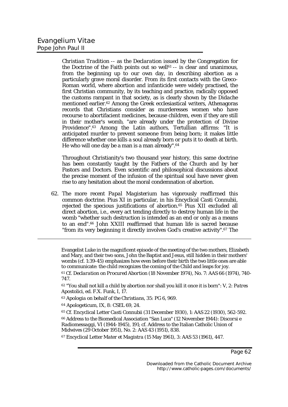$\overline{a}$ 

*Christian Tradition* -- as the *Declaration* issued by the Congregation for the Doctrine of the Faith points out so well<sup> $61$ </sup> -- is clear and unanimous, from the beginning up to our own day, in describing abortion as a particularly grave moral disorder. From its first contacts with the Greco-Roman world, where abortion and infanticide were widely practised, the first Christian community, by its teaching and practice, radically opposed the customs rampant in that society, as is clearly shown by the *Didache* mentioned earlier.62 Among the Greek ecclesiastical writers, Athenagoras records that Christians consider as murderesses women who have recourse to abortifacient medicines, because children, even if they are still in their mother's womb, "are already under the protection of Divine Providence".63 Among the Latin authors, Tertullian affirms: "It is anticipated murder to prevent someone from being born; it makes little difference whether one kills a soul already born or puts it to death at birth. He who will one day be a man is a man already".<sup>64</sup>

Throughout Christianity's two thousand year history, this same doctrine has been constantly taught by the Fathers of the Church and by her Pastors and Doctors. Even scientific and philosophical discussions about the precise moment of the infusion of the spiritual soul have never given rise to any hesitation about the moral condemnation of abortion.

62. The more recent *Papal Magisterium* has vigorously reaffirmed this common doctrine. Pius XI in particular, in his Encyclical *Casti Connubii,* rejected the specious justifications of abortion.65 Pius XII excluded all direct abortion, i.e., every act tending directly to destroy human life in the womb "whether such destruction is intended as an end or only as a means to an end".66 John XXIII reaffirmed that human life is sacred because "from its very beginning it directly involves God's creative activity".67 The

Evangelist Luke in the magnificent episode of the meeting of the two mothers, Elizabeth and Mary, and their two sons, John the Baptist and Jesus, still hidden in their mothers' wombs (cf. 1:39-45) emphasizes how even before their birth the two little ones are able to communicate: the child recognizes the coming of the Child and leaps for joy. <sup>61</sup> Cf. *Declaration on Procured Abortion* (18 November 1974), No. 7: *AAS* 66 (1974), 740- 747.

<sup>62</sup> "You shall not kill a child by abortion nor shall you kill it once it is born": V, 2: *Patres Apostolici*, ed. F.X. Funk, I, 17.

<sup>63</sup> *Apologia on behalf of the Christians*, 35: *PG* 6, 969.

<sup>64</sup> *Apologeticum*, IX, 8: *CSEL* 69, 24.

<sup>65</sup> Cf. Encyclical Letter *Casti Connubii* (31 December 1930), 1: *AAS* 22 (1930), 562-592.

<sup>66</sup> Address to the Biomedical Association "San Luca" (12 November 1944): *Discorsi e Radiomessaggi*, VI (1944-1945), 191; cf. Address to the Italian Catholic Union of Midwives (29 October 1951), No. 2: *AAS* 43 (1951), 838.

<sup>67</sup> Encyclical Letter *Mater et Magistra* (15 May 1961), 3: *AAS* 53 (1961), 447.

#### *Page 62*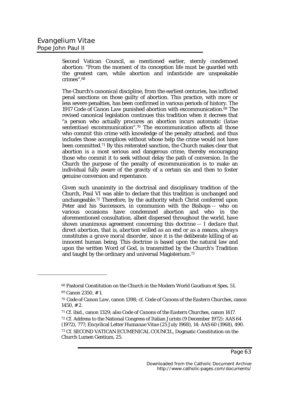Second Vatican Council, as mentioned earlier, sternly condemned abortion: "From the moment of its conception life must be guarded with the greatest care, while abortion and infanticide are unspeakable crimes".<sup>68</sup>

The *Church's canonical discipline,* from the earliest centuries, has inflicted penal sanctions on those guilty of abortion. This practice, with more or less severe penalties, has been confirmed in various periods of history. The 1917 *Code of Canon Law* punished abortion with excommunication.69 The revised canonical legislation continues this tradition when it decrees that "a person who actually procures an abortion incurs automatic (*latae sententiae*) excommunication".70 The excommunication affects all those who commit this crime with knowledge of the penalty attached, and thus includes those accomplices without whose help the crime would not have been committed.71 By this reiterated sanction, the Church makes clear that abortion is a most serious and dangerous crime, thereby encouraging those who commit it to seek without delay the path of conversion. In the Church the purpose of the penalty of excommunication is to make an individual fully aware of the gravity of a certain sin and then to foster genuine conversion and repentance.

Given such unanimity in the doctrinal and disciplinary tradition of the Church, Paul VI was able to declare that this tradition is unchanged and unchangeable.72 Therefore, by the authority which Christ conferred upon Peter and his Successors, in communion with the Bishops -- who on various occasions have condemned abortion and who in the aforementioned consultation, albeit dispersed throughout the world, have shown unanimous agreement concerning this doctrine *-- I declare that direct abortion, that is, abortion willed as an end or as a means, always constitutes a grave moral disorder,* since it is the deliberate killing of an innocent human being. This doctrine is based upon the natural law and upon the written Word of God, is transmitted by the Church's Tradition and taught by the ordinary and universal Magisterium.<sup>73</sup>

 $\ddot{\phantom{a}}$ 

<sup>68</sup> Pastoral Constitution on the Church in the Modern World *Gaudium et Spes*, 51.

<sup>69</sup> Canon 2350, # 1.

<sup>70</sup> *Code of Canon Law*, canon 1398; cf. *Code of Canons of the Eastern Churches*, canon 1450, # 2.

<sup>71</sup> Cf. *ibid*., canon 1329; also *Code of Canons of the Eastern Churches*, canon 1417. <sup>72</sup> Cf. Address to the National Congress of Italian Jurists (9 December 1972): *AAS* 64 (1972), 777; Encyclical Letter *Humanae Vitae* (25 July 1968), 14: *AAS* 60 (1968), 490. <sup>73</sup> Cf. SECOND VATICAN ECUMENICAL COUNCIL, Dogmatic Constitution on the Church *Lumen Gentium*, 25.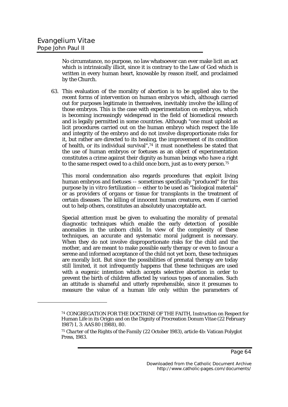$\overline{a}$ 

No circumstance, no purpose, no law whatsoever can ever make licit an act which is intrinsically illicit, since it is contrary to the Law of God which is written in every human heart, knowable by reason itself, and proclaimed by the Church.

63. This evaluation of the morality of abortion is to be applied also to the recent forms of *intervention on human embryos* which, although carried out for purposes legitimate in themselves, inevitably involve the killing of those embryos. This is the case with *experimentation on embryos,* which is becoming increasingly widespread in the field of biomedical research and is legally permitted in some countries. Although "one must uphold as licit procedures carried out on the human embryo which respect the life and integrity of the embryo and do not involve disproportionate risks for it, but rather are directed to its healing, the improvement of its condition of health, or its individual survival",74 it must nonetheless be stated that the use of human embryos or foetuses as an object of experimentation constitutes a crime against their dignity as human beings who have a right to the same respect owed to a child once born, just as to every person.<sup>75</sup>

This moral condemnation also regards procedures that exploit living human embryos and foetuses -- sometimes specifically "produced" for this purpose by *in vitro* fertilization -- either to be used as "biological material" or as *providers of organs or tissue for transplants* in the treatment of certain diseases. The killing of innocent human creatures, even if carried out to help others, constitutes an absolutely unacceptable act.

Special attention must be given to evaluating the morality of *prenatal diagnostic techniques* which enable the early detection of possible anomalies in the unborn child. In view of the complexity of these techniques, an accurate and systematic moral judgment is necessary. When they do not involve disproportionate risks for the child and the mother, and are meant to make possible early therapy or even to favour a serene and informed acceptance of the child not yet born, these techniques are morally licit. But since the possibilities of prenatal therapy are today still limited, it not infrequently happens that these techniques are used with a eugenic intention which accepts selective abortion in order to prevent the birth of children affected by various types of anomalies. Such an attitude is shameful and utterly reprehensible, since it presumes to measure the value of a human life only within the parameters of

<sup>74</sup> CONGREGATION FOR THE DOCTRINE OF THE FAITH, Instruction on Respect for Human Life in its Origin and on the Dignity of Procreation *Donum Vitae* (22 February 1987) I, 3: *AAS* 80 (1988), 80.

<sup>75</sup> *Charter of the Rights of the Family* (22 October 1983), article 4b: Vatican Polyglot Press, 1983.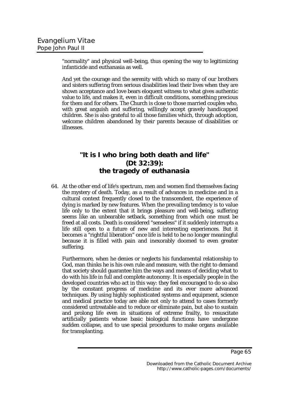"normality" and physical well-being, thus opening the way to legitimizing infanticide and euthanasia as well.

And yet the courage and the serenity with which so many of our brothers and sisters suffering from serious disabilities lead their lives when they are shown acceptance and love bears eloquent witness to what gives authentic value to life, and makes it, even in difficult conditions, something precious for them and for others. The Church is close to those married couples who, with great anguish and suffering, willingly accept gravely handicapped children. She is also grateful to all those families which, through adoption, welcome children abandoned by their parents because of disabilities or illnesses.

## *"It is I who bring both death and life" (Dt 32:39): the tragedy of euthanasia*

64. At the other end of life's spectrum, men and women find themselves facing the mystery of death. Today, as a result of advances in medicine and in a cultural context frequently closed to the transcendent, the experience of dying is marked by new features. When the prevailing tendency is to value life only to the extent that it brings pleasure and well-being, suffering seems like an unbearable setback, something from which one must be freed at all costs. Death is considered "senseless" if it suddenly interrupts a life still open to a future of new and interesting experiences. But it becomes a "rightful liberation" once life is held to be no longer meaningful because it is filled with pain and inexorably doomed to even greater suffering.

Furthermore, when he denies or neglects his fundamental relationship to God, man thinks he is his own rule and measure, with the right to demand that society should guarantee him the ways and means of deciding what to do with his life in full and complete autonomy. It is especially people in the developed countries who act in this way: they feel encouraged to do so also by the constant progress of medicine and its ever more advanced techniques. By using highly sophisticated systems and equipment, science and medical practice today are able not only to attend to cases formerly considered untreatable and to reduce or eliminate pain, but also to sustain and prolong life even in situations of extreme frailty, to resuscitate artificially patients whose basic biological functions have undergone sudden collapse, and to use special procedures to make organs available for transplanting.

*Page 65*

Downloaded from the Catholic Document Archive http://www.catholic-pages.com/documents/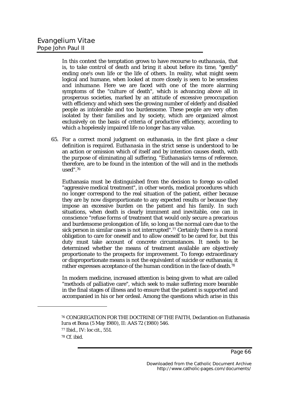In this context the temptation grows to have recourse to *euthanasia,* that is, *to take control of death and bring it about before its time*, "gently" ending one's own life or the life of others. In reality, what might seem logical and humane, when looked at more closely is seen to be *senseless and inhumane.* Here we are faced with one of the more alarming symptoms of the "culture of death", which is advancing above all in prosperous societies, marked by an attitude of excessive preoccupation with efficiency and which sees the growing number of elderly and disabled people as intolerable and too burdensome. These people are very often isolated by their families and by society, which are organized almost exclusively on the basis of criteria of productive efficiency, according to which a hopelessly impaired life no longer has any value.

65. For a correct moral judgment on euthanasia, in the first place a clear definition is required. *Euthanasia in the strict sense* is understood to be an action or omission which of itself and by intention causes death, with the purpose of eliminating all suffering. "Euthanasia's terms of reference, therefore, are to be found in the intention of the will and in the methods used".<sup>76</sup>

Euthanasia must be distinguished from the decision to forego so-called "aggressive medical treatment", in other words, medical procedures which no longer correspond to the real situation of the patient, either because they are by now disproportionate to any expected results or because they impose an excessive burden on the patient and his family. In such situations, when death is clearly imminent and inevitable, one can in conscience "refuse forms of treatment that would only secure a precarious and burdensome prolongation of life, so long as the normal care due to the sick person in similar cases is not interrupted".77 Certainly there is a moral obligation to care for oneself and to allow oneself to be cared for, but this duty must take account of concrete circumstances. It needs to be determined whether the means of treatment available are objectively proportionate to the prospects for improvement. To forego extraordinary or disproportionate means is not the equivalent of suicide or euthanasia; it rather expresses acceptance of the human condition in the face of death.<sup>78</sup>

In modern medicine, increased attention is being given to what are called "methods of palliative care", which seek to make suffering more bearable in the final stages of illness and to ensure that the patient is supported and accompanied in his or her ordeal. Among the questions which arise in this

1

*Page 66*

<sup>76</sup> CONGREGATION FOR THE DOCTRINE OF THE FAITH, Declaration on Euthanasia *Iura et Bona* (5 May 1980), II: *AAS* 72 (1980) 546.

<sup>77</sup> *Ibid*., IV: *loc cit*., 551.

<sup>78</sup> Cf. *ibid*.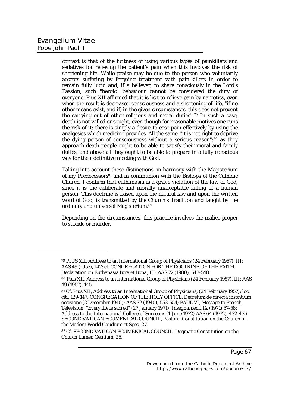context is that of the licitness of using various types of painkillers and sedatives for relieving the patient's pain when this involves the risk of shortening life. While praise may be due to the person who voluntarily accepts suffering by forgoing treatment with pain-killers in order to remain fully lucid and, if a believer, to share consciously in the Lord's Passion, such "heroic" behaviour cannot be considered the duty of everyone. Pius XII affirmed that it is licit to relieve pain by narcotics, even when the result is decreased consciousness and a shortening of life. "if no other means exist, and if, in the given circumstances, this does not prevent the carrying out of other religious and moral duties".79 In such a case, death is not willed or sought, even though for reasonable motives one runs the risk of it: there is simply a desire to ease pain effectively by using the analgesics which medicine provides. All the same, "it is not right to deprive the dying person of consciousness without a serious reason":80 as they approach death people ought to be able to satisfy their moral and family duties, and above all they ought to be able to prepare in a fully conscious way for their definitive meeting with God.

Taking into account these distinctions, in harmony with the Magisterium of my Predecessors81 and in communion with the Bishops of the Catholic Church, *I confirm that euthanasia is a grave violation of the law of God,* since it is the deliberate and morally unacceptable killing of a human person. This doctrine is based upon the natural law and upon the written word of God, is transmitted by the Church's Tradition and taught by the ordinary and universal Magisterium.<sup>82</sup>

Depending on the circumstances, this practice involves the malice proper to suicide or murder.

<sup>79</sup> PIUS XII, Address to an International Group of Physicians (24 February 1957), III: AAS<sup>49</sup> (1957), 147; cf. CONGREGATION FOR THE DOCTRINE OF THE FAITH, Declaration on Euthanasia *Iura et Bona*, III: *AAS* 72 (1980), 547-548.

<sup>80</sup> Pius XII, Address to an International Group of Physicians (24 February 1957), III: *AAS* 49 (1957), 145.

<sup>81</sup> Cf. Pius XII, Address to an International Group of Physicians, (24 February 1957): *loc. cit*., 129-147; CONGREGATION OF THE HOLY OFFICE, *Decretum de directa insontium occisione* (2 December 1940): *AAS* 32 (1940), 553-554; PAUL VI, Message to French Television: "Every life is sacred" (27 January 1971): *Insegnamenti* IX (1971) 57-58; Address to the International College of Surgeons (1 June 1972) *AAS* 64 (1972), 432-436; SECOND VATICAN ECUMENICAL COUNCIL, Pastoral Constitution on the Church in the Modern World *Gaudium et Spes*, 27.

<sup>82</sup> Cf. SECOND VATICAN ECUMENICAL COUNCIL, Dogmatic Constitution on the Church *Lumen Gentium*, 25.

Downloaded from the Catholic Document Archive http://www.catholic-pages.com/documents/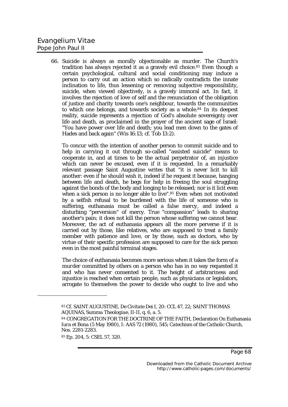66. Suicide is always as morally objectionable as murder. The Church's tradition has always rejected it as a gravely evil choice.83 Even though a certain psychological, cultural and social conditioning may induce a person to carry out an action which so radically contradicts the innate inclination to life, thus lessening or removing subjective responsibility, *suicide,* when viewed objectively, is a gravely immoral act. In fact, it involves the rejection of love of self and the renunciation of the obligation of justice and charity towards one's neighbour, towards the communities to which one belongs, and towards society as a whole.84 In its deepest reality, suicide represents a rejection of God's absolute sovereignty over life and death, as proclaimed in the prayer of the ancient sage of Israel: "You have power over life and death; you lead men down to the gates of Hades and back again" (*Wis* 16:13; cf. *Tob* 13:2).

To concur with the intention of another person to commit suicide and to help in carrying it out through so-called "assisted suicide" means to cooperate in, and at times to be the actual perpetrator of, an injustice which can never be excused, even if it is requested. In a remarkably relevant passage Saint Augustine writes that "it is never licit to kill another: even if he should wish it, indeed if he request it because, hanging between life and death, he begs for help in freeing the soul struggling against the bonds of the body and longing to be released; nor is it licit even when a sick person is no longer able to live".<sup>85</sup> Even when not motivated by a selfish refusal to be burdened with the life of someone who is suffering, euthanasia must be called a *false mercy,* and indeed a disturbing "perversion" of mercy. True "compassion" leads to sharing another's pain; it does not kill the person whose suffering we cannot bear. Moreover, the act of euthanasia appears all the more perverse if it is carried out by those, like relatives, who are supposed to treat a family member with patience and love, or by those, such as doctors, who by virtue of their specific profession are supposed to care for the sick person even in the most painful terminal stages.

The choice of euthanasia becomes more serious when it takes the form of a *murder* committed by others on a person who has in no way requested it and who has never consented to it. The height of arbitrariness and injustice is reached when certain people, such as physicians or legislators, arrogate to themselves the power to decide who ought to live and who

<sup>85</sup> *Ep*. 204, 5: *CSEL* 57, 320.

1

<sup>83</sup> Cf. SAINT AUGUSTINE, *De Civitate Dei* I, 20: *CCL* 47, 22; SAINT THOMAS AQUINAS, *Summa Theologiae*, II-II, q. 6, a. 5.

<sup>84</sup> CONGREGATION FOR THE DOCTRINE OF THE FAITH, Declaration On Euthanasia *Iura et Bona* (5 May 1980), I: *AAS* 72 (1980), 545; *Catechism of the Catholic Church*, Nos. 2281-2283.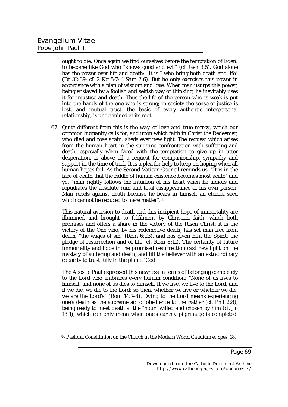$\ddot{\phantom{a}}$ 

ought to die. Once again we find ourselves before the temptation of Eden: to become like God who "knows good and evil" (cf. *Gen* 3:5). God alone has the power over life and death: "It is I who bring both death and life" (*Dt* 32:39; cf. *2 Kg* 5:7; *1 Sam* 2:6). But he only exercises this power in accordance with a plan of wisdom and love. When man usurps this power, being enslaved by a foolish and selfish way of thinking, he inevitably uses it for injustice and death. Thus the life of the person who is weak is put into the hands of the one who is strong; in society the sense of justice is lost, and mutual trust, the basis of every authentic interpersonal relationship, is undermined at its root.

67. Quite different from this is the *way of love and true mercy,* which our common humanity calls for, and upon which faith in Christ the Redeemer, who died and rose again, sheds ever new light. The request which arises from the human heart in the supreme confrontation with suffering and death, especially when faced with the temptation to give up in utter desperation, is above all a request for companionship, sympathy and support in the time of trial. It is a plea for help to keep on hoping when all human hopes fail. As the Second Vatican Council reminds us: "It is in the face of death that the riddle of human existence becomes most acute" and yet "man rightly follows the intuition of his heart when he abhors and repudiates the absolute ruin and total disappearance of his own person. Man rebels against death because he bears in himself an eternal seed which cannot be reduced to mere matter".<sup>86</sup>

This natural aversion to death and this incipient hope of immortality are illumined and brought to fulfilment by Christian faith, which both promises and offers a share in the victory of the Risen Christ: it is the victory of the One who, by his redemptive death, has set man free from death, "the wages of sin" (*Rom* 6:23), and has given him the Spirit, the pledge of resurrection and of life (cf. *Rom* 8:11). The certainty of future immortality and *hope in the promised resurrection* cast new light on the mystery of suffering and death, and fill the believer with an extraordinary capacity to trust fully in the plan of God.

The Apostle Paul expressed this newness in terms of belonging completely to the Lord who embraces every human condition: "None of us lives to himself, and none of us dies to himself. If we live, we live to the Lord, and if we die, we die to the Lord; so then, whether we live or whether we die, we are the Lord's" (*Rom* 14:7-8). *Dying to the Lord* means experiencing one's death as the supreme act of obedience to the Father (cf. *Phil* 2:8), being ready to meet death at the "hour" willed and chosen by him (cf. *Jn* 13:1), which can only mean when one's earthly pilgrimage is completed.

<sup>86</sup> Pastoral Constitution on the Church in the Modern World *Gaudium et Spes*, 18.

Downloaded from the Catholic Document Archive http://www.catholic-pages.com/documents/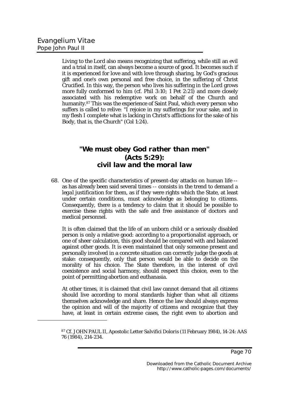*Living to the Lord* also means recognizing that suffering, while still an evil and a trial in itself, can always become a source of good. It becomes such if it is experienced for love and with love through sharing, by God's gracious gift and one's own personal and free choice, in the suffering of Christ Crucified. In this way, the person who lives his suffering in the Lord grows more fully conformed to him (cf. *Phil* 3:10; *1 Pet* 2:21) and more closely associated with his redemptive work on behalf of the Church and humanity.87 This was the experience of Saint Paul, which every person who suffers is called to relive: "I rejoice in my sufferings for your sake, and in my flesh I complete what is lacking in Christ's afflictions for the sake of his Body, that is, the Church" (*Col* 1:24).

## *"We must obey God rather than men" (Acts 5:29): civil law and the moral law*

68. One of the specific characteristics of present-day attacks on human life - as has already been said several times -- consists in the trend to demand a *legal justification* for them, as if they were rights which the State, at least under certain conditions, must acknowledge as belonging to citizens. Consequently, there is a tendency to claim that it should be possible to exercise these rights with the safe and free assistance of doctors and medical personnel.

It is often claimed that the life of an unborn child or a seriously disabled person is only a relative good: according to a proportionalist approach, or one of sheer calculation, this good should be compared with and balanced against other goods. It is even maintained that only someone present and personally involved in a concrete situation can correctly judge the goods at stake: consequently, only that person would be able to decide on the morality of his choice. The State therefore, in the interest of civil coexistence and social harmony, should respect this choice, even to the point of permitting abortion and euthanasia.

At other times, it is claimed that civil law cannot demand that all citizens should live according to moral standards higher than what all citizens themselves acknowledge and share. Hence the law should always express the opinion and will of the majority of citizens and recognize that they have, at least in certain extreme cases, the right even to abortion and

<sup>87</sup> Cf. JOHN PAUL II, Apostolic Letter *Salvifici Doloris* (11 February 1984), 14-24: *AAS* 76 (1984), 214-234.

Downloaded from the Catholic Document Archive http://www.catholic-pages.com/documents/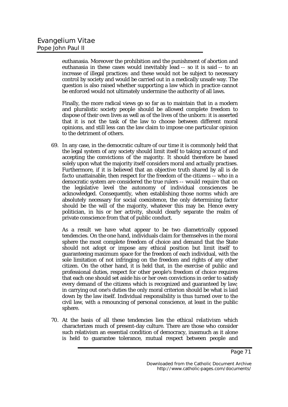euthanasia. Moreover the prohibition and the punishment of abortion and euthanasia in these cases would inevitably lead -- so it is said -- to an increase of illegal practices: and these would not be subject to necessary control by society and would be carried out in a medically unsafe way. The question is also raised whether supporting a law which in practice cannot be enforced would not ultimately undermine the authority of all laws.

Finally, the more radical views go so far as to maintain that in a modern and pluralistic society people should be allowed complete freedom to dispose of their own lives as well as of the lives of the unborn: it is asserted that it is not the task of the law to choose between different moral opinions, and still less can the law claim to impose one particular opinion to the detriment of others.

69. In any case, in the democratic culture of our time it is commonly held that the legal system of any society should limit itself to taking account of and accepting the convictions of the majority. It should therefore be based solely upon what the majority itself considers moral and actually practises. Furthermore, if it is believed that an objective truth shared by all is *de facto* unattainable, then respect for the freedom of the citizens -- who in a democratic system are considered the true rulers -- would require that on the legislative level the autonomy of individual consciences be acknowledged. Consequently, when establishing those norms which are absolutely necessary for social coexistence, the only determining factor should be the will of the majority, whatever this may be. Hence every politician, in his or her activity, should clearly separate the realm of private conscience from that of public conduct.

As a result we have what appear to be two diametrically opposed tendencies. On the one hand, individuals claim for themselves in the moral sphere the most complete freedom of choice and demand that the State should not adopt or impose any ethical position but limit itself to guaranteeing maximum space for the freedom of each individual, with the sole limitation of not infringing on the freedom and rights of any other citizen. On the other hand, it is held that, in the exercise of public and professional duties, respect for other people's freedom of choice requires that each one should set aside his or her own convictions in order to satisfy every demand of the citizens which is recognized and guaranteed by law; in carrying out one's duties the only moral criterion should be what is laid down by the law itself. Individual responsibility is thus turned over to the civil law, with a renouncing of personal conscience, at least in the public sphere.

70. At the basis of all these tendencies lies the *ethical relativism* which characterizes much of present-day culture. There are those who consider such relativism an essential condition of democracy, inasmuch as it alone is held to guarantee tolerance, mutual respect between people and

Downloaded from the Catholic Document Archive http://www.catholic-pages.com/documents/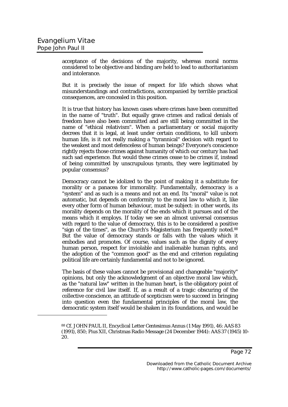acceptance of the decisions of the majority, whereas moral norms considered to be objective and binding are held to lead to authoritarianism and intolerance.

But it is precisely the issue of respect for life which shows what misunderstandings and contradictions, accompanied by terrible practical consequences, are concealed in this position.

It is true that history has known cases where crimes have been committed in the name of "truth". But equally grave crimes and radical denials of freedom have also been committed and are still being committed in the name of "ethical relativism". When a parliamentary or social majority decrees that it is legal, at least under certain conditions, to kill unborn human life, is it not really making a "tyrannical" decision with regard to the weakest and most defenceless of human beings? Everyone's conscience rightly rejects those crimes against humanity of which our century has had such sad experience. But would these crimes cease to be crimes if, instead of being committed by unscrupulous tyrants, they were legitimated by popular consensus?

Democracy cannot be idolized to the point of making it a substitute for morality or a panacea for immorality. Fundamentally, democracy is a "system" and as such is a means and not an end. Its "moral" value is not automatic, but depends on conformity to the moral law to which it, like every other form of human behaviour, must be subject: in other words, its morality depends on the morality of the ends which it pursues and of the means which it employs. If today we see an almost universal consensus with regard to the value of democracy, this is to be considered a positive "sign of the times", as the Church's Magisterium has frequently noted.<sup>88</sup> But the value of democracy stands or falls with the values which it embodies and promotes. Of course, values such as the dignity of every human person, respect for inviolable and inalienable human rights, and the adoption of the "common good" as the end and criterion regulating political life are certainly fundamental and not to be ignored.

The basis of these values cannot be provisional and changeable "majority" opinions, but only the acknowledgment of an objective moral law which, as the "natural law" written in the human heart, is the obligatory point of reference for civil law itself. If, as a result of a tragic obscuring of the collective conscience, an attitude of scepticism were to succeed in bringing into question even the fundamental principles of the moral law, the democratic system itself would be shaken in its foundations, and would be

<sup>88</sup> Cf. JOHN PAUL II, Encyclical Letter *Centesimus Annus* (1 May 1991), 46: *AAS* 83 (1991), 850; Pius XII, Christmas Radio Message (24 December 1944): *AAS* 37 (1945) 10- 20.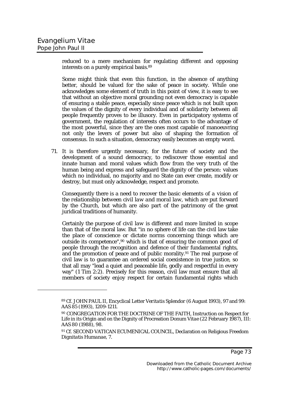reduced to a mere mechanism for regulating different and opposing interests on a purely empirical basis.<sup>89</sup>

Some might think that even this function, in the absence of anything better, should be valued for the sake of peace in society. While one acknowledges some element of truth in this point of view, it is easy to see that without an objective moral grounding not even democracy is capable of ensuring a stable peace, especially since peace which is not built upon the values of the dignity of every individual and of solidarity between all people frequently proves to be illusory. Even in participatory systems of government, the regulation of interests often occurs to the advantage of the most powerful, since they are the ones most capable of manoeuvring not only the levers of power but also of shaping the formation of consensus. In such a situation, democracy easily becomes an empty word.

71. It is therefore urgently necessary, for the future of society and the development of a sound democracy, to rediscover those essential and innate human and moral values which flow from the very truth of the human being and express and safeguard the dignity of the person: values which no individual, no majority and no State can ever create, modify or destroy, but must only acknowledge, respect and promote.

Consequently there is a need to recover the *basic elements of a vision of the relationship between civil law and moral law,* which are put forward by the Church, but which are also part of the patrimony of the great juridical traditions of humanity.

Certainly *the purpose of civil law* is different and more limited in scope than that of the moral law. But "in no sphere of life can the civil law take the place of conscience or dictate norms concerning things which are outside its competence",90 which is that of ensuring the common good of people through the recognition and defence of their fundamental rights, and the promotion of peace and of public morality.91 The real purpose of civil law is to guarantee an ordered social coexistence in true justice, so that all may "lead a quiet and peaceable life, godly and respectful in every way" (*1 Tim* 2:2). Precisely for this reason, civil law must ensure that all members of society enjoy respect for certain fundamental rights which

<sup>89</sup> Cf. JOHN PAUL II, Encyclical Letter *Veritatis Splendor* (6 August 1993), 97 and 99: *AAS* 85 (1993), 1209-1211.

<sup>90</sup> CONGREGATION FOR THE DOCTRINE OF THE FAITH, Instruction on Respect for Life in its Origin and on the Dignity of Procreation *Donum Vitae* (22 February 1987), III: *AAS* 80 (1988), 98.

<sup>91</sup> Cf. SECOND VATICAN ECUMENICAL COUNCIL, Declaration on Religious Freedom *Dignitatis Humanae*, 7.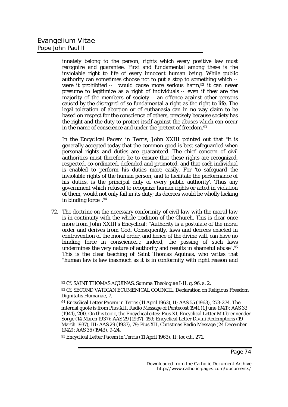innately belong to the person, rights which every positive law must recognize and guarantee. First and fundamental among these is the inviolable right to life of every innocent human being. While public authority can sometimes choose not to put a stop to something which - were it prohibited -- would cause more serious harm,<sup>92</sup> it can never presume to legitimize as a right of individuals -- even if they are the majority of the members of society -- an offence against other persons caused by the disregard of so fundamental a right as the right to life. The legal toleration of abortion or of euthanasia can in no way claim to be based on respect for the conscience of others, precisely because society has the right and the duty to protect itself against the abuses which can occur in the name of conscience and under the pretext of freedom.<sup>93</sup>

In the Encyclical *Pacem in Terris,* John XXIII pointed out that "it is generally accepted today that the common good is best safeguarded when personal rights and duties are guaranteed. The chief concern of civil authorities must therefore be to ensure that these rights are recognized, respected, co-ordinated, defended and promoted, and that each individual is enabled to perform his duties more easily. For 'to safeguard the inviolable rights of the human person, and to facilitate the performance of his duties, is the principal duty of every public authority'. Thus any government which refused to recognize human rights or acted in violation of them, would not only fail in its duty; its decrees would be wholly lacking in binding force".<sup>94</sup>

72. The doctrine on the necessary *conformity of civil law with the moral law* is in continuity with the whole tradition of the Church. This is clear once more from John XXIII's Encyclical: "Authority is a postulate of the moral order and derives from God. Consequently, laws and decrees enacted in contravention of the moral order, and hence of the divine will, can have no binding force in conscience...; indeed, the passing of such laws undermines the very nature of authority and results in shameful abuse".<sup>95</sup> This is the clear teaching of Saint Thomas Aquinas, who writes that "human law is law inasmuch as it is in conformity with right reason and

<sup>92</sup> Cf. SAINT THOMAS AQUINAS, *Summa Theologiae* I-II, q. 96, a. 2.

<sup>93</sup> Cf. SECOND VATICAN ECUMENICAL COUNCIL, Declaration on Religious Freedom *Dignitatis Humanae*, 7.

<sup>94</sup> Encyclical Letter *Pacem in Terris* (11 April 1963), II; *AAS* 55 (1963), 273-274. The internal quote is from Pius XII, Radio Message of Pentecost 1941 (1 June 1941): *AAS* 33 (1941), 200. On this topic, the Encyclical cites: Pius XI, Encyclical Letter *Mit brennender Sorge* (14 March 1937): *AAS* 29 (1937), 159; Encyclical Letter *Divini Redemptoris* (19 March 1937), III: *AAS* 29 (1937), 79; Pius XII, Christmas Radio Message (24 December 1942): *AAS* 35 (1943), 9-24.

<sup>95</sup> Encyclical Letter *Pacem in Terris* (11 April 1963), II: *loc cit*., 271.

*Page 74*

Downloaded from the Catholic Document Archive http://www.catholic-pages.com/documents/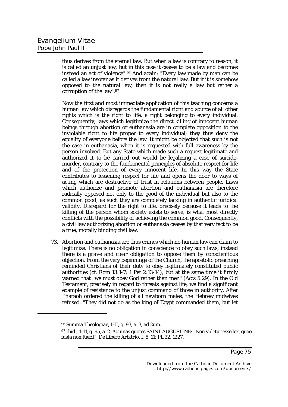thus derives from the eternal law. But when a law is contrary to reason, it is called an unjust law; but in this case it ceases to be a law and becomes instead an act of violence".96 And again: "Every law made by man can be called a law insofar as it derives from the natural law. But if it is somehow opposed to the natural law, then it is not really a law but rather a corruption of the law".<sup>97</sup>

Now the first and most immediate application of this teaching concerns a human law which disregards the fundamental right and source of all other rights which is the right to life, a right belonging to every individual. Consequently, laws which legitimize the direct killing of innocent human beings through abortion or euthanasia are in complete opposition to the inviolable right to life proper to every individual; they thus deny the equality of everyone before the law. It might be objected that such is not the case in euthanasia, when it is requested with full awareness by the person involved. But any State which made such a request legitimate and authorized it to be carried out would be legalizing a case of suicidemurder, contrary to the fundamental principles of absolute respect for life and of the protection of every innocent life. In this way the State contributes to lessening respect for life and opens the door to ways of acting which are destructive of trust in relations between people. Laws which authorize and promote abortion and euthanasia are therefore radically opposed not only to the good of the individual but also to the common good; as such they are completely lacking in authentic juridical validity. Disregard for the right to life, precisely because it leads to the killing of the person whom society exists to serve, is what most directly conflicts with the possibility of achieving the common good. Consequently, a civil law authorizing abortion or euthanasia ceases by that very fact to be a true, morally binding civil law.

73. Abortion and euthanasia are thus crimes which no human law can claim to legitimize. There is no obligation in conscience to obey such laws; instead there is a *grave and clear obligation to oppose them by conscientious objection.* From the very beginnings of the Church, the apostolic preaching reminded Christians of their duty to obey legitimately constituted public authorities (cf. *Rom* 13:1-7; *1 Pet* 2:13-14), but at the same time it firmly warned that "we must obey God rather than men" (*Acts* 5:29). In the Old Testament, precisely in regard to threats against life, we find a significant example of resistance to the unjust command of those in authority. After Pharaoh ordered the killing of all newborn males, the Hebrew midwives refused. "They did not do as the king of Egypt commanded them, but let

 $\overline{a}$ 

<sup>96</sup> *Summa Theologiae*, I-II, q. 93, a. 3, ad 2um.

<sup>97</sup> *Ibid*., 1-11, q. 95, a. 2. Aquinas quotes SAINT AUGUSTINE: "Non videtur esse lex, quae iusta non fuerit", *De Libero Arbitrio*, I, 5, 11: PL 32. 1227.

Downloaded from the Catholic Document Archive http://www.catholic-pages.com/documents/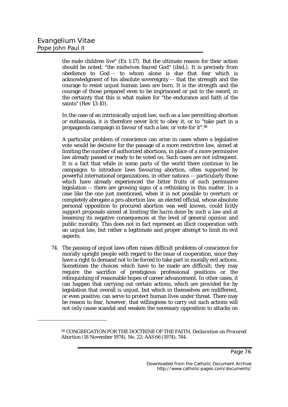the male children live" (*Ex* 1:17). But the ultimate reason for their action should be noted: *"the midwives feared God"* (*ibid.*). It is precisely from obedience to God -- to whom alone is due that fear which is acknowledgment of his absolute sovereignty -- that the strength and the courage to resist unjust human laws are born. It is the strength and the courage of those prepared even to be imprisoned or put to the sword, in the certainty that this is what makes for "the endurance and faith of the saints" (*Rev* 13:10).

In the case of an intrinsically unjust law, such as a law permitting abortion or euthanasia, it is therefore never licit to obey it, or to "take part in a propaganda campaign in favour of such a law, or vote for it".<sup>98</sup>

A particular problem of conscience can arise in cases where a legislative vote would be decisive for the passage of a more restrictive law, aimed at limiting the number of authorized abortions, in place of a more permissive law already passed or ready to be voted on. Such cases are not infrequent. It is a fact that while in some parts of the world there continue to be campaigns to introduce laws favouring abortion, often supported by powerful international organizations, in other nations -- particularly those which have already experienced the bitter fruits of such permissive legislation -- there are growing signs of a rethinking in this matter. In a case like the one just mentioned, when it is not possible to overturn or completely abrogate a pro-abortion law, an elected official, whose absolute personal opposition to procured abortion was well known, could licitly support proposals aimed at *limiting the harm* done by such a law and at lessening its negative consequences at the level of general opinion and public morality. This does not in fact represent an illicit cooperation with an unjust law, but rather a legitimate and proper attempt to limit its evil aspects.

74. The passing of unjust laws often raises difficult problems of conscience for morally upright people with regard to the issue of cooperation, since they have a right to demand not to be forced to take part in morally evil actions. Sometimes the choices which have to be made are difficult; they may require the sacrifice of prestigious professional positions or the relinquishing of reasonable hopes of career advancement. In other cases, it can happen that carrying out certain actions, which are provided for by legislation that overall is unjust, but which in themselves are indifferent, or even positive, can serve to protect human lives under threat. There may be reason to fear, however, that willingness to carry out such actions will not only cause scandal and weaken the necessary opposition to attacks on

<sup>98</sup> CONGREGATION FOR THE DOCTRINE OF THE FAITH, *Declaration on Procured Abortion* (18 November 1974), No. 22: *AAS* 66 (1974), 744.

Downloaded from the Catholic Document Archive http://www.catholic-pages.com/documents/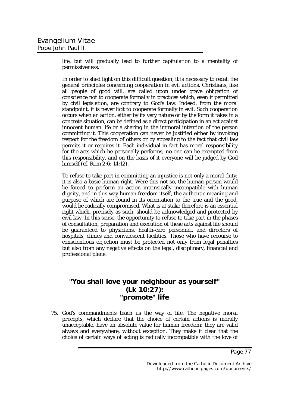life, but will gradually lead to further capitulation to a mentality of permissiveness.

In order to shed light on this difficult question, it is necessary to recall the general principles concerning *cooperation in evil actions.* Christians, like all people of good will, are called upon under grave obligation of conscience not to cooperate formally in practices which, even if permitted by civil legislation, are contrary to God's law. Indeed, from the moral standpoint, it is never licit to cooperate formally in evil. Such cooperation occurs when an action, either by its very nature or by the form it takes in a concrete situation, can be defined as a direct participation in an act against innocent human life or a sharing in the immoral intention of the person committing it. This cooperation can never be justified either by invoking respect for the freedom of others or by appealing to the fact that civil law permits it or requires it. Each individual in fact has moral responsibility for the acts which he personally performs; no one can be exempted from this responsibility, and on the basis of it everyone will be judged by God himself (cf. *Rom* 2:6; 14:12).

To refuse to take part in committing an injustice is not only a moral duty; it is also a basic human right. Were this not so, the human person would be forced to perform an action intrinsically incompatible with human dignity, and in this way human freedom itself, the authentic meaning and purpose of which are found in its orientation to the true and the good, would be radically compromised. What is at stake therefore is an essential right which, precisely as such, should be acknowledged and protected by civil law. In this sense, the opportunity to refuse to take part in the phases of consultation, preparation and execution of these acts against life should be guaranteed to physicians, health-care personnel, and directors of hospitals, clinics and convalescent facilities. Those who have recourse to conscientious objection must be protected not only from legal penalties but also from any negative effects on the legal, disciplinary, financial and professional plane.

### *"You shall love your neighbour as yourself" (Lk 10:27): "promote" life*

75. God's commandments teach us the way of life. *The negative moral precepts,* which declare that the choice of certain actions is morally unacceptable, have an absolute value for human freedom: they are valid always and everywhere, without exception. They make it clear that the choice of certain ways of acting is radically incompatible with the love of

Downloaded from the Catholic Document Archive http://www.catholic-pages.com/documents/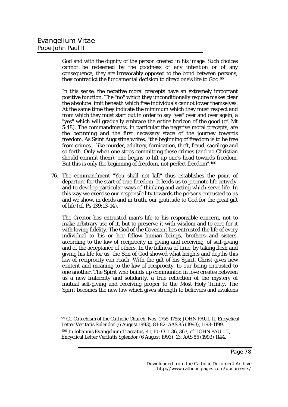God and with the dignity of the person created in his image. Such choices cannot be redeemed by the goodness of any intention or of any consequence; they are irrevocably opposed to the bond between persons; they contradict the fundamental decision to direct one's life to God.<sup>99</sup>

In this sense, the negative moral precepts have an extremely important positive function. The "no" which they unconditionally require makes clear the absolute limit beneath which free individuals cannot lower themselves. At the same time they indicate the minimum which they must respect and from which they must start out in order to say "yes" over and over again, a "yes" which will gradually embrace the *entire horizon of the good* (cf. *Mt* 5:48). The commandments, in particular the negative moral precepts, are the beginning and the first necessary stage of the journey towards freedom. As Saint Augustine writes, "the beginning of freedom is to be free from crimes... like murder, adultery, fornication, theft, fraud, sacrilege and so forth. Only when one stops committing these crimes (and no Christian should commit them), one begins to lift up one's head towards freedom. But this is only the beginning of freedom, not perfect freedom".<sup>100</sup>

76. The commandment "You shall not kill" thus establishes the point of departure for the start of true freedom. It leads us to promote life actively, and to develop particular ways of thinking and acting which serve life. In this way we exercise our responsibility towards the persons entrusted to us and we show, in deeds and in truth, our gratitude to God for the great gift of life (cf. *Ps* 139:13-14).

The Creator has entrusted man's life to his responsible concern, not to make arbitrary use of it, but to preserve it with wisdom and to care for it with loving fidelity. The God of the Covenant has entrusted the life of every individual to his or her fellow human beings, brothers and sisters, according to the law of reciprocity in giving and receiving, of self-giving and of the acceptance of others. In the fullness of time, by taking flesh and giving his life for us, the Son of God showed what heights and depths this law of reciprocity can reach. With the gift of his Spirit, Christ gives new content and meaning to the law of reciprocity, to our being entrusted to one another. The Spirit who builds up communion in love creates between us a new fraternity and solidarity, a true reflection of the mystery of mutual self-giving and receiving proper to the Most Holy Trinity. The Spirit becomes the new law which gives strength to believers and awakens

<sup>99</sup> Cf. *Catechism of the Catholic Church*, Nos. 1755-1755; JOHN PAUL II, Encyclical Letter *Veritatis Splendor* (6 August 1993), 81-82: *AAS* 85 (1993), 1198-1199. <sup>100</sup> *In Iohannis Evangelium Tractatus*, 41, 10: *CCL* 36, 363; cf. JOHN PAUL II, Encyclical Letter *Veritatis Splendor* (6 August 1993), 13: *AAS* 85 (1993) 1144.

Downloaded from the Catholic Document Archive http://www.catholic-pages.com/documents/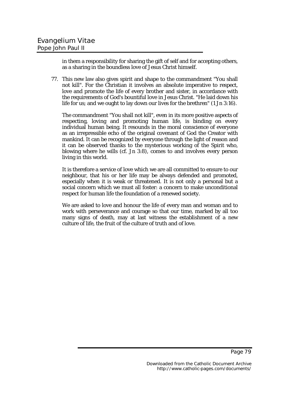in them a responsibility for sharing the gift of self and for accepting others, as a sharing in the boundless love of Jesus Christ himself.

77. This new law also gives spirit and shape to the commandment "You shall not kill". For the Christian it involves an absolute imperative to respect, love and promote the life of every brother and sister, in accordance with the requirements of God's bountiful love in Jesus Christ. "He laid down his life for us; and we ought to lay down our lives for the brethren" (*1 Jn* 3:16).

The commandment "You shall not kill", even in its more positive aspects of respecting, loving and promoting human life, is binding on every individual human being. It resounds in the moral conscience of everyone as an irrepressible echo of the original covenant of God the Creator with mankind. It can be recognized by everyone through the light of reason and it can be observed thanks to the mysterious working of the Spirit who, blowing where he wills (cf. *Jn* 3:8), comes to and involves every person living in this world.

It is therefore a service of love which we are all committed to ensure to our neighbour, that his or her life may be always defended and promoted, especially when it is weak or threatened. It is not only a personal but a social concern which we must all foster: a concern to make unconditional respect for human life the foundation of a renewed society.

We are asked to love and honour the life of every man and woman and to work with perseverance and courage so that our time, marked by all too many signs of death, may at last witness the establishment of a new culture of life, the fruit of the culture of truth and of love.

Downloaded from the Catholic Document Archive http://www.catholic-pages.com/documents/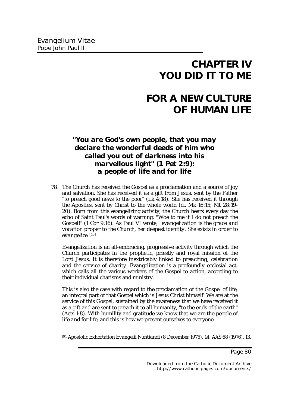## **CHAPTER IV YOU DID IT TO ME**

## *FOR A NFW CULTURE OF HUMAN LIFE*

## *"You are God's own people, that you may declare the wonderful deeds of him who called you out of darkness into his marvellous light" (1 Pet 2:9): a people of life and for life*

78. The Church has received the Gospel as a proclamation and a source of joy and salvation. She has received it as a gift from Jesus, sent by the Father "to preach good news to the poor" (*Lk* 4:18). She has received it through the Apostles, sent by Christ to the whole world (cf. *Mk* 16:15; *Mt* 28:19- 20). Born from this evangelizing activity, the Church hears every day the echo of Saint Paul's words of warning: "Woe to me if I do not preach the Gospel!" (*1 Cor* 9:16). As Paul VI wrote, *"evangelization is the grace and vocation proper to the Church, her deepest identity. She exists in order to evangelize*".<sup>101</sup>

Evangelization is an all-embracing, progressive activity through which the Church participates in the prophetic, priestly and royal mission of the Lord Jesus. It is therefore inextricably linked to *preaching, celebration and the service of charity.* Evangelization is a *profoundly ecclesial act,* which calls all the various workers of the Gospel to action, according to their individual charisms and ministry.

This is also the case with regard to the proclamation of the *Gospel of life,* an integral part of that Gospel which is Jesus Christ himself. We are at the service of this Gospel, sustained by the awareness that we have received it as a gift and are sent to preach it to all humanity, "to the ends of the earth" (*Acts* 1:8). With humility and gratitude we know that we are the *people of life and for life,* and this is how we present ourselves to everyone.

<sup>101</sup> Apostolic Exhortation *Evangelii Nuntiandi* (8 December 1975), 14: *AAS* 68 (1976), 13.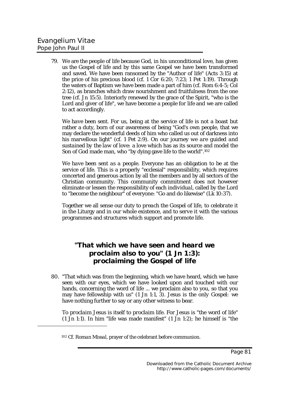79. We are the *people of life* because God, in his unconditional love, has given us the *Gospel of life* and by this same Gospel we have been transformed and saved. We have been ransomed by the "Author of life" (*Acts* 3:15) at the price of his precious blood (cf. *1 Cor* 6:20; 7:23; *1 Pet* 1:19). Through the waters of Baptism we have been made a part of him (cf. *Rom* 6:4-5; *Col* 2:12), as branches which draw nourishment and fruitfulness from the one tree (cf. *Jn* 15:5). Interiorly renewed by the grace of the Spirit, "who is the Lord and giver of life", we have become a *people for life* and we are called to act accordingly.

*We have been sent.* For us, being at the service of life is not a boast but rather a duty, born of our awareness of being "God's own people, that we may declare the wonderful deeds of him who called us out of darkness into his marvellous light" (cf. *1 Pet* 2:9). On our journey *we are guided and sustained by the law of love:* a love which has as its source and model the Son of God made man, who "by dying gave life to the world".<sup>102</sup>

*We have been sent as a people.* Everyone has an obligation to be at the service of life. This is a properly "ecclesial" responsibility, which requires concerted and generous action by all the members and by all sectors of the Christian community. This community commitment does not however eliminate or lessen the responsibility of each *individual,* called by the Lord to "become the neighbour" of everyone: "Go and do likewise" (*Lk* 10:37).

Together we all sense our duty to *preach the Gospel of life,* to *celebrate it* in the Liturgy and in our whole existence, and to *serve it* with the various programmes and structures which support and promote life.

### *"That which we have seen and heard we proclaim also to you" (1 Jn 1:3): proclaiming the Gospel of life*

80. "That which was from the beginning, which we have heard, which we have seen with our eyes, which we have looked upon and touched with our hands, concerning the word of life ... we proclaim also to you, so that you may have fellowship with us" (*1 Jn* 1:1, 3). *Jesus is the only Gospel:* we have nothing further to say or any other witness to bear.

*To proclaim Jesus is itself to proclaim life.* For Jesus is "the word of life" (*1 Jn* 1:1). In him "life was made manifest" (*1 Jn* 1:2); he himself is "the

*Page 81*

<sup>102</sup> Cf. *Roman Missal*, prayer of the celebrant before communion.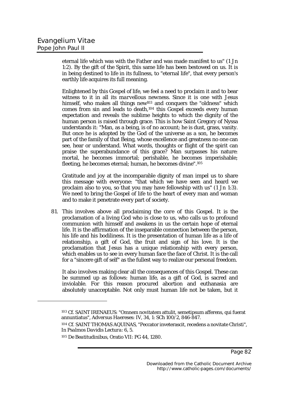eternal life which was with the Father and was made manifest to us" (*1 Jn* 1:2). By the gift of the Spirit, this same life has been bestowed on us. It is in being destined to life in its fullness, to "eternal life", that every person's earthly life acquires its full meaning.

Enlightened by this *Gospel of life,* we feel a need to proclaim it and to bear witness to it in all its *marvellous newness.* Since it is one with Jesus himself, who makes all things new<sup>103</sup> and conquers the "oldness" which comes from sin and leads to death,<sup>104</sup> this Gospel exceeds every human expectation and reveals the sublime heights to which the dignity of the human person is raised through grace. This is how Saint Gregory of Nyssa understands it: "Man, as a being, is of no account; he is dust, grass, vanity. But once he is adopted by the God of the universe as a son, he becomes part of the family of that Being, whose excellence and greatness no one can see, hear or understand. What words, thoughts or flight of the spirit can praise the superabundance of this grace? Man surpasses his nature: mortal, he becomes immortal; perishable, he becomes imperishable; fleeting, he becomes eternal; human, he becomes divine".<sup>105</sup>

Gratitude and joy at the incomparable dignity of man impel us to share this message with everyone: "that which we have seen and heard we proclaim also to you, so that you may have fellowship with us" (*1 Jn* 1:3). We need to bring the *Gospel of life* to the heart of every man and woman and to make it penetrate every part of society.

81. This involves above all proclaiming *the core* of this Gospel. It is the proclamation of a living God who is close to us, who calls us to profound communion with himself and awakens in us the certain hope of eternal life. It is the affirmation of the inseparable connection between the person, his life and his bodiliness. It is the presentation of human life as a life of relationship, a gift of God, the fruit and sign of his love. It is the proclamation that Jesus has a unique relationship with every person, which enables us to see in every human face the face of Christ. It is the call for a "sincere gift of self" as the fullest way to realize our personal freedom.

It also involves making clear all *the consequences* of this Gospel. These can be summed up as follows: human life, as a gift of God, is sacred and inviolable. For this reason procured abortion and euthanasia are absolutely unacceptable. Not only must human life not be taken, but it

<sup>103</sup> Cf. SAINT IRENAEUS: "Omnem novitatem attulit, semetipsum afferens, qui fuerat annuntiatus", *Adversus Haereses*: IV, 34, 1: *SCh* 100/2, 846-847.

<sup>104</sup> Cf. SAINT THOMAS AQUINAS, "Peccator inveterascit, recedens a novitate Christi", *In Psalmos Davidis Lectura*: 6, 5.

<sup>105</sup> *De Beatitudinibus*, Oratio VII: *PG* 44, 1280.

Downloaded from the Catholic Document Archive http://www.catholic-pages.com/documents/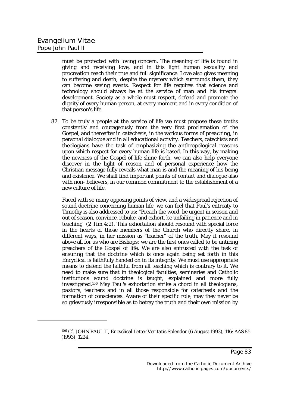must be protected with loving concern. The meaning of life is found in giving and receiving love, and in this light human sexuality and procreation reach their true and full significance. Love also gives meaning to suffering and death; despite the mystery which surrounds them, they can become saving events. Respect for life requires that science and technology should always be at the service of man and his integral development. Society as a whole must respect, defend and promote the dignity of every human person, at every moment and in every condition of that person's life.

82. To be truly a people at the service of life we must propose these truths constantly and courageously from the very first proclamation of the Gospel, and thereafter *in catechesis, in the various forms of preaching, in personal dialogue and in all educational activity.* Teachers, catechists and theologians have the task of emphasizing the *anthropological reasons* upon which respect for every human life is based. In this way, by making the newness of the *Gospel of life* shine forth, we can also help everyone discover in the light of reason and of personal experience how the Christian message fully reveals what man is and the meaning of his being and existence. We shall find important points of contact and dialogue also with non- believers, in our common commitment to the establishment of a new culture of life.

Faced with so many opposing points of view, and a widespread rejection of sound doctrine concerning human life, we can feel that Paul's entreaty to Timothy is also addressed to us: "Preach the word, be urgent in season and out of season, convince, rebuke, and exhort, be unfailing in patience and in teaching" (*2 Tim* 4:2). This exhortation should resound with special force in the hearts of those members of the Church who directly share, in different ways, in her mission as "teacher" of the truth. May it resound above all for us who are *Bishops:* we are the first ones called to be untiring preachers of the *Gospel of life.* We are also entrusted with the task of ensuring that the doctrine which is once again being set forth in this Encyclical is faithfully handed on in its integrity. We must use appropriate means to defend the faithful from all teaching which is contrary to it. We need to make sure that in theological faculties, seminaries and Catholic institutions sound doctrine is taught, explained and more fully investigated.106 May Paul's exhortation strike a chord in all *theologians, pastors, teachers* and in all those responsible for *catechesis and the formation of consciences.* Aware of their specific role, may they never be so grievously irresponsible as to betray the truth and their own mission by

<sup>106</sup> Cf. JOHN PAUL II, Encyclical Letter *Veritatis Splendor* (6 August 1993), 116: *AAS* 85 (1993), 1224.

Downloaded from the Catholic Document Archive http://www.catholic-pages.com/documents/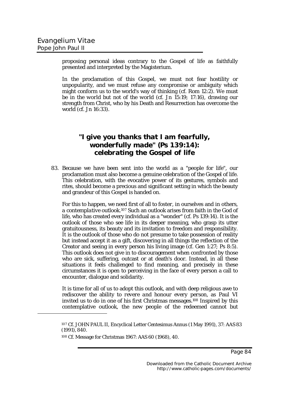proposing personal ideas contrary to the *Gospel of life* as faithfully presented and interpreted by the Magisterium.

In the proclamation of this Gospel, we must not fear hostility or unpopularity, and we must refuse any compromise or ambiguity which might conform us to the world's way of thinking (cf. *Rom* 12:2). We must be *in the world* but not *of the world* (cf. *Jn* 15:19; 17:16), drawing our strength from Christ, who by his Death and Resurrection has overcome the world (cf. *Jn* 16:33).

### *"I give you thanks that I am fearfully, wonderfully made" (Ps 139:14): celebrating the Gospel of life*

83. Because we have been sent into the world as a "people for life", our proclamation must also become *a genuine celebration of the Gospel of life.* This celebration, with the evocative power of its gestures, symbols and rites, should become a precious and significant setting in which the beauty and grandeur of this Gospel is handed on.

For this to happen, we need first of all to *foster,* in ourselves and in others, *a contemplative outlook*. <sup>107</sup> Such an outlook arises from faith in the God of life, who has created every individual as a "wonder" (cf. *Ps* 139:14). It is the outlook of those who see life in its deeper meaning, who grasp its utter gratuitousness, its beauty and its invitation to freedom and responsibility. It is the outlook of those who do not presume to take possession of reality but instead accept it as a gift, discovering in all things the reflection of the Creator and seeing in every person his living image (cf. *Gen* 1:27; *Ps* 8:5). This outlook does not give in to discouragement when confronted by those who are sick, suffering, outcast or at death's door. Instead, in all these situations it feels challenged to find meaning, and precisely in these circumstances it is open to perceiving in the face of every person a call to encounter, dialogue and solidarity.

It is time for all of us to adopt this outlook, and with deep religious awe to rediscover the ability to *revere and honour every person,* as Paul VI invited us to do in one of his first Christmas messages.108 Inspired by this contemplative outlook, the new people of the redeemed cannot but

*Page 84*

<sup>107</sup> Cf. JOHN PAUL II, Encyclical Letter *Centesimus Annus* (1 May 1991), 37: *AAS* 83 (1991), 840.

<sup>108</sup> Cf. Message for Christmas 1967: *AAS* 60 (1968), 40.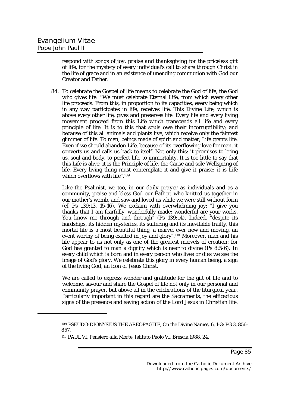respond with *songs of joy, praise and thanksgiving for the priceless gift of life,* for the mystery of every individual's call to share through Christ in the life of grace and in an existence of unending communion with God our Creator and Father.

84. *To celebrate the Gospel of life means to celebrate the God of life, the God who gives life:* "We must celebrate Eternal Life, from which every other life proceeds. From this, in proportion to its capacities, every being which in any way participates in life, receives life. This Divine Life, which is above every other life, gives and preserves life. Every life and every living movement proceed from this Life which transcends all life and every principle of life. It is to this that souls owe their incorruptibility; and because of this all animals and plants live, which receive only the faintest glimmer of life. To men, beings made of spirit and matter, Life grants life. Even if we should abandon Life, because of its overflowing love for man, it converts us and calls us back to itself. Not only this: it promises to bring us, soul and body, to perfect life, to immortality. It is too little to say that this Life is alive: it is the Principle of life, the Cause and sole Wellspring of life. Every living thing must contemplate it and give it praise: it is Life which overflows with life".<sup>109</sup>

Like the Psalmist, we too, in our *daily prayer* as individuals and as a community, praise and bless God our Father, who knitted us together in our mother's womb, and saw and loved us while we were still without form (cf. *Ps* 139:13, 15-16). We exclaim with overwhelming joy: "I give you thanks that I am fearfully, wonderfully made; wonderful are your works. You know me through and through" (*Ps* 139:14). Indeed, "despite its hardships, its hidden mysteries, its suffering and its inevitable frailty, this mortal life is a most beautiful thing, a marvel ever new and moving, an event worthy of being exalted in joy and glory".110 Moreover, man and his life appear to us not only as one of the greatest marvels of creation: for God has granted to man a dignity which is near to divine (*Ps* 8:5-6). In every child which is born and in every person who lives or dies we see the image of God's glory. We celebrate this glory in every human being, a sign of the living God, an icon of Jesus Christ.

We are called to express wonder and gratitude for the gift of life and to welcome, savour and share the *Gospel of life* not only in our personal and community prayer, but above all in the *celebrations of the liturgical year.* Particularly important in this regard are the *Sacraments,* the efficacious signs of the presence and saving action of the Lord Jesus in Christian life.

<sup>109</sup> PSEUDO-DIONYSIUS THE AREOPAGITE, *On the Divine Names*, 6, 1-3: PG 3, 856- 857.

<sup>110</sup> PAUL VI, *Pensiero alla Morte*, Istituto Paolo VI, Brescia 1988, 24.

Downloaded from the Catholic Document Archive http://www.catholic-pages.com/documents/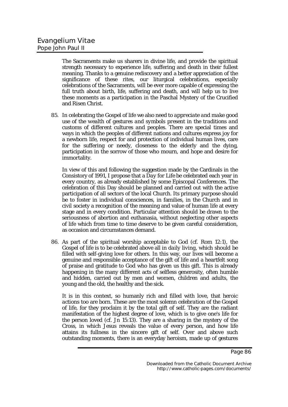The Sacraments make us sharers in divine life, and provide the spiritual strength necessary to experience life, suffering and death in their fullest meaning. Thanks to a genuine rediscovery and a better appreciation of the significance of these rites, our liturgical celebrations, especially celebrations of the Sacraments, will be ever more capable of expressing the full truth about birth, life, suffering and death, and will help us to live these moments as a participation in the Paschal Mystery of the Crucified and Risen Christ.

85. In celebrating the *Gospel of life* we also need to *appreciate and make good use of the wealth of gestures and symbols present in the traditions and customs of different cultures and peoples.* There are special times and ways in which the peoples of different nations and cultures express joy for a newborn life, respect for and protection of individual human lives, care for the suffering or needy, closeness to the elderly and the dying, participation in the sorrow of those who mourn, and hope and desire for immortality.

In view of this and following the suggestion made by the Cardinals in the Consistory of 1991, I propose that a *Day for Life* be celebrated each year in every country, as already established by some Episcopal Conferences. The celebration of this Day should be planned and carried out with the active participation of all sectors of the local Church. Its primary purpose should be to foster in individual consciences, in families, in the Church and in civil society a recognition of the meaning and value of human life at every stage and in every condition. Particular attention should be drawn to the seriousness of abortion and euthanasia, without neglecting other aspects of life which from time to time deserve to be given careful consideration, as occasion and circumstances demand.

86. As part of the spiritual worship acceptable to God (cf. *Rom* 12:1), the *Gospel of life* is to be celebrated above all in *daily living,* which should be filled with self-giving love for others. In this way, our lives will become a genuine and responsible acceptance of the gift of life and a heartfelt song of praise and gratitude to God who has given us this gift. This is already happening in the many different acts of selfless generosity, often humble and hidden, carried out by men and women, children and adults, the young and the old, the healthy and the sick.

It is in this context, so humanly rich and filled with love, that *heroic actions* too are born. These are *the most solemn celebration of the Gospel of life,* for they proclaim it *by the total gift of self.* They are the radiant manifestation of the highest degree of love, which is to give one's life for the person loved (cf. *Jn* 15:13). They are a sharing in the mystery of the Cross, in which Jesus reveals the value of every person, and how life attains its fullness in the sincere gift of self. Over and above such outstanding moments, there is an everyday heroism, made up of gestures

Downloaded from the Catholic Document Archive http://www.catholic-pages.com/documents/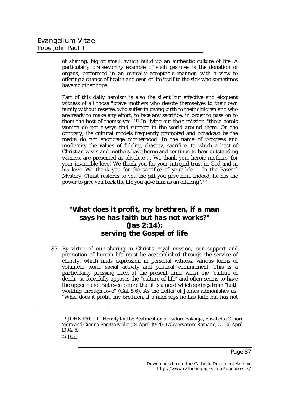of sharing, big or small, which build up an authentic culture of life. A particularly praiseworthy example of such gestures is the donation of organs, performed in an ethically acceptable manner, with a view to offering a chance of health and even of life itself to the sick who sometimes have no other hope.

Part of this daily heroism is also the silent but effective and eloquent witness of all those "brave mothers who devote themselves to their own family without reserve, who suffer in giving birth to their children and who are ready to make any effort, to face any sacrifice, in order to pass on to them the best of themselves".111 In living out their mission "these heroic women do not always find support in the world around them. On the contrary, the cultural models frequently promoted and broadcast by the media do not encourage motherhood. In the name of progress and modernity the values of fidelity, chastity, sacrifice, to which a host of Christian wives and mothers have borne and continue to bear outstanding witness, are presented as obsolete ... We thank you, heroic mothers, for your invincible love! We thank you for your intrepid trust in God and in his love. We thank you for the sacrifice of your life ... In the Paschal Mystery, Christ restores to you the gift you gave him. Indeed, he has the power to give you back the life you gave him as an offering".<sup>112</sup>

### *"What does it profit, my brethren, if a man says he has faith but has not works?" (Jas 2:14): serving the Gospel of life*

87. By virtue of our sharing in Christ's royal mission, our support and promotion of human life must be accomplished through the *service of charity,* which finds expression in personal witness, various forms of volunteer work, social activity and political commitment. This is a *particularly pressing need at the present time,* when the "culture of death" so forcefully opposes the "culture of life" and often seems to have the upper hand. But even before that it is a need which springs from "faith working through love" (*Gal* 5:6). As the Letter of James admonishes us: "What does it profit, my brethren, if a man says he has faith but has not

<sup>111</sup> JOHN PAUL II, Homily for the Beatification of Isidore Bakanja, Elisabetta Canori Mora and Gianna Beretta Molla (24 April 1994): *L'Osservatore Romano*, 25-26 April 1994, 5. <sup>112</sup> *Ibid*.

*Page 87*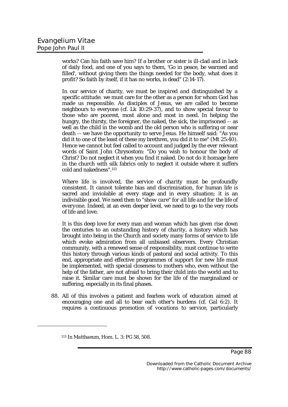works? Can his faith save him? If a brother or sister is ill-clad and in lack of daily food, and one of you says to them, 'Go in peace, be warmed and filled', without giving them the things needed for the body, what does it profit? So faith by itself, if it has no works, is dead" (2:14-17).

In our service of charity, *we must be inspired and distinguished by a specific attitude:* we must care for the other as a person for whom God has made us responsible. As disciples of Jesus, we are called to become neighbours to everyone (cf. *Lk* 10:29-37), and to show special favour to those who are poorest, most alone and most in need. In helping the hungry, the thirsty, the foreigner, the naked, the sick, the imprisoned -- as well as the child in the womb and the old person who is suffering or near death -- we have the opportunity to serve Jesus. He himself said: "As you did it to one of the least of these my brethren, you did it to me" (*Mt* 25:40). Hence we cannot but feel called to account and judged by the ever relevant words of Saint John Chrysostom: "Do you wish to honour the body of Christ? Do not neglect it when you find it naked. Do not do it homage here in the church with silk fabrics only to neglect it outside where it suffers cold and nakedness".<sup>113</sup>

*Where life is involved,* the *service of charity must be profoundly consistent.* It cannot tolerate bias and discrimination, for human life is sacred and inviolable at every stage and in every situation; it is an indivisible good. We need then to *"show care" for all life and for the life of everyone.* Indeed, at an even deeper level, we need to go to the very roots of life and love.

It is this deep love for every man and woman which has given rise down the centuries to an *outstanding history of charity,* a history which has brought into being in the Church and society many forms of service to life which evoke admiration from all unbiased observers. Every Christian community, with a renewed sense of responsibility, must continue to write this history through various kinds of pastoral and social activity. To this end, appropriate and effective programmes of *support for new life* must be implemented, with special closeness to mothers who, even without the help of the father, are not afraid to bring their child into the world and to raise it. Similar care must be shown for the life of the marginalized or suffering, especially in its final phases.

88. All of this involves a patient and fearless *work of education* aimed at encouraging one and all to bear each other's burdens (cf. *Gal* 6:2). It requires a continuous promotion of *vocations to service,* particularly

 $\overline{a}$ 

<sup>113</sup> *In Matthaeum*, Hom. L. 3: *PG* 58, 508.

Downloaded from the Catholic Document Archive http://www.catholic-pages.com/documents/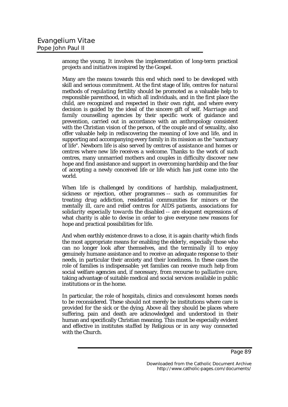among the young. It involves the implementation of long-term practical *projects and initiatives* inspired by the Gospel.

Many are the *means* towards this end which *need to be developed* with skill and serious commitment. At the first stage of life, *centres for natural methods of regulating fertility* should be promoted as a valuable help to responsible parenthood, in which all individuals, and in the first place the child, are recognized and respected in their own right, and where every decision is guided by the ideal of the sincere gift of self. *Marriage and family counselling agencies* by their specific work of guidance and prevention, carried out in accordance with an anthropology consistent with the Christian vision of the person, of the couple and of sexuality, also offer valuable help in rediscovering the meaning of love and life, and in supporting and accompanying every family in its mission as the "sanctuary of life". Newborn life is also served by *centres of assistance and homes or centres where new life receives a welcome.* Thanks to the work of such centres, many unmarried mothers and couples in difficulty discover new hope and find assistance and support in overcoming hardship and the fear of accepting a newly conceived life or life which has just come into the world.

When life is challenged by conditions of hardship, maladjustment, sickness or rejection, other programmes -- such as *communities for treating drug addiction, residential communities for minors or the mentally ill, care and relief centres for AIDS patients, associations for solidarity especially towards the disabled* -- are eloquent expressions of what charity is able to devise in order to give everyone new reasons for hope and practical possibilities for life.

And when earthly existence draws to a close, it is again charity which finds the most appropriate means for enabling the *elderly,* especially those who can no longer look after themselves, and the *terminally ill* to enjoy genuinely humane assistance and to receive an adequate response to their needs, in particular their anxiety and their loneliness. In these cases the role of families is indispensable; yet families can receive much help from social welfare agencies and, if necessary, from recourse to *palliative care,* taking advantage of suitable medical and social services available in public institutions or in the home.

In particular, the role of *hospitals, clinics* and *convalescent homes* needs to be reconsidered. These should not merely be institutions where care is provided for the sick or the dying. Above all they should be places where suffering, pain and death are acknowledged and understood in their human and specifically Christian meaning. This must be especially evident and effective in *institutes staffed by Religious or in any way connected with the Church.*

*Page 89*

Downloaded from the Catholic Document Archive http://www.catholic-pages.com/documents/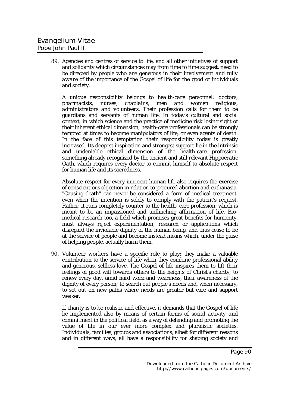89. Agencies and centres of service to life, and all other initiatives of support and solidarity which circumstances may from time to time suggest, need to be directed by *people who are generous in their involvement and fully aware* of the importance of the *Gospel of life* for the good of individuals and society.

*A unique responsibility belongs to health-care personnel: doctors, pharmacists, nurses, chaplains, men and women religious, administrators and volunteers.* Their profession calls for them to be guardians and servants of human life. In today's cultural and social context, in which science and the practice of medicine risk losing sight of their inherent ethical dimension, health-care professionals can be strongly tempted at times to become manipulators of life, or even agents of death. In the face of this temptation their responsibility today is greatly increased. Its deepest inspiration and strongest support lie in the intrinsic and undeniable ethical dimension of the health-care profession, something already recognized by the ancient and still relevant *Hippocratic Oath,* which requires every doctor to commit himself to absolute respect for human life and its sacredness.

Absolute respect for every innocent human life also requires the *exercise of conscientious objection* in relation to procured abortion and euthanasia. "Causing death" can never be considered a form of medical treatment, even when the intention is solely to comply with the patient's request. Rather, it runs completely counter to the health- care profession, which is meant to be an impassioned and unflinching affirmation of life. Biomedical research too, a field which promises great benefits for humanity, must always reject experimentation, research or applications which disregard the inviolable dignity of the human being, and thus cease to be at the service of people and become instead means which, under the guise of helping people, actually harm them.

90. *Volunteer workers* have a specific role to play: they make a valuable contribution to the service of life when they combine professional ability and generous, selfless love. The *Gospel of life* inspires them to lift their feelings of good will towards others to the heights of Christ's charity; to renew every day, amid hard work and weariness, their awareness of the dignity of every person; to search out people's needs and, when necessary, to set out on new paths where needs are greater but care and support weaker.

If charity is to be realistic and effective, it demands that the *Gospel of life* be implemented also by means of certain *forms of social activity and commitment in the political field,* as a way of defending and promoting the value of life in our ever more complex and pluralistic societies. *Individuals, families, groups and associations,* albeit for different reasons and in different ways, all have a responsibility for shaping society and

Downloaded from the Catholic Document Archive http://www.catholic-pages.com/documents/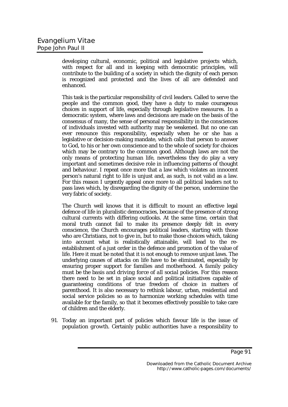developing cultural, economic, political and legislative projects which, with respect for all and in keeping with democratic principles, will contribute to the building of a society in which the dignity of each person is recognized and protected and the lives of all are defended and enhanced.

This task is the particular responsibility of *civil leaders.* Called to serve the people and the common good, they have a duty to make courageous choices in support of life, especially through *legislative measures.* In a democratic system, where laws and decisions are made on the basis of the consensus of many, the sense of personal responsibility in the consciences of individuals invested with authority may be weakened. But no one can ever renounce this responsibility, especially when he or she has a legislative or decision-making mandate, which calls that person to answer to God, to his or her own conscience and to the whole of society for choices which may be contrary to the common good. Although laws are not the only means of protecting human life, nevertheless they do play a very important and sometimes decisive role in influencing patterns of thought and behaviour. I repeat once more that a law which violates an innocent person's natural right to life is unjust and, as such, is not valid as a law. For this reason I urgently appeal once more to all political leaders not to pass laws which, by disregarding the dignity of the person, undermine the very fabric of society.

The Church well knows that it is difficult to mount an effective legal defence of life in pluralistic democracies, because of the presence of strong cultural currents with differing outlooks. At the same time, certain that moral truth cannot fail to make its presence deeply felt in every conscience, the Church encourages political leaders, starting with those who are Christians, not to give in, but to make those choices which, taking into account what is realistically attainable, will lead to the reestablishment of a just order in the defence and promotion of the value of life. Here it must be noted that it is not enough to remove unjust laws. The underlying causes of attacks on life have to be eliminated, especially by ensuring proper support for families and motherhood. A *family policy must be the basis and driving force of all social policies.* For this reason there need to be set in place social and political initiatives capable of guaranteeing conditions of true freedom of choice in matters of parenthood. It is also necessary to rethink labour, urban, residential and social service policies so as to harmonize working schedules with time available for the family, so that it becomes effectively possible to take care of children and the elderly.

91. Today an important part of policies which favour life is the *issue of population growth.* Certainly public authorities have a responsibility to

*Page 91*

Downloaded from the Catholic Document Archive http://www.catholic-pages.com/documents/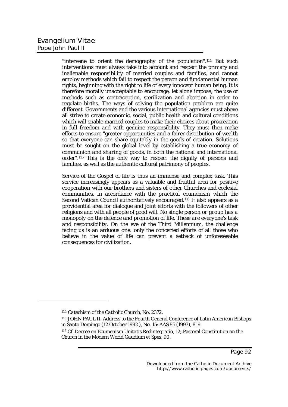"intervene to orient the demography of the population".114 But such interventions must always take into account and respect the primary and inalienable responsibility of married couples and families, and cannot employ methods which fail to respect the person and fundamental human rights, beginning with the right to life of every innocent human being. It is therefore morally unacceptable to encourage, let alone impose, the use of methods such as contraception, sterilization and abortion in order to regulate births. The ways of solving the population problem are quite different. Governments and the various international agencies must above all strive to create economic, social, public health and cultural conditions which will enable married couples to make their choices about procreation in full freedom and with genuine responsibility. They must then make efforts to ensure "greater opportunities and a fairer distribution of wealth so that everyone can share equitably in the goods of creation. Solutions must be sought on the global level by establishing a true *economy of communion and sharing of goods,* in both the national and international order".115 This is the only way to respect the dignity of persons and families, as well as the authentic cultural patrimony of peoples.

Service of the *Gospel of life* is thus an immense and complex task. This service increasingly appears as a valuable and fruitful area for positive cooperation with our brothers and sisters of other Churches and ecclesial communities, in accordance with the *practical ecumenism* which the Second Vatican Council authoritatively encouraged.<sup>116</sup> It also appears as a providential area for dialogue and joint efforts with the followers of other religions and with all people of good will. *No single person or group has a monopoly on the defence and promotion of life. These are everyone's task and responsibility.* On the eve of the Third Millennium, the challenge facing us is an arduous one: only the concerted efforts of all those who believe in the value of life can prevent a setback of unforeseeable consequences for civilization.

 $\overline{a}$ 

<sup>115</sup> JOHN PAUL II, Address to the Fourth General Conference of Latin American Bishops in Santo Domingo (12 October 1992 ), No. 15: *AAS* 85 (1993), 819.

<sup>114</sup> *Catechism of the Catholic Church*, No. 2372.

<sup>116</sup> Cf. Decree on Ecumenism *Unitatis Redintegratio*, 12; Pastoral Constitution on the Church in the Modern World *Gaudium et Spes*, 90.

Downloaded from the Catholic Document Archive http://www.catholic-pages.com/documents/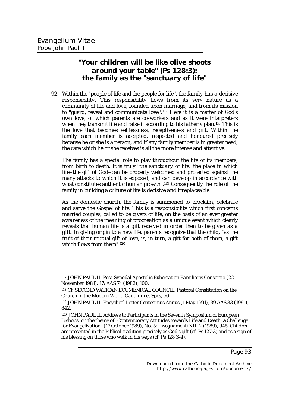#### *"Your children will be like olive shoots around your table" (Ps 128:3): the family as the "sanctuary of life"*

92. Within the "people of life and the people for life", *the family has a decisive responsibility.* This responsibility flows from its very nature as a community of life and love, founded upon marriage, and from its mission to "guard, reveal and communicate love".117 Here it is a matter of God's own love, of which parents are co-workers and as it were interpreters when they transmit life and raise it according to his fatherly plan.<sup>118</sup> This is the love that becomes selflessness, receptiveness and gift. Within the family each member is accepted, respected and honoured precisely because he or she is a person; and if any family member is in greater need, the care which he or she receives is all the more intense and attentive.

The family has a special role to play throughout the life of its members, from birth to death. It is truly "the *sanctuary of life:* the place in which life–the gift of God–can be properly welcomed and protected against the many attacks to which it is exposed, and can develop in accordance with what constitutes authentic human growth".<sup>119</sup> Consequently the role of the family in building a culture of life is *decisive and irreplaceable.*

As the *domestic church,* the family is summoned to proclaim, celebrate and serve the *Gospel of life.* This is a responsibility which first concerns married couples, called to be givers of life, on the basis of an ever greater *awareness of the meaning of procreation* as a unique event which clearly reveals that *human life is a gift received in order then to be given as a gift.* In giving origin to a new life, parents recognize that the child, "as the fruit of their mutual gift of love, is, in turn, a gift for both of them, a gift which flows from them".<sup>120</sup>

<sup>117</sup> JOHN PAUL II, Post-Synodal Apostolic Exhortation *Familiaris Consortio* (22 November 1981), 17: *AAS* 74 (1982), 100.

<sup>118</sup> Cf. SECOND VATICAN ECUMENICAL COUNCIL, Pastoral Constitution on the Church in the Modern World *Gaudium et Spes*, 50.

<sup>119</sup> JOHN PAUL II, Encyclical Letter *Centesimus Annus* (1 May 1991), 39 *AAS* 83 (1991), 842.

<sup>120</sup> JOHN PAUL II, Address to Participants in the Seventh Symposium of European Bishops, on the theme of "Contemporary Attitudes towards Life and Death: a Challenge for Evangelization" (17 October 1989), No. 5: *Insegnamenti* XII, 2 (1989), 945. Children are presented in the Biblical tradition precisely as God's gift (cf. *Ps* 127:3) and as a sign of his blessing on those who walk in his ways (cf. *Ps* 128 3-4).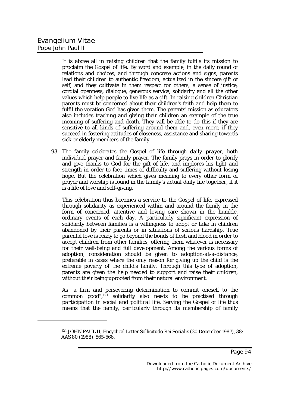It is above all in *raising children* that the family fulfils its mission to proclaim the *Gospel of life.* By word and example, in the daily round of relations and choices, and through concrete actions and signs, parents lead their children to authentic freedom, actualized in the sincere gift of self, and they cultivate in them respect for others, a sense of justice, cordial openness, dialogue, generous service, solidarity and all the other values which help people to live life as a gift. In raising children Christian parents must be concerned about their children's faith and help them to fulfil the vocation God has given them. The parents' mission as educators also includes teaching and giving their children an example of the true meaning of suffering and death. They will be able to do this if they are sensitive to all kinds of suffering around them and, even more, if they succeed in fostering attitudes of closeness, assistance and sharing towards sick or elderly members of the family.

93. The family *celebrates the Gospel of life* through *daily prayer,* both individual prayer and family prayer. The family prays in order to glorify and give thanks to God for the gift of life, and implores his light and strength in order to face times of difficulty and suffering without losing hope. But the celebration which gives meaning to every other form of prayer and worship is found in *the family's actual daily life together,* if it is a life of love and self-giving.

This celebration thus becomes a *service to the Gospel of life,* expressed through *solidarity* as experienced within and around the family in the form of concerned, attentive and loving care shown in the humble, ordinary events of each day. A particularly significant expression of solidarity between families is a willingness to *adopt* or *take in* children abandoned by their parents or in situations of serious hardship. True parental love is ready to go beyond the bonds of flesh and blood in order to accept children from other families, offering them whatever is necessary for their well-being and full development. Among the various forms of adoption, consideration should be given to *adoption-at-a-distance,* preferable in cases where the only reason for giving up the child is the extreme poverty of the child's family. Through this type of adoption, parents are given the help needed to support and raise their children, without their being uprooted from their natural environment.

As "a firm and persevering determination to commit oneself to the common good",<sup>121</sup> solidarity also needs to be practised through *participation in social and political life.* Serving the *Gospel of life* thus means that the family, particularly through its membership of family

<sup>121</sup> JOHN PAUL II, Encyclical Letter *Sollicitudo Rei Socialis* (30 December 1987), 38: *AAS* 80 (1988), 565-566.

Downloaded from the Catholic Document Archive http://www.catholic-pages.com/documents/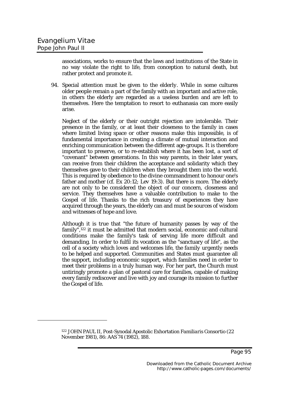associations, works to ensure that the laws and institutions of the State in no way violate the right to life, from conception to natural death, but rather protect and promote it.

94. Special attention must be given to the *elderly.* While in some cultures older people remain a part of the family with an important and active role, in others the elderly are regarded as a useless burden and are left to themselves. Here the temptation to resort to euthanasia can more easily arise.

Neglect of the elderly or their outright rejection are intolerable. Their presence in the family, or at least their closeness to the family in cases where limited living space or other reasons make this impossible, is of fundamental importance in creating a climate of mutual interaction and enriching communication between the different age-groups. It is therefore important to preserve, or to re-establish where it has been lost, a sort of "covenant" between generations. In this way parents, in their later years, can receive from their children the acceptance and solidarity which they themselves gave to their children when they brought them into the world. This is required by obedience to the divine commandment to honour one's father and mother (cf. *Ex* 20:12; *Lev* 19:3). But there is more. The elderly are not only to be considered the object of our concern, closeness and service. They themselves have a valuable contribution to make to the *Gospel of life.* Thanks to the rich treasury of experiences they have acquired through the years, the elderly can and must *be sources of wisdom and witnesses of hope and love.*

Although it is true that "the future of humanity passes by way of the family",122 it must be admitted that modern social, economic and cultural conditions make the family's task of serving life more difficult and demanding. In order to fulfil its vocation as the "sanctuary of life", as the cell of a society which loves and welcomes life, *the family urgently needs to be helped and supported.* Communities and States must guarantee all the support, including economic support, which families need in order to meet their problems in a truly human way. For her part, the Church must untiringly promote a plan of pastoral care for families, capable of making every family rediscover and live with joy and courage its mission to further the *Gospel of life.*

*Page 95*

<sup>122</sup> JOHN PAUL II, Post-Synodal Apostolic Exhortation *Familiaris Consortio* (22 November 1981), 86: *AAS* 74 (1982), 188.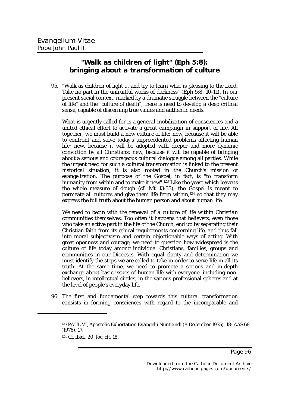## *"Walk as children of light" (Eph 5:8): bringing about a transformation of culture*

95. "Walk as children of light ... and try to learn what is pleasing to the Lord. Take no part in the unfruitful works of darkness" (*Eph* 5:8, 10-11). In our present social context, marked by a dramatic struggle between the "culture of life" and the "culture of death", there is need to *develop a deep critical sense,* capable of discerning true values and authentic needs.

What is urgently called for is a *general mobilization of consciences* and a *united ethical effort* to activate a *great campaign in support of life. All together, we must build a new culture of life:* new, because it will be able to confront and solve today's unprecedented problems affecting human life; new, because it will be adopted with deeper and more dynamic conviction by all Christians; new, because it will be capable of bringing about a serious and courageous cultural dialogue among all parties. While the urgent need for such a cultural transformation is linked to the present historical situation, it is also rooted in the Church's mission of evangelization. The purpose of the Gospel, in fact, is "to transform humanity from within and to make it new".<sup>123</sup> Like the yeast which leavens the whole measure of dough (cf. *Mt* 13:33), the Gospel is meant to permeate all cultures and give them life from within,124 so that they may express the full truth about the human person and about human life.

We need to begin with *the renewal of a culture of life within Christian communities themselves.* Too often it happens that believers, even those who take an active part in the life of the Church, end up by separating their Christian faith from its ethical requirements concerning life, and thus fall into moral subjectivism and certain objectionable ways of acting. With great openness and courage, we need to question how widespread is the culture of life today among individual Christians, families, groups and communities in our Dioceses. With equal clarity and determination we must identify the steps we are called to take in order to serve life in all its truth. At the same time, we need to promote a serious and in-depth exchange about basic issues of human life with everyone, including nonbelievers, in intellectual circles, in the various professional spheres and at the level of people's everyday life.

96. The first and fundamental step towards this cultural transformation consists in *forming consciences* with regard to the incomparable and

*Page 96*

<sup>123</sup> PAUL VI, Apostolic Exhortation *Evangelii Nuntiandi* (8 December 1975), 18: *AAS* 68 (1976), 17. 124 Cf. *ibid*., 20: *loc. cit*, 18.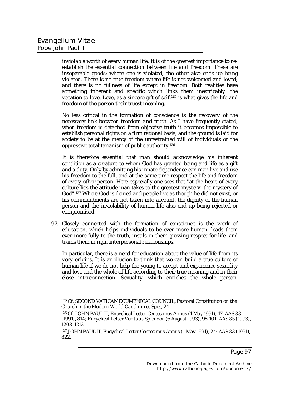inviolable worth of every human life. It is of the greatest importance *to reestablish the essential connection between life and freedom.* These are inseparable goods: where one is violated, the other also ends up being violated. There is no true freedom where life is not welcomed and loved; and there is no fullness of life except in freedom. Both realities have something inherent and specific which links them inextricably: the vocation to love. Love, as a sincere gift of self,<sup>125</sup> is what gives the life and freedom of the person their truest meaning.

No less critical in the formation of conscience is *the recovery of the necessary link between freedom and truth.* As I have frequently stated, when freedom is detached from objective truth it becomes impossible to establish personal rights on a firm rational basis; and the ground is laid for society to be at the mercy of the unrestrained will of individuals or the oppressive totalitarianism of public authority.<sup>126</sup>

It is therefore essential that man should acknowledge his inherent condition as a creature to whom God has granted being and life as a gift and a duty. Only by admitting his innate dependence can man live and use his freedom to the full, and at the same time respect the life and freedom of every other person. Here especially one sees that "at the heart of every culture lies the attitude man takes to the greatest mystery: the mystery of God".127 Where God is denied and people live as though he did not exist, or his commandments are not taken into account, the dignity of the human person and the inviolability of human life also end up being rejected or compromised.

97. Closely connected with the formation of conscience is the *work of education,* which helps individuals to be ever more human, leads them ever more fully to the truth, instils in them growing respect for life, and trains them in right interpersonal relationships.

In particular, there is a need for education about the value of life *from its very origins.* It is an illusion to think that we can build a true culture of human life if we do not help the young to accept and experience sexuality and love and the whole of life according to their true meaning and in their close interconnection. Sexuality, which enriches the whole person,

<sup>125</sup> Cf. SECOND VATICAN ECUMENICAL COUNCIL, Pastoral Constitution on the Church in the Modern World *Gaudium et Spes*, 24.

<sup>126</sup> Cf. JOHN PAUL II, Encyclical Letter *Centesimus Annus* (1 May 1991), 17: *AAS* 83 (1991), 814; Encyclical Letter *Veritatis Splendor* (6 August 1993), 95-101: *AAS* 85 (1993), 1208-1213.

<sup>127</sup> JOHN PAUL II, Encyclical Letter *Centesimus Annus* (1 May 1991), 24: *AAS* 83 (1991), 822.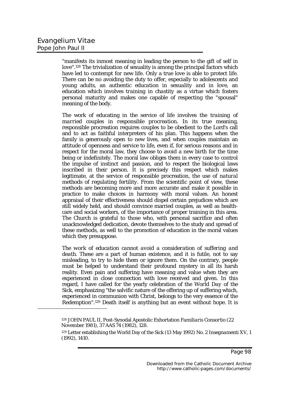"manifests its inmost meaning in leading the person to the gift of self in love".128 The trivialization of sexuality is among the principal factors which have led to contempt for new life. Only a true love is able to protect life. There can be no avoiding the duty to offer, especially to adolescents and young adults, an authentic *education in sexuality and in love,* an education which involves *training in chastity* as a virtue which fosters personal maturity and makes one capable of respecting the "spousal" meaning of the body.

The work of educating in the service of life involves the *training of married couples in responsible procreation.* In its true meaning, responsible procreation requires couples to be obedient to the Lord's call and to act as faithful interpreters of his plan. This happens when the family is generously open to new lives, and when couples maintain an attitude of openness and service to life, even if, for serious reasons and in respect for the moral law, they choose to avoid a new birth for the time being or indefinitely. The moral law obliges them in every case to control the impulse of instinct and passion, and to respect the biological laws inscribed in their person. It is precisely this respect which makes legitimate, at the service of responsible procreation, the *use of natural methods of regulating fertility.* From the scientific point of view, these methods are becoming more and more accurate and make it possible in practice to make choices in harmony with moral values. An honest appraisal of their effectiveness should dispel certain prejudices which are still widely held, and should convince married couples, as well as healthcare and social workers, of the importance of proper training in this area. The Church is grateful to those who, with personal sacrifice and often unacknowledged dedication, devote themselves to the study and spread of these methods, as well to the promotion of education in the moral values which they presuppose.

*The work of education cannot avoid a consideration of suffering and death.* These are a part of human existence, and it is futile, not to say misleading, to try to hide them or ignore them. On the contrary, people must be helped to understand their profound mystery in all its harsh reality. Even pain and suffering have meaning and value when they are experienced in close connection with love received and given. In this regard, I have called for the yearly celebration of the *World Day of the Sick,* emphasizing "the salvific nature of the offering up of suffering which, experienced in communion with Christ, belongs to the very essence of the Redemption".129 Death itself is anything but an event without hope. It is

<sup>128</sup> JOHN PAUL II, Post-Synodal Apostolic Exhortation *Familiaris Consortio* (22 November 1981), 37 *AAS* 74 (1982), 128.

<sup>129</sup> Letter establishing the World Day of the Sick (13 May 1992) No. 2 *Insegnamenti* XV, 1 (1992), 1410.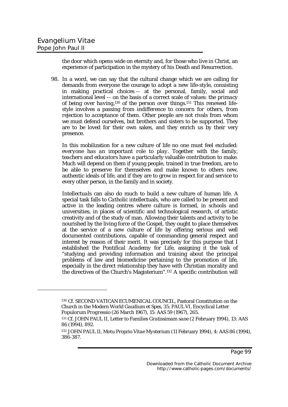the door which opens wide on eternity and, for those who live in Christ, an experience of participation in the mystery of his Death and Resurrection.

98. In a word, we can say that the cultural change which we are calling for demands from everyone the courage to *adopt a new life-style,* consisting in making practical choices -- at the personal, family, social and international level -- on the basis of a correct scale of values: *the primacy of being over having*, <sup>130</sup> *of the person over things*. 131 This renewed lifestyle involves a passing *from indifference to concern for others, from rejection to acceptance of them.* Other people are not rivals from whom we must defend ourselves, but brothers and sisters to be supported. They are to be loved for their own sakes, and they enrich us by their very presence.

In this mobilization for a new culture of life no one must feel excluded: *everyone has an important role to play.* Together with the family, *teachers* and *educators* have a particularly valuable contribution to make. Much will depend on them if young people, trained in true freedom, are to be able to preserve for themselves and make known to others new, authentic ideals of life, and if they are to grow in respect for and service to every other person, in the family and in society.

*Intellectuals* can also do much to build a new culture of human life. A special task falls to *Catholic* intellectuals, who are called to be present and active in the leading centres where culture is formed, in schools and universities, in places of scientific and technological research, of artistic creativity and of the study of man. Allowing their talents and activity to be nourished by the living force of the Gospel, they ought to place themselves at the service of a new culture of life by offering serious and well documented contributions, capable of commanding general respect and interest by reason of their merit. It was precisely for this purpose that I established the *Pontifical Academy for Life,* assigning it the task of "studying and providing information and training about the principal problems of law and biomedicine pertaining to the promotion of life, especially in the direct relationship they have with Christian morality and the directives of the Church's Magisterium".132 A specific contribution will

<sup>130</sup> Cf. SECOND VATICAN ECUMENICAL COUNCIL, Pastoral Constitution on the Church in the Modern World *Gaudium et Spes*, 35; PAUL VI, Encyclical Letter *Populorum Progressio* (26 March 1967), 15: *AAS* 59 (1967), 265.

<sup>131</sup> Cf. JOHN PAUL II, Letter to Families *Gratissimam sane* (2 February 1994), 13: *AAS* 86 (1994), 892.

<sup>132</sup> JOHN PAUL II, Motu Proprio *Vitae Mysterium* (11 February 1994), 4: *AAS* 86 (1994), 386-387.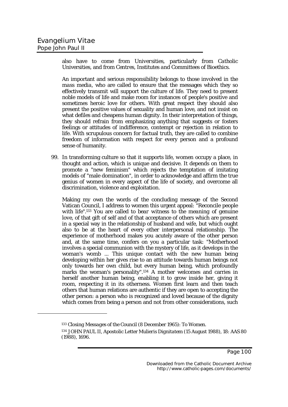also have to come from *Universities,* particularly from *Catholic* Universities, and from *Centres, Institutes and Committees of Bioethics.*

An important and serious responsibility belongs to *those involved in the mass media,* who are called to ensure that the messages which they so effectively transmit will support the culture of life. They need to present noble models of life and make room for instances of people's positive and sometimes heroic love for others. With great respect they should also present the positive values of sexuality and human love, and not insist on what defiles and cheapens human dignity. In their interpretation of things, they should refrain from emphasizing anything that suggests or fosters feelings or attitudes of indifference, contempt or rejection in relation to life. With scrupulous concern for factual truth, they are called to combine freedom of information with respect for every person and a profound sense of humanity.

99. In transforming culture so that it supports life, *women* occupy a place, in thought and action, which is unique and decisive. It depends on them to promote a "new feminism" which rejects the temptation of imitating models of "male domination", in order to acknowledge and affirm the true genius of women in every aspect of the life of society, and overcome all discrimination, violence and exploitation.

Making my own the words of the concluding message of the Second Vatican Council, I address to women this urgent appeal: *"Reconcile people with life*".133 You are called to *bear witness to the meaning of genuine love,* of that gift of self and of that acceptance of others which are present in a special way in the relationship of husband and wife, but which ought also to be at the heart of every other interpersonal relationship. The experience of motherhood makes you acutely aware of the other person and, at the same time, confers on you a particular task: "Motherhood involves a special communion with the mystery of life, as it develops in the woman's womb ... This unique contact with the new human being developing within her gives rise to an attitude towards human beings not only towards her own child, but every human being, which profoundly marks the woman's personality".134 A mother welcomes and carries in herself another human being, enabling it to grow inside her, giving it room, respecting it in its otherness. Women first learn and then teach others that human relations are authentic if they are open to accepting the other person: a person who is recognized and loved because of the dignity which comes from being a person and not from other considerations, such

<sup>133</sup> *Closing Messages of the Council* (8 December 1965): *To Women*.

<sup>134</sup> JOHN PAUL II, Apostolic Letter *Mulieris Dignitatem* (15 August 1988), 18: *AAS* 80 (1988), 1696.

Downloaded from the Catholic Document Archive http://www.catholic-pages.com/documents/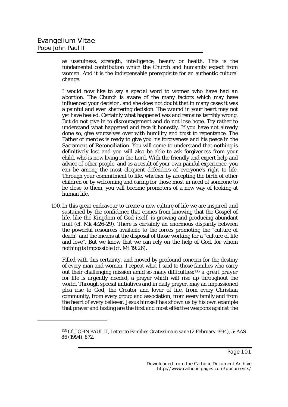as usefulness, strength, intelligence, beauty or health. This is the fundamental contribution which the Church and humanity expect from women. And it is the indispensable prerequisite for an authentic cultural change.

I would now like to say a special word to *women who have had an abortion.* The Church is aware of the many factors which may have influenced your decision, and she does not doubt that in many cases it was a painful and even shattering decision. The wound in your heart may not yet have healed. Certainly what happened was and remains terribly wrong. But do not give in to discouragement and do not lose hope. Try rather to understand what happened and face it honestly. If you have not already done so, give yourselves over with humility and trust to repentance. The Father of mercies is ready to give you his forgiveness and his peace in the Sacrament of Reconciliation. You will come to understand that nothing is definitively lost and you will also be able to ask forgiveness from your child, who is now living in the Lord. With the friendly and expert help and advice of other people, and as a result of your own painful experience, you can be among the most eloquent defenders of everyone's right to life. Through your commitment to life, whether by accepting the birth of other children or by welcoming and caring for those most in need of someone to be close to them, you will become promoters of a new way of looking at human life.

100.In this great endeavour to create a new culture of life we are *inspired and sustained by the confidence* that comes from knowing that the *Gospel of life*, like the Kingdom of God itself, is growing and producing abundant fruit (cf. *Mk* 4:26-29). There is certainly an enormous disparity between the powerful resources available to the forces promoting the "culture of death" and the means at the disposal of those working for a "culture of life and love". But we know that we can rely on the help of God, for whom nothing is impossible (cf. *Mt* 19:26).

Filled with this certainty, and moved by profound concern for the destiny of every man and woman, I repeat what I said to those families who carry out their challenging mission amid so many difficulties:<sup>135</sup> *a great prayer for life is urgently needed,* a prayer which will rise up throughout the world. Through special initiatives and in daily prayer, may an impassioned plea rise to God, the Creator and lover of life, from every Christian community, from every group and association, from every family and from the heart of every believer. Jesus himself has shown us by his own example that prayer and fasting are the first and most effective weapons against the

<sup>135</sup> Cf. JOHN PAUL II, Letter to Families *Gratissimam sane* (2 February 1994), 5: *AAS* 86 (1994), 872.

Downloaded from the Catholic Document Archive http://www.catholic-pages.com/documents/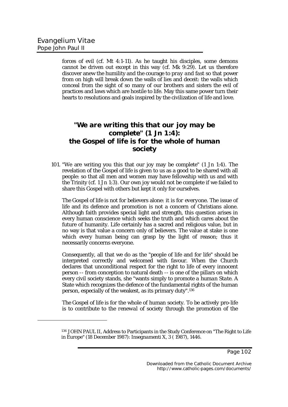forces of evil (cf. *Mt* 4:1-11). As he taught his disciples, some demons cannot be driven out except in this way (cf. *Mk* 9:29). Let us therefore discover anew the humility and the courage to *pray and fast* so that power from on high will break down the walls of lies and deceit: the walls which conceal from the sight of so many of our brothers and sisters the evil of practices and laws which are hostile to life. May this same power turn their hearts to resolutions and goals inspired by the civilization of life and love.

## *"We are writing this that our joy may be complete" (1 Jn 1:4): the Gospel of life is for the whole of human society*

101. "We are writing you this that our joy may be complete" (*1 Jn* 1:4). The revelation of the *Gospel of life* is given to us as a good to be shared with all people: so that all men and women may have fellowship with us and with the Trinity (cf. *1* Jn 1:3). Our own joy would not be complete if we failed to share this Gospel with others but kept it only for ourselves.

*The Gospel of life* is not for believers alone: *it is for everyone.* The issue of life and its defence and promotion is not a concern of Christians alone. Although faith provides special light and strength, this question arises in every human conscience which seeks the truth and which cares about the future of humanity. Life certainly has a sacred and religious value, but in no way is that value a concern only of believers. The value at stake is one which every human being can grasp by the light of reason; thus it necessarily concerns everyone.

Consequently, all that we do as the "people of life and for life" should be interpreted correctly and welcomed with favour. When the Church declares that unconditional respect for the right to life of every innocent person -- from conception to natural death -- is one of the pillars on which every civil society stands, she "wants simply *to promote a human State.* A State which recognizes the defence of the fundamental rights of the human person, especially of the weakest, as its primary duty".<sup>136</sup>

*The Gospel of life* is for the whole of human society. To be actively pro-life is to contribute to the *renewal of society* through the promotion of the

<sup>136</sup> JOHN PAUL II, Address to Participants in the Study Conference on "The Right to Life in Europe" (18 December 1987): *Insegnamenti* X, 3 ( 1987), 1446.

Downloaded from the Catholic Document Archive http://www.catholic-pages.com/documents/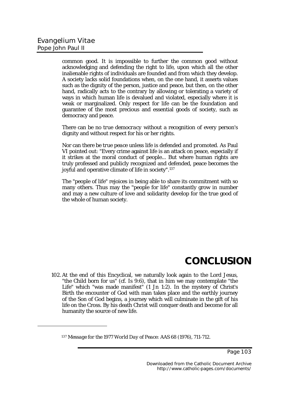$\ddot{\phantom{a}}$ 

common good. It is impossible to further the common good without acknowledging and defending the right to life, upon which all the other inalienable rights of individuals are founded and from which they develop. A society lacks solid foundations when, on the one hand, it asserts values such as the dignity of the person, justice and peace, but then, on the other hand, radically acts to the contrary by allowing or tolerating a variety of ways in which human life is devalued and violated, especially where it is weak or marginalized. Only respect for life can be the foundation and guarantee of the most precious and essential goods of society, such as democracy and peace.

There can be no *true democracy* without a recognition of every person's dignity and without respect for his or her rights.

Nor can there be *true peace* unless *life is defended and promoted.* As Paul VI pointed out: "Every crime against life is an attack on peace, especially if it strikes at the moral conduct of people... But where human rights are truly professed and publicly recognized and defended, peace becomes the joyful and operative climate of life in society".<sup>137</sup>

The "people of life" rejoices in being able to share its commitment with so many others. Thus may the "people for life" constantly grow in number and may a new culture of love and solidarity develop for the true good of the whole of human society.

# **CONCLUSION**

102. At the end of this Encyclical, we naturally look again to the Lord Jesus, "the Child born for us" (cf. *Is* 9:6), that in him we may contemplate "the Life" which "was made manifest" (*1 Jn* 1:2). In the mystery of Christ's Birth the encounter of God with man takes place and the earthly journey of the Son of God begins, a journey which will culminate in the gift of his life on the Cross. By his death Christ will conquer death and become for all humanity the source of new life.

*Page 103*

<sup>137</sup> *Message for the 1977 World Day of Peace: AAS* 68 (1976), 711-712.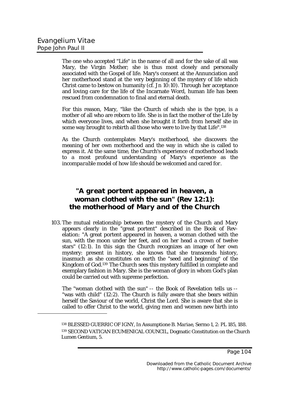The one who accepted "Life" in the name of all and for the sake of all was Mary, the Virgin Mother; she is thus most closely and personally associated with the *Gospel of life.* Mary's consent at the Annunciation and her motherhood stand at the very beginning of the mystery of life which Christ came to bestow on humanity (cf. *Jn* 10:10). Through her acceptance and loving care for the life of the Incarnate Word, human life has been rescued from condemnation to final and eternal death.

For this reason, Mary, "like the Church of which she is the type, is a mother of all who are reborn to life. She is in fact the mother of the Life by which everyone lives, and when she brought it forth from herself she in some way brought to rebirth all those who were to live by that Life".<sup>138</sup>

As the Church contemplates Mary's motherhood, she discovers the meaning of her own motherhood and the way in which she is called to express it. At the same time, the Church's experience of motherhood leads to a most profound understanding of Mary's experience as the *incomparable model of how life should be welcomed and cared for.*

#### *"A great portent appeared in heaven, a woman clothed with the sun" (Rev 12:1): the motherhood of Mary and of the Church*

103. The mutual relationship between the mystery of the Church and Mary appears clearly in the "great portent" described in the Book of Revelation: "A great portent appeared in heaven, a woman clothed with the sun, with the moon under her feet, and on her head a crown of twelve stars" (12:1). In this sign the Church recognizes an image of her own mystery: present in history, she knows that she transcends history, inasmuch as she constitutes on earth the "seed and beginning" of the Kingdom of God.139 The Church sees this mystery fulfilled in complete and exemplary fashion in Mary. She is the woman of glory in whom God's plan could be carried out with supreme perfection.

The "woman clothed with the sun" -- the Book of Revelation tells us -- "was with child" (12:2). The Church is fully aware that she bears within herself the Saviour of the world, Christ the Lord. She is aware that she is called to offer Christ to the world, giving men and women new birth into

<sup>138</sup> BLESSED GUERRIC OF IGNY, *In Assumptione B. Mariae*, Sermo 1, 2: *PL* 185, 188. <sup>139</sup> SECOND VATICAN ECUMENICAL COUNCIL, Dogmatic Constitution on the Church *Lumen Gentium*, 5.

Downloaded from the Catholic Document Archive http://www.catholic-pages.com/documents/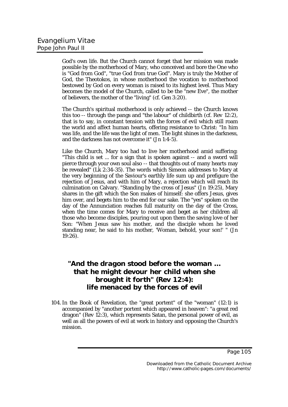God's own life. But the Church cannot forget that her mission was made possible by the motherhood of Mary, who conceived and bore the One who is "God from God", "true God from true God". Mary is truly the Mother of God, the *Theotokos,* in whose motherhood the vocation to motherhood bestowed by God on every woman is raised to its highest level. Thus Mary becomes the model of the Church, called to be the "new Eve", the mother of believers, the mother of the "living" (cf. *Gen* 3:20).

The Church's spiritual motherhood is only achieved -- the Church knows this too -- through the pangs and "the labour" of childbirth (cf. *Rev* 12:2), that is to say, in constant tension with the forces of evil which still roam the world and affect human hearts, offering resistance to Christ: "In him was life, and the life was the light of men. The light shines in the darkness, and the darkness has not overcome it" (*Jn* 1:4-5).

Like the Church, Mary too had to live her motherhood amid suffering: "This child is set ... for a sign that is spoken against -- and a sword will pierce through your own soul also -- that thoughts out of many hearts may be revealed" (*Lk* 2:34-35). The words which Simeon addresses to Mary at the very beginning of the Saviour's earthly life sum up and prefigure the rejection of Jesus, and with him of Mary, a rejection which will reach its culmination on Calvary. "Standing by the cross of Jesus" (*Jn* 19:25), Mary shares in the gift which the Son makes of himself: she offers Jesus, gives him over, and begets him to the end for our sake. The "yes" spoken on the day of the Annunciation reaches full maturity on the day of the Cross, when the time comes for Mary to receive and beget as her children all those who become disciples, pouring out upon them the saving love of her Son: "When Jesus saw his mother, and the disciple whom he loved standing near, he said to his mother, 'Woman, behold, your son!' " (*Jn* 19:26).

#### *"And the dragon stood before the woman ... that he might devour her child when she brought it forth" (Rev 12:4): life menaced by the forces of evil*

104.In the Book of Revelation, the "great portent" of the "woman" (12:1) is accompanied by "another portent which appeared in heaven": "a great red dragon" (*Rev* 12:3), which represents Satan, the personal power of evil, as well as all the powers of evil at work in history and opposing the Church's mission.

*Page 105*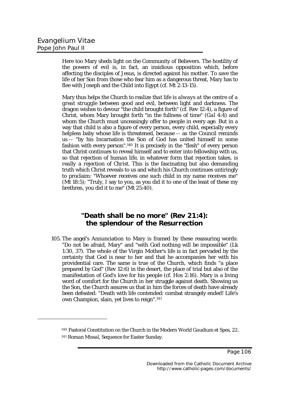Here too Mary sheds light on the Community of Believers. The hostility of the powers of evil is, in fact, an insidious opposition which, before affecting the disciples of Jesus, is directed against his mother. To save the life of her Son from those who fear him as a dangerous threat, Mary has to flee with Joseph and the Child into Egypt (cf. *Mt* 2:13-15).

Mary thus helps the Church to *realize that life is always at the centre of a great struggle* between good and evil, between light and darkness. The dragon wishes to devour "the child brought forth" (cf. *Rev* 12:4), a figure of Christ, whom Mary brought forth "in the fullness of time" (*Gal* 4:4) and whom the Church must unceasingly offer to people in every age. But in a way that child is also a figure of every person, every child, especially every helpless baby whose life is threatened, because -- as the Council reminds us -- "by his Incarnation the Son of God has united himself in some fashion with every person".140 It is precisely in the "flesh" of every person that Christ continues to reveal himself and to enter into fellowship with us, so that *rejection of human life,* in whatever form that rejection takes, *is really a rejection of Christ.* This is the fascinating but also demanding truth which Christ reveals to us and which his Church continues untiringly to proclaim: "Whoever receives one such child in my name receives me" (*Mt* 18:5); "Truly, I say to you, as you did it to one of the least of these my brethren, you did it to me" (*Mt* 25:40).

## *"Death shall be no more" (Rev 21:4): the splendour of the Resurrection*

105. The angel's Annunciation to Mary is framed by these reassuring words: "Do not be afraid, Mary" and "with God nothing will be impossible" (*Lk* 1:30, 37). The whole of the Virgin Mother's life is in fact pervaded by the certainty that God is near to her and that he accompanies her with his providential care. The same is true of the Church, which finds "a place prepared by God" (*Rev* 12:6) in the desert, the place of trial but also of the manifestation of God's love for his people (cf. *Hos* 2:16). Mary is a living word of comfort for the Church in her struggle against death. Showing us the Son, the Church assures us that in him the forces of death have already been defeated: "Death with life contended: combat strangely ended! Life's own Champion, slain, yet lives to reign".<sup>141</sup>

1

*Page 106*

Downloaded from the Catholic Document Archive http://www.catholic-pages.com/documents/

<sup>140</sup> Pastoral Constitution on the Church in the Modern World *Gaudium et Spes,* 22.

<sup>141</sup> *Roman Missal*, Sequence for Easter Sunday.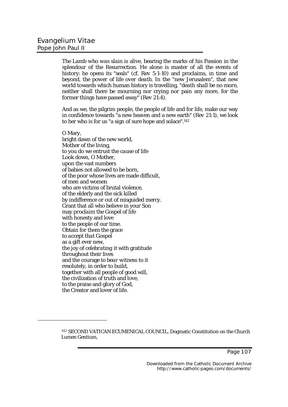1

*The Lamb who was slain* is alive, bearing the marks of his Passion in the splendour of the Resurrection. He alone is master of all the events of history: he opens its "seals" (cf. *Rev* 5:1-10) and proclaims, in time and beyond, *the power of life over death.* In the "new Jerusalem", that new world towards which human history is travelling, *"death shall be no more,* neither shall there be mourning nor crying nor pain any more, for the former things have passed away" (*Rev* 21:4).

And as we, the pilgrim people, the people of life and for life, make our way in confidence towards "a new heaven and a new earth" (*Rev* 21:1), we look to her who is for us "a sign of sure hope and solace".<sup>142</sup>

O Mary, bright dawn of the new world, Mother of the living, to you do we entrust the *cause of life* Look down, O Mother, upon the vast numbers of babies not allowed to be born, of the poor whose lives are made difficult, of men and women who are victims of brutal violence, of the elderly and the sick killed by indifference or out of misguided mercy. Grant that all who believe in your Son may *proclaim the Gospel of life* with honesty and love to the people of our time. Obtain for them the grace to *accept that Gospel* as a gift ever new, the joy *of celebrating* it with gratitude throughout their lives and the courage to *bear witness to it* resolutely, in order to build, together with all people of good will, the civilization of truth and love, to the praise and glory of God, the Creator and lover of life.

*Page 107*

Downloaded from the Catholic Document Archive http://www.catholic-pages.com/documents/

<sup>142</sup> SECOND VATICAN ECUMENICAL COUNCIL, Dogmatic Constitution on the Church *Lumen Gentium*,